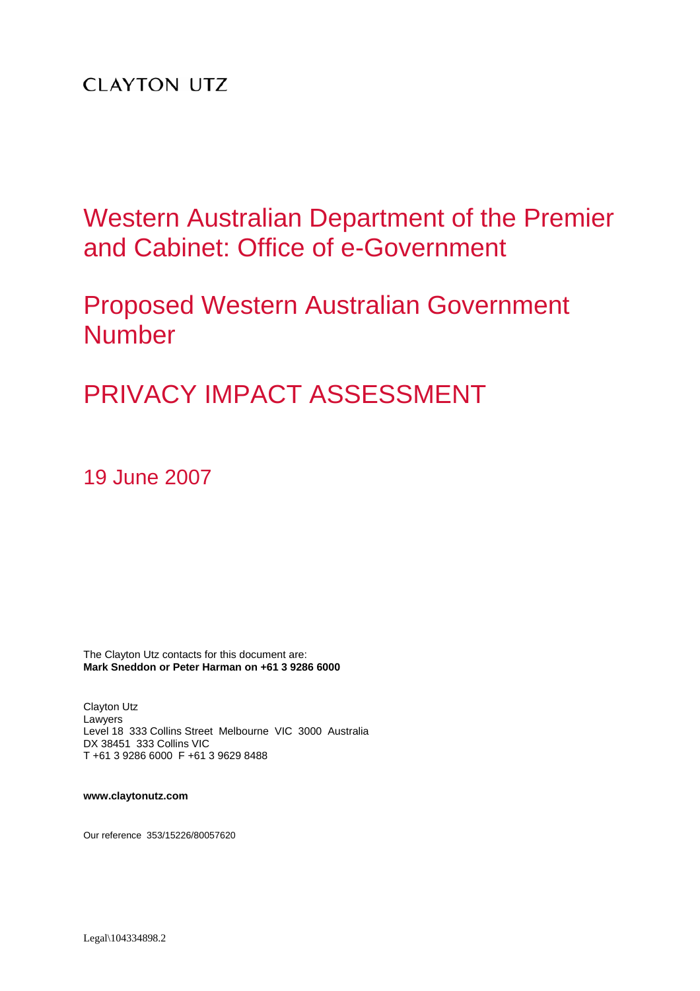# **CLAYTON UTZ**

Western Australian Department of the Premier and Cabinet: Office of e-Government

Proposed Western Australian Government Number

PRIVACY IMPACT ASSESSMENT

19 June 2007

The Clayton Utz contacts for this document are: **Mark Sneddon or Peter Harman on +61 3 9286 6000** 

Clayton Utz Lawyers Level 18 333 Collins Street Melbourne VIC 3000 Australia DX 38451 333 Collins VIC T +61 3 9286 6000 F +61 3 9629 8488

**www.claytonutz.com** 

Our reference 353/15226/80057620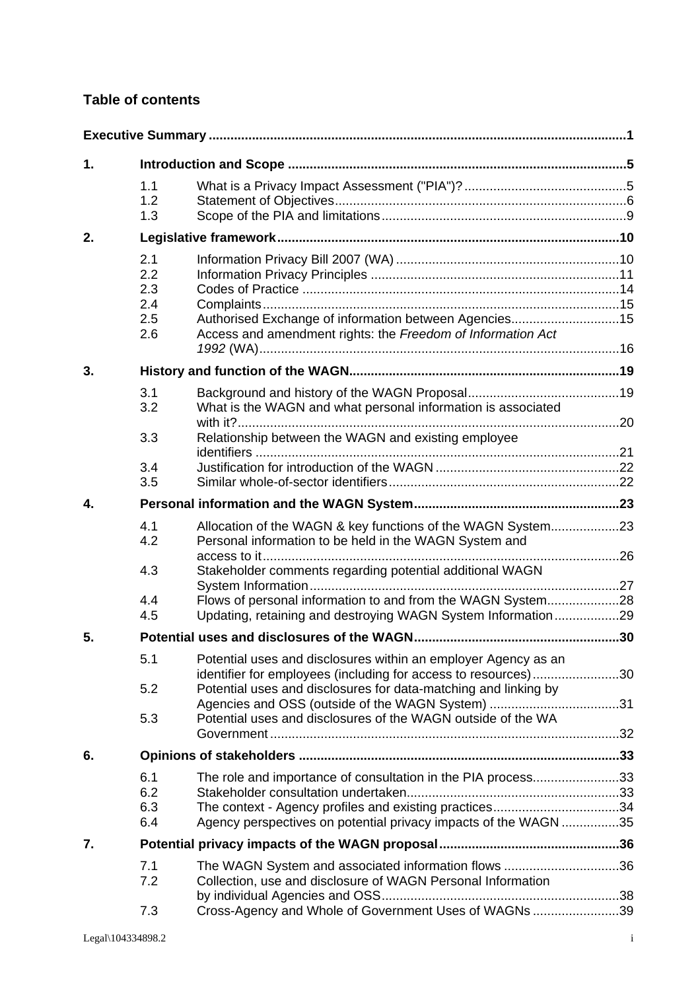# **Table of contents**

| 1. |                                        |                                                                                                                                                                                           |  |  |
|----|----------------------------------------|-------------------------------------------------------------------------------------------------------------------------------------------------------------------------------------------|--|--|
|    | 1.1<br>1.2<br>1.3                      |                                                                                                                                                                                           |  |  |
| 2. |                                        |                                                                                                                                                                                           |  |  |
|    | 2.1<br>2.2<br>2.3<br>2.4<br>2.5<br>2.6 | Authorised Exchange of information between Agencies15<br>Access and amendment rights: the Freedom of Information Act                                                                      |  |  |
| 3. |                                        |                                                                                                                                                                                           |  |  |
|    | 3.1<br>3.2                             | What is the WAGN and what personal information is associated                                                                                                                              |  |  |
|    | 3.3                                    | Relationship between the WAGN and existing employee                                                                                                                                       |  |  |
|    | 3.4                                    |                                                                                                                                                                                           |  |  |
|    | 3.5                                    |                                                                                                                                                                                           |  |  |
| 4. |                                        |                                                                                                                                                                                           |  |  |
|    | 4.1<br>4.2                             | Allocation of the WAGN & key functions of the WAGN System23<br>Personal information to be held in the WAGN System and                                                                     |  |  |
|    | 4.3                                    | Stakeholder comments regarding potential additional WAGN                                                                                                                                  |  |  |
|    | 4.4<br>4.5                             | Flows of personal information to and from the WAGN System28<br>Updating, retaining and destroying WAGN System Information29                                                               |  |  |
| 5. |                                        |                                                                                                                                                                                           |  |  |
|    | 5.1                                    | Potential uses and disclosures within an employer Agency as an<br>identifier for employees (including for access to resources)30                                                          |  |  |
|    | 5.2<br>5.3                             | Potential uses and disclosures for data-matching and linking by<br>Potential uses and disclosures of the WAGN outside of the WA                                                           |  |  |
| 6. |                                        |                                                                                                                                                                                           |  |  |
|    | 6.1<br>6.2<br>6.3<br>6.4               | The role and importance of consultation in the PIA process33<br>The context - Agency profiles and existing practices34<br>Agency perspectives on potential privacy impacts of the WAGN 35 |  |  |
| 7. |                                        |                                                                                                                                                                                           |  |  |
|    | 7.1<br>7.2                             | The WAGN System and associated information flows 36<br>Collection, use and disclosure of WAGN Personal Information                                                                        |  |  |
|    | 7.3                                    | Cross-Agency and Whole of Government Uses of WAGNs 39                                                                                                                                     |  |  |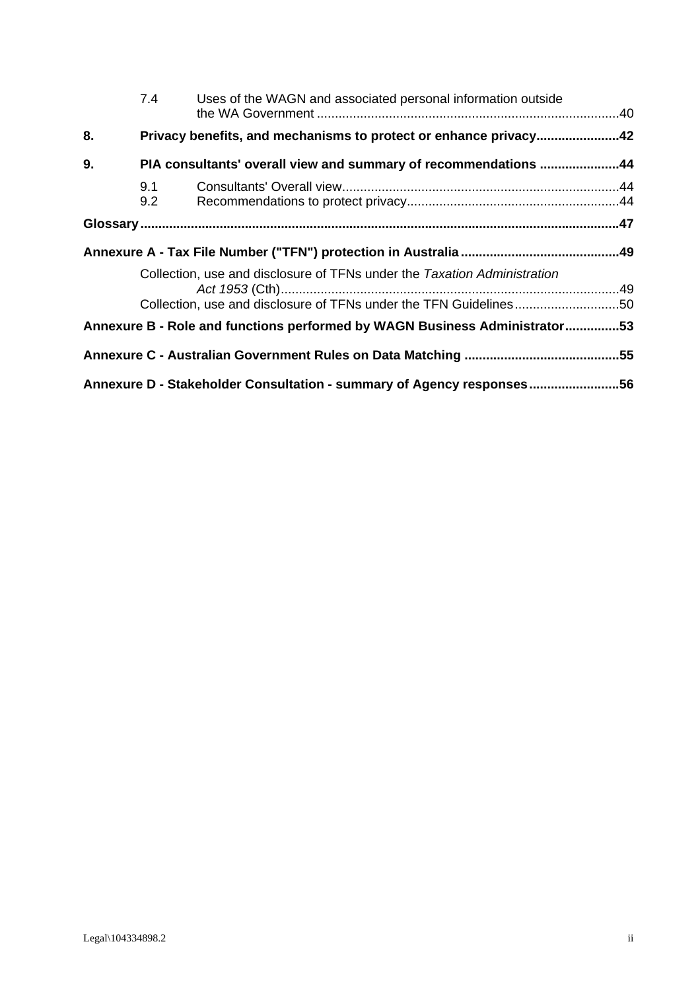|    | 7.4                                                                   | Uses of the WAGN and associated personal information outside                                                                                  |  |
|----|-----------------------------------------------------------------------|-----------------------------------------------------------------------------------------------------------------------------------------------|--|
| 8. |                                                                       | Privacy benefits, and mechanisms to protect or enhance privacy42                                                                              |  |
| 9. |                                                                       | PIA consultants' overall view and summary of recommendations 44                                                                               |  |
|    | 9.1<br>9.2                                                            |                                                                                                                                               |  |
|    |                                                                       |                                                                                                                                               |  |
|    |                                                                       |                                                                                                                                               |  |
|    |                                                                       | Collection, use and disclosure of TFNs under the Taxation Administration<br>Collection, use and disclosure of TFNs under the TFN Guidelines50 |  |
|    |                                                                       | Annexure B - Role and functions performed by WAGN Business Administrator53                                                                    |  |
|    |                                                                       |                                                                                                                                               |  |
|    | Annexure D - Stakeholder Consultation - summary of Agency responses56 |                                                                                                                                               |  |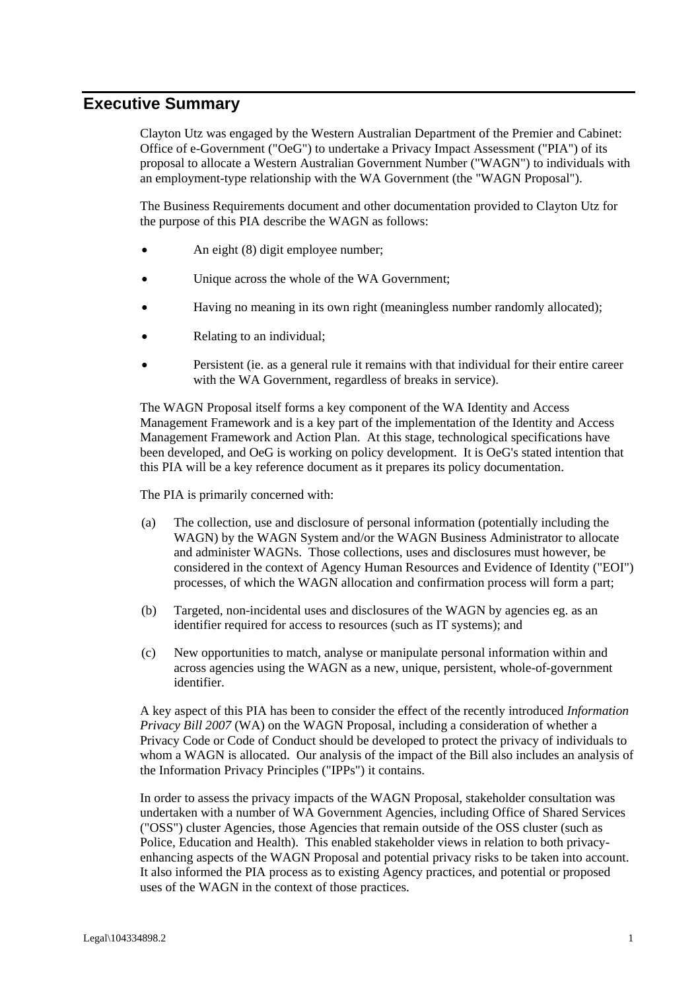# **Executive Summary**

Clayton Utz was engaged by the Western Australian Department of the Premier and Cabinet: Office of e-Government ("OeG") to undertake a Privacy Impact Assessment ("PIA") of its proposal to allocate a Western Australian Government Number ("WAGN") to individuals with an employment-type relationship with the WA Government (the "WAGN Proposal").

The Business Requirements document and other documentation provided to Clayton Utz for the purpose of this PIA describe the WAGN as follows:

- An eight (8) digit employee number;
- Unique across the whole of the WA Government;
- Having no meaning in its own right (meaningless number randomly allocated);
- Relating to an individual;
- Persistent (ie. as a general rule it remains with that individual for their entire career with the WA Government, regardless of breaks in service).

The WAGN Proposal itself forms a key component of the WA Identity and Access Management Framework and is a key part of the implementation of the Identity and Access Management Framework and Action Plan. At this stage, technological specifications have been developed, and OeG is working on policy development. It is OeG's stated intention that this PIA will be a key reference document as it prepares its policy documentation.

The PIA is primarily concerned with:

- (a) The collection, use and disclosure of personal information (potentially including the WAGN) by the WAGN System and/or the WAGN Business Administrator to allocate and administer WAGNs. Those collections, uses and disclosures must however, be considered in the context of Agency Human Resources and Evidence of Identity ("EOI") processes, of which the WAGN allocation and confirmation process will form a part;
- (b) Targeted, non-incidental uses and disclosures of the WAGN by agencies eg. as an identifier required for access to resources (such as IT systems); and
- (c) New opportunities to match, analyse or manipulate personal information within and across agencies using the WAGN as a new, unique, persistent, whole-of-government identifier.

A key aspect of this PIA has been to consider the effect of the recently introduced *Information Privacy Bill 2007* (WA) on the WAGN Proposal, including a consideration of whether a Privacy Code or Code of Conduct should be developed to protect the privacy of individuals to whom a WAGN is allocated. Our analysis of the impact of the Bill also includes an analysis of the Information Privacy Principles ("IPPs") it contains.

In order to assess the privacy impacts of the WAGN Proposal, stakeholder consultation was undertaken with a number of WA Government Agencies, including Office of Shared Services ("OSS") cluster Agencies, those Agencies that remain outside of the OSS cluster (such as Police, Education and Health). This enabled stakeholder views in relation to both privacyenhancing aspects of the WAGN Proposal and potential privacy risks to be taken into account. It also informed the PIA process as to existing Agency practices, and potential or proposed uses of the WAGN in the context of those practices.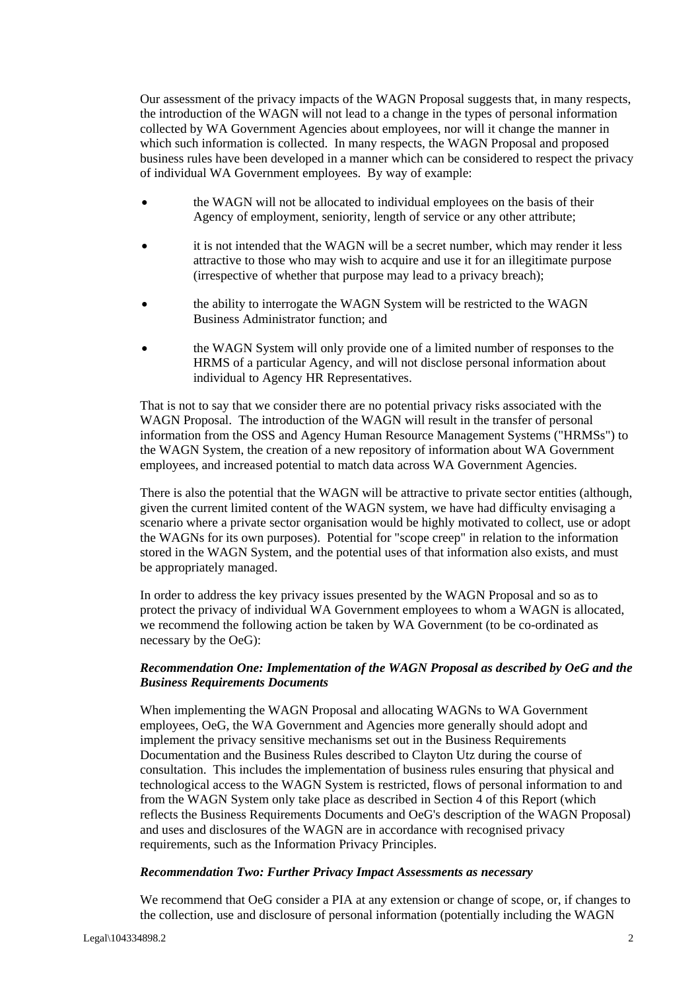Our assessment of the privacy impacts of the WAGN Proposal suggests that, in many respects, the introduction of the WAGN will not lead to a change in the types of personal information collected by WA Government Agencies about employees, nor will it change the manner in which such information is collected. In many respects, the WAGN Proposal and proposed business rules have been developed in a manner which can be considered to respect the privacy of individual WA Government employees. By way of example:

- the WAGN will not be allocated to individual employees on the basis of their Agency of employment, seniority, length of service or any other attribute;
- it is not intended that the WAGN will be a secret number, which may render it less attractive to those who may wish to acquire and use it for an illegitimate purpose (irrespective of whether that purpose may lead to a privacy breach);
- the ability to interrogate the WAGN System will be restricted to the WAGN Business Administrator function; and
- the WAGN System will only provide one of a limited number of responses to the HRMS of a particular Agency, and will not disclose personal information about individual to Agency HR Representatives.

That is not to say that we consider there are no potential privacy risks associated with the WAGN Proposal. The introduction of the WAGN will result in the transfer of personal information from the OSS and Agency Human Resource Management Systems ("HRMSs") to the WAGN System, the creation of a new repository of information about WA Government employees, and increased potential to match data across WA Government Agencies.

There is also the potential that the WAGN will be attractive to private sector entities (although, given the current limited content of the WAGN system, we have had difficulty envisaging a scenario where a private sector organisation would be highly motivated to collect, use or adopt the WAGNs for its own purposes). Potential for "scope creep" in relation to the information stored in the WAGN System, and the potential uses of that information also exists, and must be appropriately managed.

In order to address the key privacy issues presented by the WAGN Proposal and so as to protect the privacy of individual WA Government employees to whom a WAGN is allocated, we recommend the following action be taken by WA Government (to be co-ordinated as necessary by the OeG):

#### *Recommendation One: Implementation of the WAGN Proposal as described by OeG and the Business Requirements Documents*

When implementing the WAGN Proposal and allocating WAGNs to WA Government employees, OeG, the WA Government and Agencies more generally should adopt and implement the privacy sensitive mechanisms set out in the Business Requirements Documentation and the Business Rules described to Clayton Utz during the course of consultation. This includes the implementation of business rules ensuring that physical and technological access to the WAGN System is restricted, flows of personal information to and from the WAGN System only take place as described in Section 4 of this Report (which reflects the Business Requirements Documents and OeG's description of the WAGN Proposal) and uses and disclosures of the WAGN are in accordance with recognised privacy requirements, such as the Information Privacy Principles.

#### *Recommendation Two: Further Privacy Impact Assessments as necessary*

We recommend that OeG consider a PIA at any extension or change of scope, or, if changes to the collection, use and disclosure of personal information (potentially including the WAGN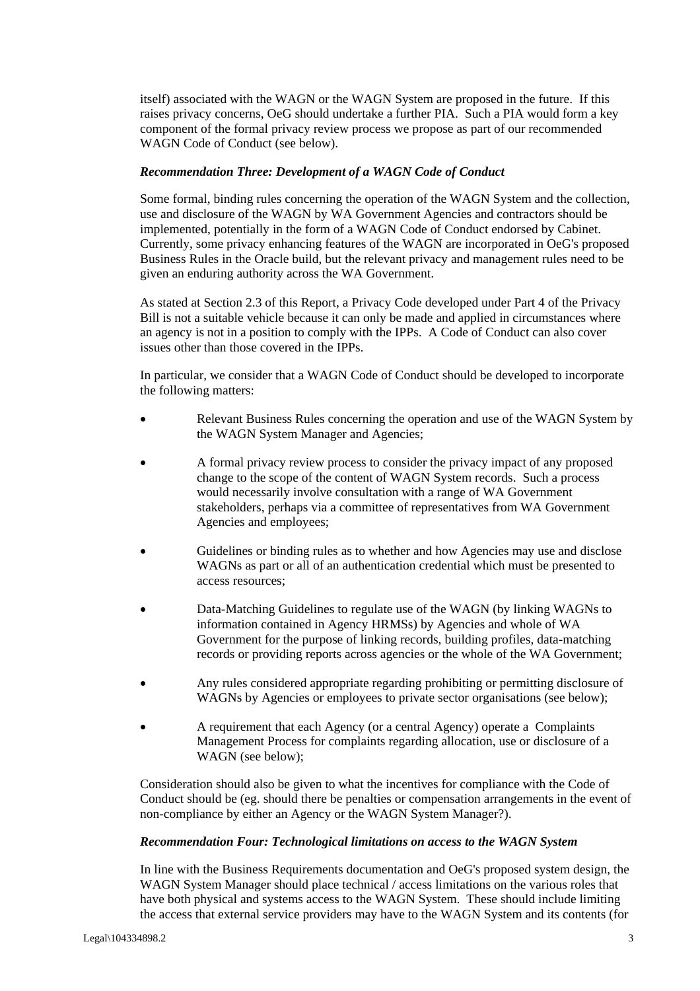itself) associated with the WAGN or the WAGN System are proposed in the future. If this raises privacy concerns, OeG should undertake a further PIA. Such a PIA would form a key component of the formal privacy review process we propose as part of our recommended WAGN Code of Conduct (see below).

#### *Recommendation Three: Development of a WAGN Code of Conduct*

Some formal, binding rules concerning the operation of the WAGN System and the collection, use and disclosure of the WAGN by WA Government Agencies and contractors should be implemented, potentially in the form of a WAGN Code of Conduct endorsed by Cabinet. Currently, some privacy enhancing features of the WAGN are incorporated in OeG's proposed Business Rules in the Oracle build, but the relevant privacy and management rules need to be given an enduring authority across the WA Government.

As stated at Section 2.3 of this Report, a Privacy Code developed under Part 4 of the Privacy Bill is not a suitable vehicle because it can only be made and applied in circumstances where an agency is not in a position to comply with the IPPs. A Code of Conduct can also cover issues other than those covered in the IPPs.

In particular, we consider that a WAGN Code of Conduct should be developed to incorporate the following matters:

- Relevant Business Rules concerning the operation and use of the WAGN System by the WAGN System Manager and Agencies;
- A formal privacy review process to consider the privacy impact of any proposed change to the scope of the content of WAGN System records. Such a process would necessarily involve consultation with a range of WA Government stakeholders, perhaps via a committee of representatives from WA Government Agencies and employees;
- Guidelines or binding rules as to whether and how Agencies may use and disclose WAGNs as part or all of an authentication credential which must be presented to access resources;
- Data-Matching Guidelines to regulate use of the WAGN (by linking WAGNs to information contained in Agency HRMSs) by Agencies and whole of WA Government for the purpose of linking records, building profiles, data-matching records or providing reports across agencies or the whole of the WA Government;
- Any rules considered appropriate regarding prohibiting or permitting disclosure of WAGNs by Agencies or employees to private sector organisations (see below);
- A requirement that each Agency (or a central Agency) operate a Complaints Management Process for complaints regarding allocation, use or disclosure of a WAGN (see below);

Consideration should also be given to what the incentives for compliance with the Code of Conduct should be (eg. should there be penalties or compensation arrangements in the event of non-compliance by either an Agency or the WAGN System Manager?).

#### *Recommendation Four: Technological limitations on access to the WAGN System*

In line with the Business Requirements documentation and OeG's proposed system design, the WAGN System Manager should place technical / access limitations on the various roles that have both physical and systems access to the WAGN System. These should include limiting the access that external service providers may have to the WAGN System and its contents (for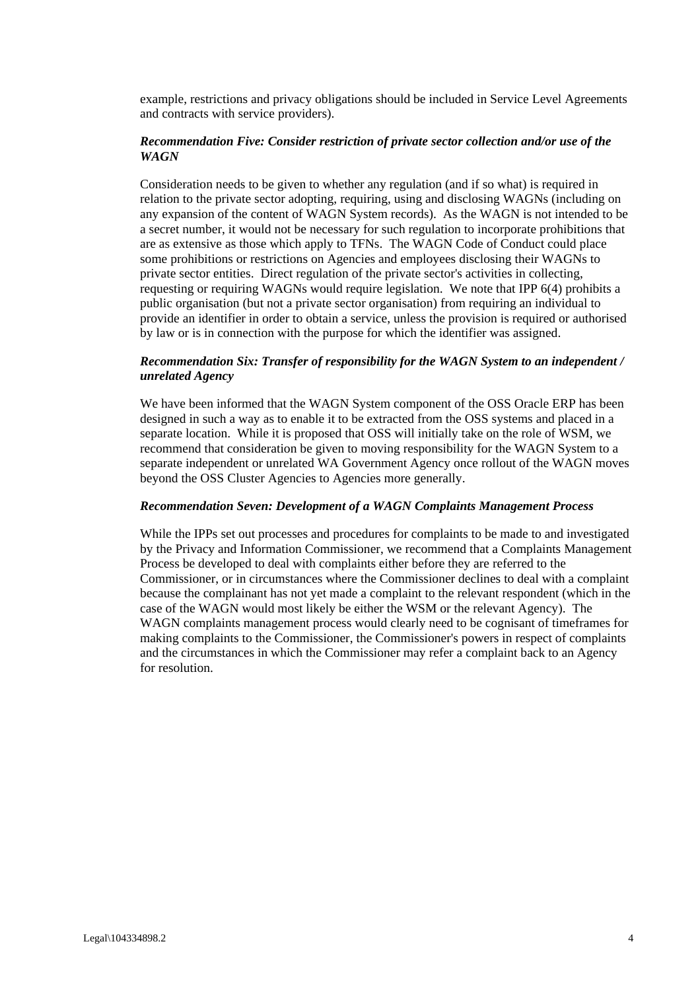example, restrictions and privacy obligations should be included in Service Level Agreements and contracts with service providers).

#### *Recommendation Five: Consider restriction of private sector collection and/or use of the WAGN*

Consideration needs to be given to whether any regulation (and if so what) is required in relation to the private sector adopting, requiring, using and disclosing WAGNs (including on any expansion of the content of WAGN System records). As the WAGN is not intended to be a secret number, it would not be necessary for such regulation to incorporate prohibitions that are as extensive as those which apply to TFNs. The WAGN Code of Conduct could place some prohibitions or restrictions on Agencies and employees disclosing their WAGNs to private sector entities. Direct regulation of the private sector's activities in collecting, requesting or requiring WAGNs would require legislation. We note that IPP 6(4) prohibits a public organisation (but not a private sector organisation) from requiring an individual to provide an identifier in order to obtain a service, unless the provision is required or authorised by law or is in connection with the purpose for which the identifier was assigned.

### *Recommendation Six: Transfer of responsibility for the WAGN System to an independent / unrelated Agency*

We have been informed that the WAGN System component of the OSS Oracle ERP has been designed in such a way as to enable it to be extracted from the OSS systems and placed in a separate location. While it is proposed that OSS will initially take on the role of WSM, we recommend that consideration be given to moving responsibility for the WAGN System to a separate independent or unrelated WA Government Agency once rollout of the WAGN moves beyond the OSS Cluster Agencies to Agencies more generally.

#### *Recommendation Seven: Development of a WAGN Complaints Management Process*

While the IPPs set out processes and procedures for complaints to be made to and investigated by the Privacy and Information Commissioner, we recommend that a Complaints Management Process be developed to deal with complaints either before they are referred to the Commissioner, or in circumstances where the Commissioner declines to deal with a complaint because the complainant has not yet made a complaint to the relevant respondent (which in the case of the WAGN would most likely be either the WSM or the relevant Agency). The WAGN complaints management process would clearly need to be cognisant of timeframes for making complaints to the Commissioner, the Commissioner's powers in respect of complaints and the circumstances in which the Commissioner may refer a complaint back to an Agency for resolution.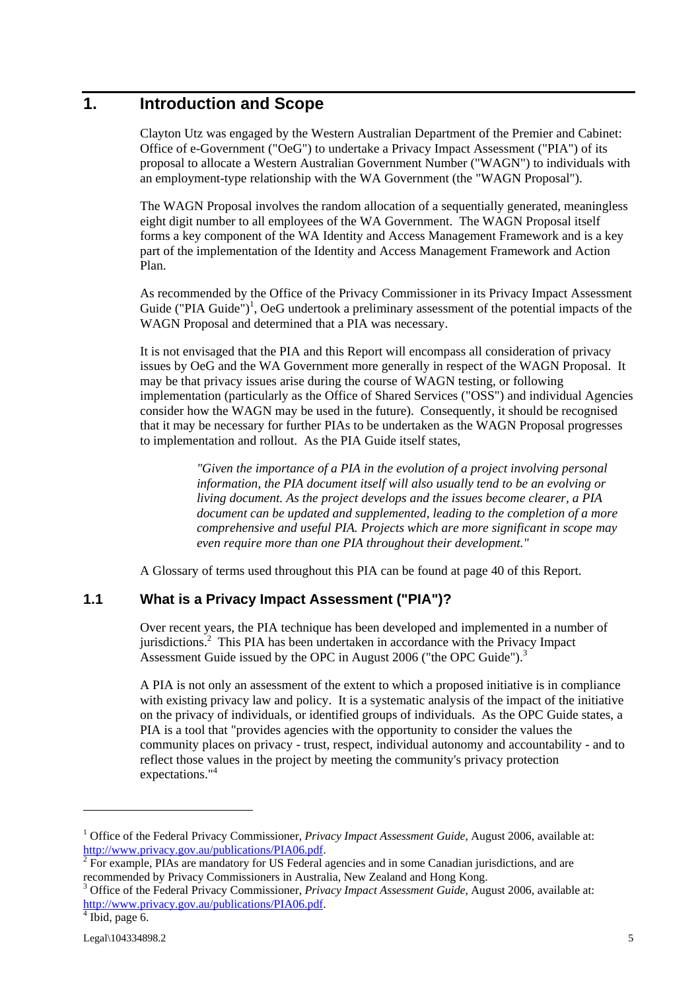# **1. Introduction and Scope**

Clayton Utz was engaged by the Western Australian Department of the Premier and Cabinet: Office of e-Government ("OeG") to undertake a Privacy Impact Assessment ("PIA") of its proposal to allocate a Western Australian Government Number ("WAGN") to individuals with an employment-type relationship with the WA Government (the "WAGN Proposal").

The WAGN Proposal involves the random allocation of a sequentially generated, meaningless eight digit number to all employees of the WA Government. The WAGN Proposal itself forms a key component of the WA Identity and Access Management Framework and is a key part of the implementation of the Identity and Access Management Framework and Action Plan.

As recommended by the Office of the Privacy Commissioner in its Privacy Impact Assessment Guide ("PIA Guide")<sup>1</sup>, OeG undertook a preliminary assessment of the potential impacts of the WAGN Proposal and determined that a PIA was necessary.

It is not envisaged that the PIA and this Report will encompass all consideration of privacy issues by OeG and the WA Government more generally in respect of the WAGN Proposal. It may be that privacy issues arise during the course of WAGN testing, or following implementation (particularly as the Office of Shared Services ("OSS") and individual Agencies consider how the WAGN may be used in the future). Consequently, it should be recognised that it may be necessary for further PIAs to be undertaken as the WAGN Proposal progresses to implementation and rollout. As the PIA Guide itself states,

> *"Given the importance of a PIA in the evolution of a project involving personal information, the PIA document itself will also usually tend to be an evolving or living document. As the project develops and the issues become clearer, a PIA document can be updated and supplemented, leading to the completion of a more comprehensive and useful PIA. Projects which are more significant in scope may even require more than one PIA throughout their development."*

A Glossary of terms used throughout this PIA can be found at page 40 of this Report.

# **1.1 What is a Privacy Impact Assessment ("PIA")?**

Over recent years, the PIA technique has been developed and implemented in a number of jurisdictions.<sup>2</sup> This PIA has been undertaken in accordance with the Privacy Impact Assessment Guide issued by the OPC in August 2006 ("the OPC Guide"). $3$ 

A PIA is not only an assessment of the extent to which a proposed initiative is in compliance with existing privacy law and policy. It is a systematic analysis of the impact of the initiative on the privacy of individuals, or identified groups of individuals. As the OPC Guide states, a PIA is a tool that "provides agencies with the opportunity to consider the values the community places on privacy - trust, respect, individual autonomy and accountability - and to reflect those values in the project by meeting the community's privacy protection expectations."<sup>4</sup>

<sup>&</sup>lt;sup>1</sup> Office of the Federal Privacy Commissioner, *Privacy Impact Assessment Guide*, August 2006, available at: http://www.privacy.gov.au/publications/PIA06.pdf. 2

<sup>&</sup>lt;sup>2</sup> For example, PIAs are mandatory for US Federal agencies and in some Canadian jurisdictions, and are recommended by Privacy Commissioners in Australia, New Zealand and Hong Kong. 3

Office of the Federal Privacy Commissioner, *Privacy Impact Assessment Guide*, August 2006, available at: http://www.privacy.gov.au/publications/PIA06.pdf.

 $4$  Ibid, page 6.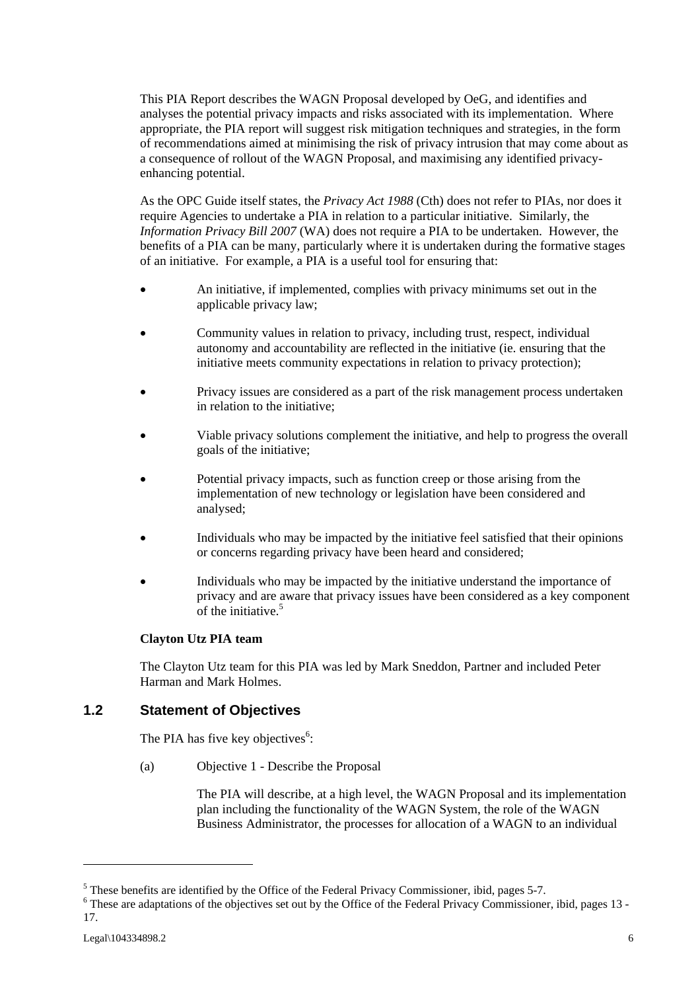This PIA Report describes the WAGN Proposal developed by OeG, and identifies and analyses the potential privacy impacts and risks associated with its implementation. Where appropriate, the PIA report will suggest risk mitigation techniques and strategies, in the form of recommendations aimed at minimising the risk of privacy intrusion that may come about as a consequence of rollout of the WAGN Proposal, and maximising any identified privacyenhancing potential.

As the OPC Guide itself states, the *Privacy Act 1988* (Cth) does not refer to PIAs, nor does it require Agencies to undertake a PIA in relation to a particular initiative. Similarly, the *Information Privacy Bill 2007* (WA) does not require a PIA to be undertaken. However, the benefits of a PIA can be many, particularly where it is undertaken during the formative stages of an initiative. For example, a PIA is a useful tool for ensuring that:

- An initiative, if implemented, complies with privacy minimums set out in the applicable privacy law;
- Community values in relation to privacy, including trust, respect, individual autonomy and accountability are reflected in the initiative (ie. ensuring that the initiative meets community expectations in relation to privacy protection);
- Privacy issues are considered as a part of the risk management process undertaken in relation to the initiative;
- Viable privacy solutions complement the initiative, and help to progress the overall goals of the initiative;
- Potential privacy impacts, such as function creep or those arising from the implementation of new technology or legislation have been considered and analysed;
- Individuals who may be impacted by the initiative feel satisfied that their opinions or concerns regarding privacy have been heard and considered;
- Individuals who may be impacted by the initiative understand the importance of privacy and are aware that privacy issues have been considered as a key component of the initiative. $5$

#### **Clayton Utz PIA team**

The Clayton Utz team for this PIA was led by Mark Sneddon, Partner and included Peter Harman and Mark Holmes.

# **1.2 Statement of Objectives**

The PIA has five key objectives $6$ :

(a) Objective 1 - Describe the Proposal

The PIA will describe, at a high level, the WAGN Proposal and its implementation plan including the functionality of the WAGN System, the role of the WAGN Business Administrator, the processes for allocation of a WAGN to an individual

 $<sup>5</sup>$  These benefits are identified by the Office of the Federal Privacy Commissioner, ibid, pages 5-7.</sup>

<sup>&</sup>lt;sup>6</sup> These are adaptations of the objectives set out by the Office of the Federal Privacy Commissioner, ibid, pages 13 -17.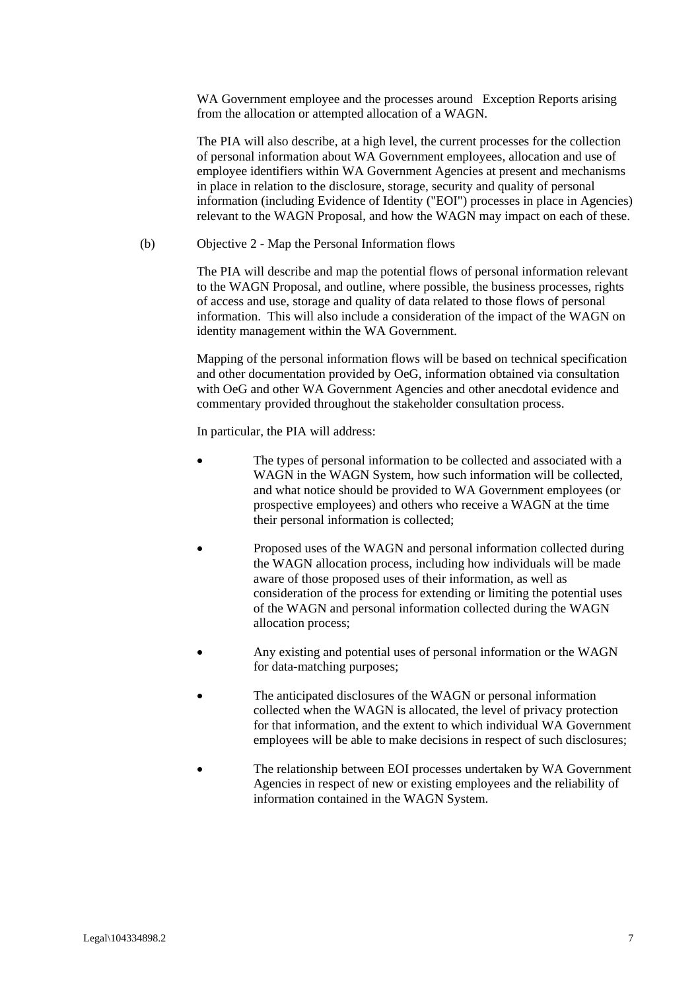WA Government employee and the processes around Exception Reports arising from the allocation or attempted allocation of a WAGN.

The PIA will also describe, at a high level, the current processes for the collection of personal information about WA Government employees, allocation and use of employee identifiers within WA Government Agencies at present and mechanisms in place in relation to the disclosure, storage, security and quality of personal information (including Evidence of Identity ("EOI") processes in place in Agencies) relevant to the WAGN Proposal, and how the WAGN may impact on each of these.

(b) Objective 2 - Map the Personal Information flows

The PIA will describe and map the potential flows of personal information relevant to the WAGN Proposal, and outline, where possible, the business processes, rights of access and use, storage and quality of data related to those flows of personal information. This will also include a consideration of the impact of the WAGN on identity management within the WA Government.

Mapping of the personal information flows will be based on technical specification and other documentation provided by OeG, information obtained via consultation with OeG and other WA Government Agencies and other anecdotal evidence and commentary provided throughout the stakeholder consultation process.

In particular, the PIA will address:

- The types of personal information to be collected and associated with a WAGN in the WAGN System, how such information will be collected. and what notice should be provided to WA Government employees (or prospective employees) and others who receive a WAGN at the time their personal information is collected;
- Proposed uses of the WAGN and personal information collected during the WAGN allocation process, including how individuals will be made aware of those proposed uses of their information, as well as consideration of the process for extending or limiting the potential uses of the WAGN and personal information collected during the WAGN allocation process;
- Any existing and potential uses of personal information or the WAGN for data-matching purposes;
- The anticipated disclosures of the WAGN or personal information collected when the WAGN is allocated, the level of privacy protection for that information, and the extent to which individual WA Government employees will be able to make decisions in respect of such disclosures;
- The relationship between EOI processes undertaken by WA Government Agencies in respect of new or existing employees and the reliability of information contained in the WAGN System.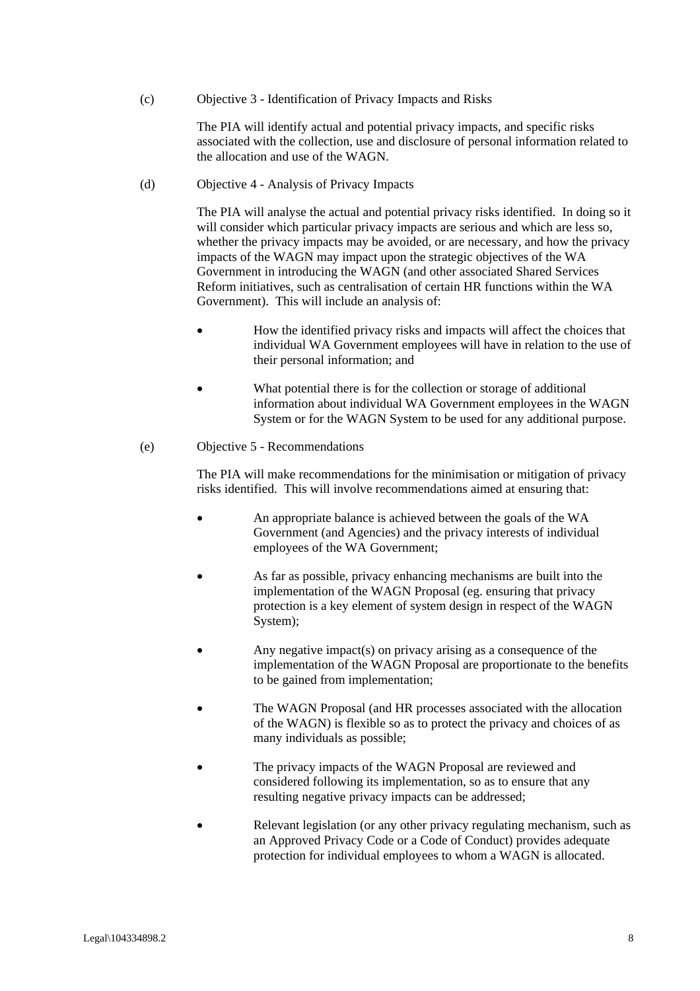(c) Objective 3 - Identification of Privacy Impacts and Risks

The PIA will identify actual and potential privacy impacts, and specific risks associated with the collection, use and disclosure of personal information related to the allocation and use of the WAGN.

(d) Objective 4 - Analysis of Privacy Impacts

The PIA will analyse the actual and potential privacy risks identified. In doing so it will consider which particular privacy impacts are serious and which are less so, whether the privacy impacts may be avoided, or are necessary, and how the privacy impacts of the WAGN may impact upon the strategic objectives of the WA Government in introducing the WAGN (and other associated Shared Services Reform initiatives, such as centralisation of certain HR functions within the WA Government). This will include an analysis of:

- How the identified privacy risks and impacts will affect the choices that individual WA Government employees will have in relation to the use of their personal information; and
- What potential there is for the collection or storage of additional information about individual WA Government employees in the WAGN System or for the WAGN System to be used for any additional purpose.

#### (e) Objective 5 - Recommendations

The PIA will make recommendations for the minimisation or mitigation of privacy risks identified. This will involve recommendations aimed at ensuring that:

- An appropriate balance is achieved between the goals of the WA Government (and Agencies) and the privacy interests of individual employees of the WA Government;
- As far as possible, privacy enhancing mechanisms are built into the implementation of the WAGN Proposal (eg. ensuring that privacy protection is a key element of system design in respect of the WAGN System);
- Any negative impact(s) on privacy arising as a consequence of the implementation of the WAGN Proposal are proportionate to the benefits to be gained from implementation;
- The WAGN Proposal (and HR processes associated with the allocation of the WAGN) is flexible so as to protect the privacy and choices of as many individuals as possible;
- The privacy impacts of the WAGN Proposal are reviewed and considered following its implementation, so as to ensure that any resulting negative privacy impacts can be addressed;
- Relevant legislation (or any other privacy regulating mechanism, such as an Approved Privacy Code or a Code of Conduct) provides adequate protection for individual employees to whom a WAGN is allocated.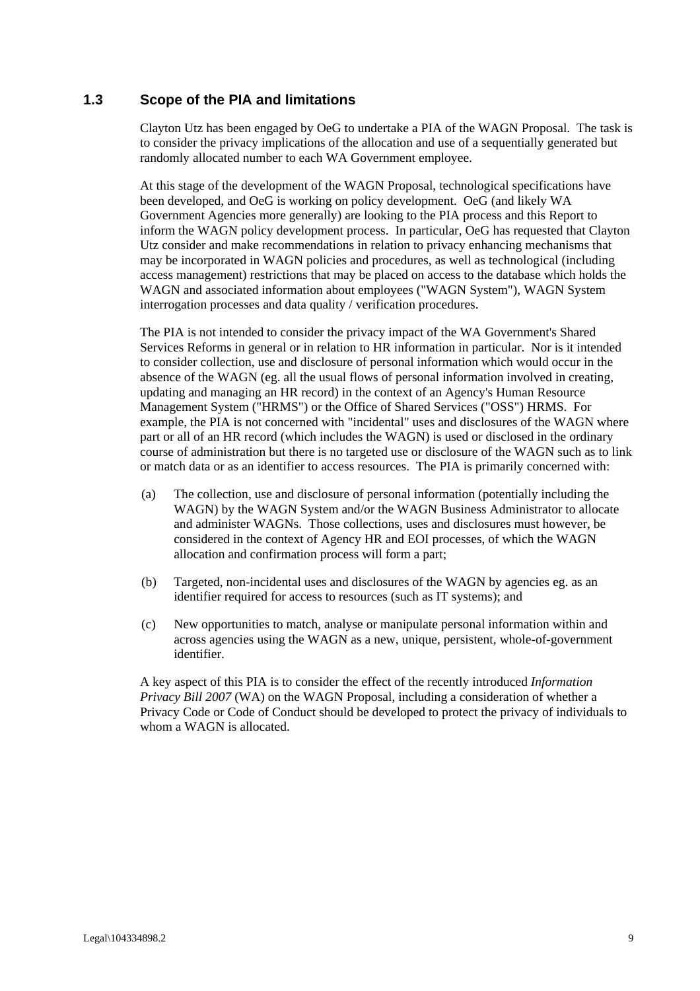# **1.3 Scope of the PIA and limitations**

Clayton Utz has been engaged by OeG to undertake a PIA of the WAGN Proposal. The task is to consider the privacy implications of the allocation and use of a sequentially generated but randomly allocated number to each WA Government employee.

At this stage of the development of the WAGN Proposal, technological specifications have been developed, and OeG is working on policy development. OeG (and likely WA Government Agencies more generally) are looking to the PIA process and this Report to inform the WAGN policy development process. In particular, OeG has requested that Clayton Utz consider and make recommendations in relation to privacy enhancing mechanisms that may be incorporated in WAGN policies and procedures, as well as technological (including access management) restrictions that may be placed on access to the database which holds the WAGN and associated information about employees ("WAGN System"), WAGN System interrogation processes and data quality / verification procedures.

The PIA is not intended to consider the privacy impact of the WA Government's Shared Services Reforms in general or in relation to HR information in particular. Nor is it intended to consider collection, use and disclosure of personal information which would occur in the absence of the WAGN (eg. all the usual flows of personal information involved in creating, updating and managing an HR record) in the context of an Agency's Human Resource Management System ("HRMS") or the Office of Shared Services ("OSS") HRMS. For example, the PIA is not concerned with "incidental" uses and disclosures of the WAGN where part or all of an HR record (which includes the WAGN) is used or disclosed in the ordinary course of administration but there is no targeted use or disclosure of the WAGN such as to link or match data or as an identifier to access resources. The PIA is primarily concerned with:

- (a) The collection, use and disclosure of personal information (potentially including the WAGN) by the WAGN System and/or the WAGN Business Administrator to allocate and administer WAGNs. Those collections, uses and disclosures must however, be considered in the context of Agency HR and EOI processes, of which the WAGN allocation and confirmation process will form a part;
- (b) Targeted, non-incidental uses and disclosures of the WAGN by agencies eg. as an identifier required for access to resources (such as IT systems); and
- (c) New opportunities to match, analyse or manipulate personal information within and across agencies using the WAGN as a new, unique, persistent, whole-of-government identifier.

A key aspect of this PIA is to consider the effect of the recently introduced *Information Privacy Bill 2007* (WA) on the WAGN Proposal, including a consideration of whether a Privacy Code or Code of Conduct should be developed to protect the privacy of individuals to whom a WAGN is allocated.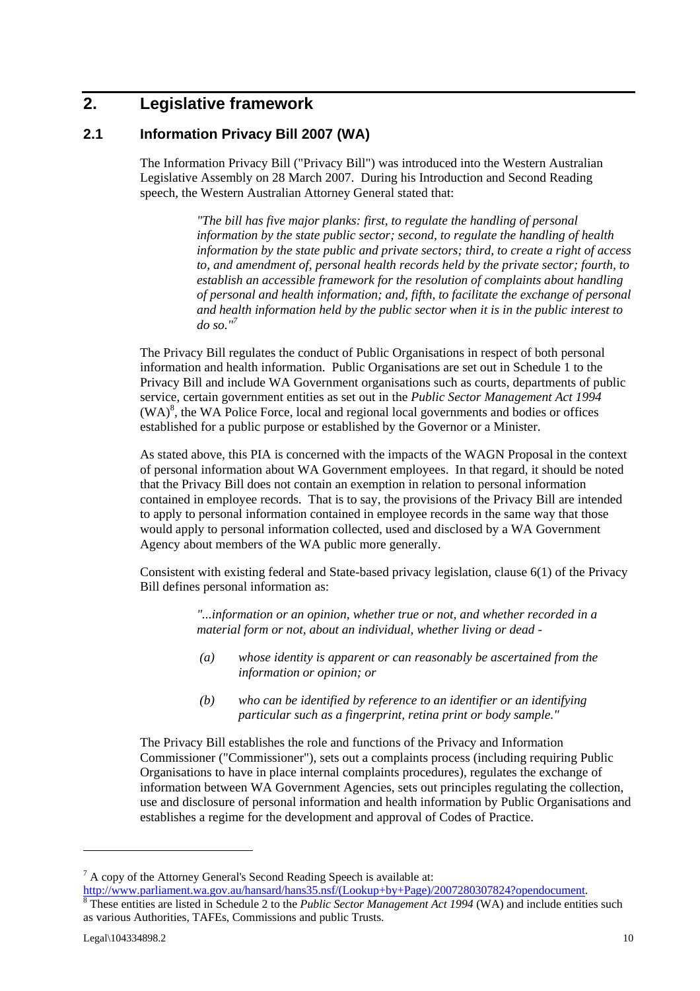# **2. Legislative framework**

### **2.1 Information Privacy Bill 2007 (WA)**

The Information Privacy Bill ("Privacy Bill") was introduced into the Western Australian Legislative Assembly on 28 March 2007. During his Introduction and Second Reading speech, the Western Australian Attorney General stated that:

> *"The bill has five major planks: first, to regulate the handling of personal information by the state public sector; second, to regulate the handling of health information by the state public and private sectors; third, to create a right of access to, and amendment of, personal health records held by the private sector; fourth, to establish an accessible framework for the resolution of complaints about handling of personal and health information; and, fifth, to facilitate the exchange of personal and health information held by the public sector when it is in the public interest to do so."7*

The Privacy Bill regulates the conduct of Public Organisations in respect of both personal information and health information. Public Organisations are set out in Schedule 1 to the Privacy Bill and include WA Government organisations such as courts, departments of public service, certain government entities as set out in the *Public Sector Management Act 1994*   $(WA)<sup>8</sup>$ , the WA Police Force, local and regional local governments and bodies or offices established for a public purpose or established by the Governor or a Minister.

As stated above, this PIA is concerned with the impacts of the WAGN Proposal in the context of personal information about WA Government employees. In that regard, it should be noted that the Privacy Bill does not contain an exemption in relation to personal information contained in employee records. That is to say, the provisions of the Privacy Bill are intended to apply to personal information contained in employee records in the same way that those would apply to personal information collected, used and disclosed by a WA Government Agency about members of the WA public more generally.

Consistent with existing federal and State-based privacy legislation, clause 6(1) of the Privacy Bill defines personal information as:

> *"...information or an opinion, whether true or not, and whether recorded in a material form or not, about an individual, whether living or dead -*

- *(a) whose identity is apparent or can reasonably be ascertained from the information or opinion; or*
- *(b) who can be identified by reference to an identifier or an identifying particular such as a fingerprint, retina print or body sample."*

The Privacy Bill establishes the role and functions of the Privacy and Information Commissioner ("Commissioner"), sets out a complaints process (including requiring Public Organisations to have in place internal complaints procedures), regulates the exchange of information between WA Government Agencies, sets out principles regulating the collection, use and disclosure of personal information and health information by Public Organisations and establishes a regime for the development and approval of Codes of Practice.

 $7 A$  copy of the Attorney General's Second Reading Speech is available at:

http://www.parliament.wa.gov.au/hansard/hans35.nsf/(Lookup+by+Page)/2007280307824?opendocument.<br><sup>8</sup> These entities are listed in Schedule 2 to the *Public Sector Management Act 1994* (WA) and include entities such as various Authorities, TAFEs, Commissions and public Trusts.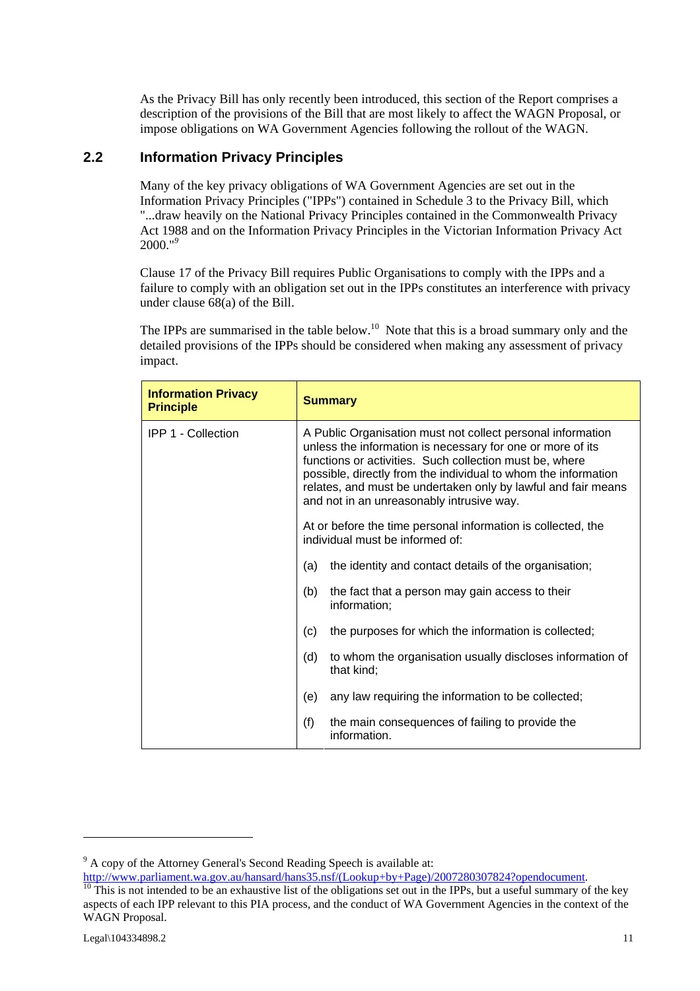As the Privacy Bill has only recently been introduced, this section of the Report comprises a description of the provisions of the Bill that are most likely to affect the WAGN Proposal, or impose obligations on WA Government Agencies following the rollout of the WAGN.

# **2.2 Information Privacy Principles**

Many of the key privacy obligations of WA Government Agencies are set out in the Information Privacy Principles ("IPPs") contained in Schedule 3 to the Privacy Bill, which "...draw heavily on the National Privacy Principles contained in the Commonwealth Privacy Act 1988 and on the Information Privacy Principles in the Victorian Information Privacy Act 2000."*<sup>9</sup>*

Clause 17 of the Privacy Bill requires Public Organisations to comply with the IPPs and a failure to comply with an obligation set out in the IPPs constitutes an interference with privacy under clause 68(a) of the Bill.

The IPPs are summarised in the table below.<sup>10</sup> Note that this is a broad summary only and the detailed provisions of the IPPs should be considered when making any assessment of privacy impact.

| <b>Information Privacy</b><br><b>Principle</b> | <b>Summary</b>                                                                                                                                                                                                                                                                                                                                                       |  |
|------------------------------------------------|----------------------------------------------------------------------------------------------------------------------------------------------------------------------------------------------------------------------------------------------------------------------------------------------------------------------------------------------------------------------|--|
| <b>IPP 1 - Collection</b>                      | A Public Organisation must not collect personal information<br>unless the information is necessary for one or more of its<br>functions or activities. Such collection must be, where<br>possible, directly from the individual to whom the information<br>relates, and must be undertaken only by lawful and fair means<br>and not in an unreasonably intrusive way. |  |
|                                                | At or before the time personal information is collected, the<br>individual must be informed of:                                                                                                                                                                                                                                                                      |  |
|                                                | the identity and contact details of the organisation;<br>(a)                                                                                                                                                                                                                                                                                                         |  |
|                                                | (b)<br>the fact that a person may gain access to their<br>information;                                                                                                                                                                                                                                                                                               |  |
|                                                | (c)<br>the purposes for which the information is collected;                                                                                                                                                                                                                                                                                                          |  |
|                                                | to whom the organisation usually discloses information of<br>(d)<br>that kind;                                                                                                                                                                                                                                                                                       |  |
|                                                | any law requiring the information to be collected;<br>(e)                                                                                                                                                                                                                                                                                                            |  |
|                                                | (f)<br>the main consequences of failing to provide the<br>information.                                                                                                                                                                                                                                                                                               |  |

 $9^9$  A copy of the Attorney General's Second Reading Speech is available at:

http://www.parliament.wa.gov.au/hansard/hans35.nsf/(Lookup+by+Page)/2007280307824?opendocument.<br><sup>10</sup> This is not intended to be an exhaustive list of the obligations set out in the IPPs, but a useful summary of the key

aspects of each IPP relevant to this PIA process, and the conduct of WA Government Agencies in the context of the WAGN Proposal.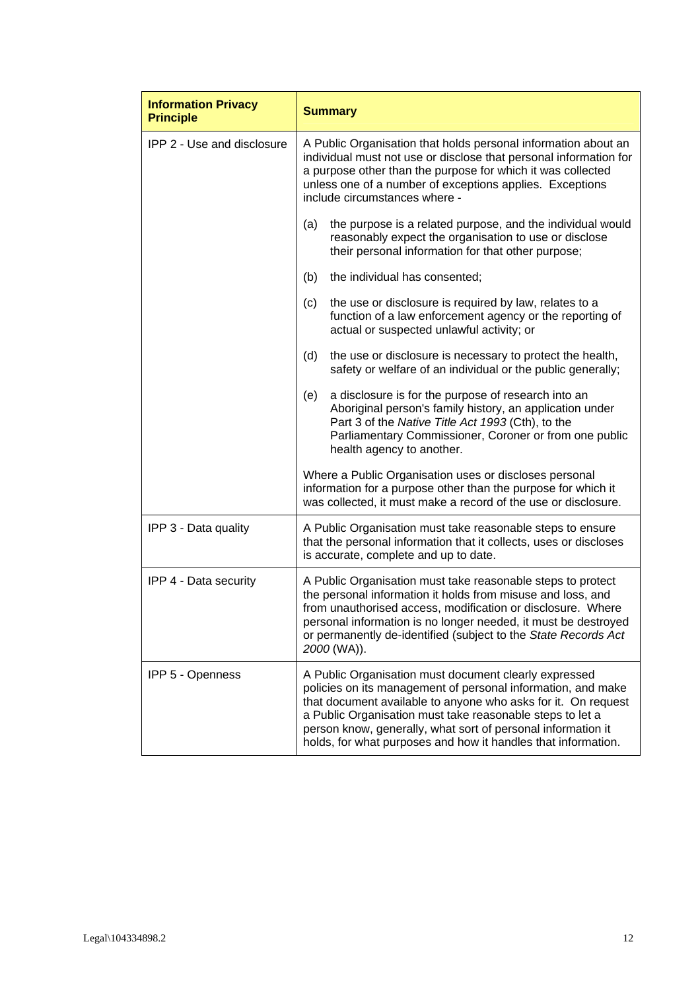| <b>Information Privacy</b><br><b>Principle</b> | <b>Summary</b>                                                                                                                                                                                                                                                                                                                                                                       |  |  |
|------------------------------------------------|--------------------------------------------------------------------------------------------------------------------------------------------------------------------------------------------------------------------------------------------------------------------------------------------------------------------------------------------------------------------------------------|--|--|
| <b>IPP 2 - Use and disclosure</b>              | A Public Organisation that holds personal information about an<br>individual must not use or disclose that personal information for<br>a purpose other than the purpose for which it was collected<br>unless one of a number of exceptions applies. Exceptions<br>include circumstances where -                                                                                      |  |  |
|                                                | the purpose is a related purpose, and the individual would<br>(a)<br>reasonably expect the organisation to use or disclose<br>their personal information for that other purpose;                                                                                                                                                                                                     |  |  |
|                                                | the individual has consented;<br>(b)                                                                                                                                                                                                                                                                                                                                                 |  |  |
|                                                | the use or disclosure is required by law, relates to a<br>(c)<br>function of a law enforcement agency or the reporting of<br>actual or suspected unlawful activity; or                                                                                                                                                                                                               |  |  |
|                                                | the use or disclosure is necessary to protect the health,<br>(d)<br>safety or welfare of an individual or the public generally;                                                                                                                                                                                                                                                      |  |  |
|                                                | a disclosure is for the purpose of research into an<br>(e)<br>Aboriginal person's family history, an application under<br>Part 3 of the Native Title Act 1993 (Cth), to the<br>Parliamentary Commissioner, Coroner or from one public<br>health agency to another.                                                                                                                   |  |  |
|                                                | Where a Public Organisation uses or discloses personal<br>information for a purpose other than the purpose for which it<br>was collected, it must make a record of the use or disclosure.                                                                                                                                                                                            |  |  |
| IPP 3 - Data quality                           | A Public Organisation must take reasonable steps to ensure<br>that the personal information that it collects, uses or discloses<br>is accurate, complete and up to date.                                                                                                                                                                                                             |  |  |
| IPP 4 - Data security                          | A Public Organisation must take reasonable steps to protect<br>the personal information it holds from misuse and loss, and<br>from unauthorised access, modification or disclosure. Where<br>personal information is no longer needed, it must be destroyed<br>or permanently de-identified (subject to the State Records Act<br>2000 (WA)).                                         |  |  |
| IPP 5 - Openness                               | A Public Organisation must document clearly expressed<br>policies on its management of personal information, and make<br>that document available to anyone who asks for it. On request<br>a Public Organisation must take reasonable steps to let a<br>person know, generally, what sort of personal information it<br>holds, for what purposes and how it handles that information. |  |  |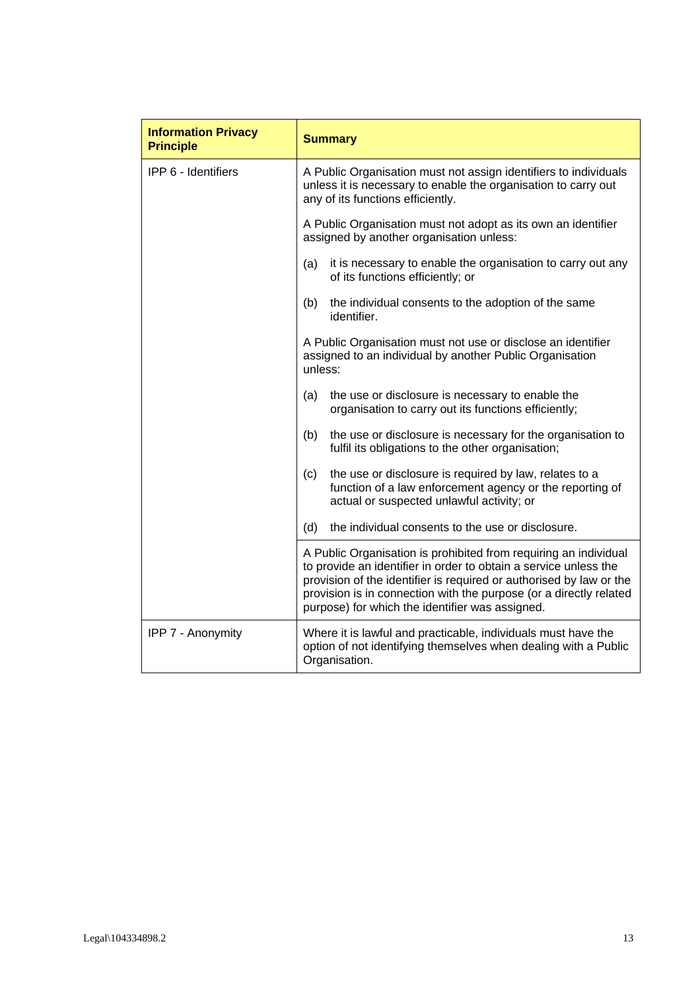| <b>Information Privacy</b><br><b>Principle</b> | <b>Summary</b>                                                                                                                                                                                                                                                                                                                       |
|------------------------------------------------|--------------------------------------------------------------------------------------------------------------------------------------------------------------------------------------------------------------------------------------------------------------------------------------------------------------------------------------|
| <b>IPP 6 - Identifiers</b>                     | A Public Organisation must not assign identifiers to individuals<br>unless it is necessary to enable the organisation to carry out<br>any of its functions efficiently.                                                                                                                                                              |
|                                                | A Public Organisation must not adopt as its own an identifier<br>assigned by another organisation unless:                                                                                                                                                                                                                            |
|                                                | it is necessary to enable the organisation to carry out any<br>(a)<br>of its functions efficiently; or                                                                                                                                                                                                                               |
|                                                | the individual consents to the adoption of the same<br>(b)<br>identifier.                                                                                                                                                                                                                                                            |
|                                                | A Public Organisation must not use or disclose an identifier<br>assigned to an individual by another Public Organisation<br>unless:                                                                                                                                                                                                  |
|                                                | the use or disclosure is necessary to enable the<br>(a)<br>organisation to carry out its functions efficiently;                                                                                                                                                                                                                      |
|                                                | (b)<br>the use or disclosure is necessary for the organisation to<br>fulfil its obligations to the other organisation;                                                                                                                                                                                                               |
|                                                | the use or disclosure is required by law, relates to a<br>(c)<br>function of a law enforcement agency or the reporting of<br>actual or suspected unlawful activity; or                                                                                                                                                               |
|                                                | (d)<br>the individual consents to the use or disclosure.                                                                                                                                                                                                                                                                             |
|                                                | A Public Organisation is prohibited from requiring an individual<br>to provide an identifier in order to obtain a service unless the<br>provision of the identifier is required or authorised by law or the<br>provision is in connection with the purpose (or a directly related<br>purpose) for which the identifier was assigned. |
| IPP 7 - Anonymity                              | Where it is lawful and practicable, individuals must have the<br>option of not identifying themselves when dealing with a Public<br>Organisation.                                                                                                                                                                                    |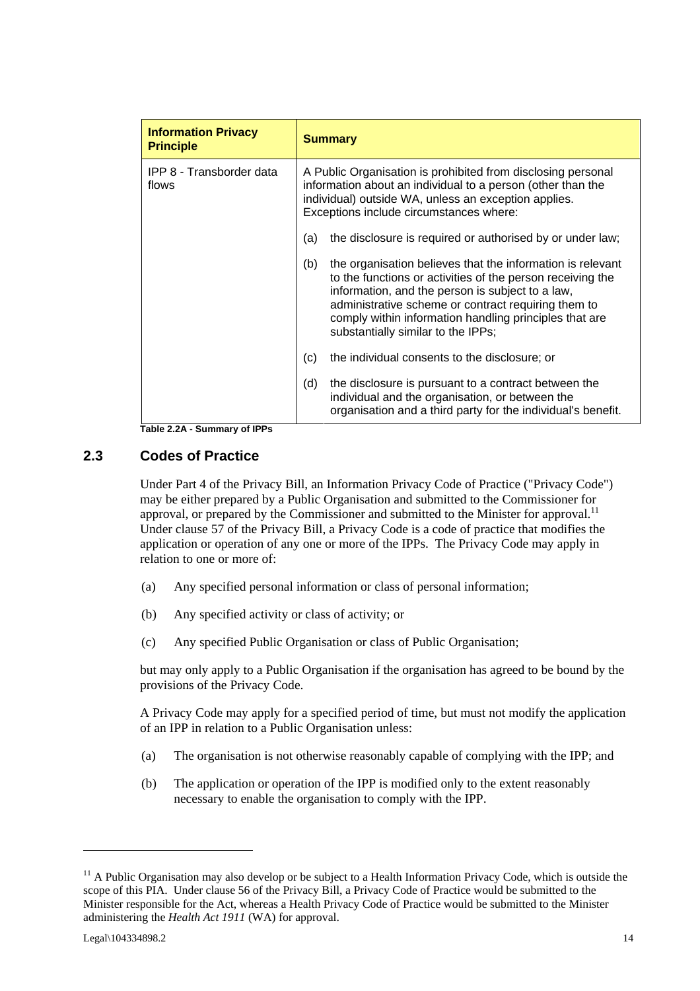| <b>Information Privacy</b><br><b>Principle</b> | <b>Summary</b>                                                                                                                                                                                                                                                                                                                             |  |  |
|------------------------------------------------|--------------------------------------------------------------------------------------------------------------------------------------------------------------------------------------------------------------------------------------------------------------------------------------------------------------------------------------------|--|--|
| IPP 8 - Transborder data<br>flows              | A Public Organisation is prohibited from disclosing personal<br>information about an individual to a person (other than the<br>individual) outside WA, unless an exception applies.<br>Exceptions include circumstances where:                                                                                                             |  |  |
|                                                | the disclosure is required or authorised by or under law;<br>(a)                                                                                                                                                                                                                                                                           |  |  |
|                                                | (b)<br>the organisation believes that the information is relevant<br>to the functions or activities of the person receiving the<br>information, and the person is subject to a law,<br>administrative scheme or contract requiring them to<br>comply within information handling principles that are<br>substantially similar to the IPPs; |  |  |
|                                                | the individual consents to the disclosure; or<br>(c)                                                                                                                                                                                                                                                                                       |  |  |
|                                                | (d)<br>the disclosure is pursuant to a contract between the<br>individual and the organisation, or between the<br>organisation and a third party for the individual's benefit.                                                                                                                                                             |  |  |

**Table 2.2A - Summary of IPPs** 

# **2.3 Codes of Practice**

Under Part 4 of the Privacy Bill, an Information Privacy Code of Practice ("Privacy Code") may be either prepared by a Public Organisation and submitted to the Commissioner for approval, or prepared by the Commissioner and submitted to the Minister for approval.<sup>11</sup> Under clause 57 of the Privacy Bill, a Privacy Code is a code of practice that modifies the application or operation of any one or more of the IPPs. The Privacy Code may apply in relation to one or more of:

- (a) Any specified personal information or class of personal information;
- (b) Any specified activity or class of activity; or
- (c) Any specified Public Organisation or class of Public Organisation;

but may only apply to a Public Organisation if the organisation has agreed to be bound by the provisions of the Privacy Code.

A Privacy Code may apply for a specified period of time, but must not modify the application of an IPP in relation to a Public Organisation unless:

- (a) The organisation is not otherwise reasonably capable of complying with the IPP; and
- (b) The application or operation of the IPP is modified only to the extent reasonably necessary to enable the organisation to comply with the IPP.

 $11$  A Public Organisation may also develop or be subject to a Health Information Privacy Code, which is outside the scope of this PIA. Under clause 56 of the Privacy Bill, a Privacy Code of Practice would be submitted to the Minister responsible for the Act, whereas a Health Privacy Code of Practice would be submitted to the Minister administering the *Health Act 1911* (WA) for approval.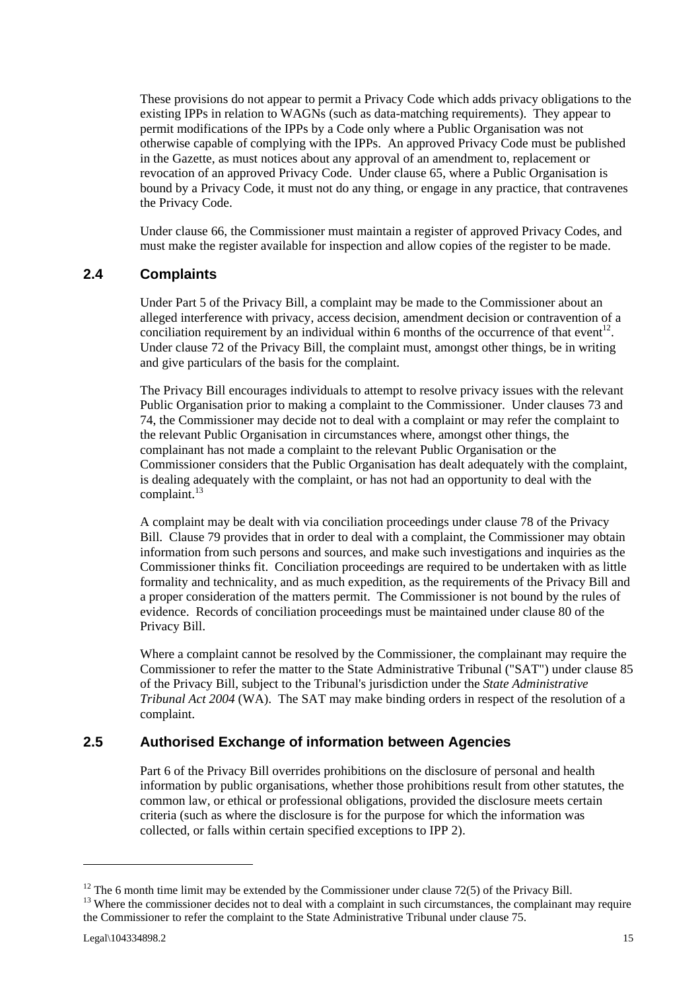These provisions do not appear to permit a Privacy Code which adds privacy obligations to the existing IPPs in relation to WAGNs (such as data-matching requirements). They appear to permit modifications of the IPPs by a Code only where a Public Organisation was not otherwise capable of complying with the IPPs. An approved Privacy Code must be published in the Gazette, as must notices about any approval of an amendment to, replacement or revocation of an approved Privacy Code. Under clause 65, where a Public Organisation is bound by a Privacy Code, it must not do any thing, or engage in any practice, that contravenes the Privacy Code.

Under clause 66, the Commissioner must maintain a register of approved Privacy Codes, and must make the register available for inspection and allow copies of the register to be made.

### **2.4 Complaints**

Under Part 5 of the Privacy Bill, a complaint may be made to the Commissioner about an alleged interference with privacy, access decision, amendment decision or contravention of a conciliation requirement by an individual within 6 months of the occurrence of that event<sup>12</sup>. Under clause 72 of the Privacy Bill, the complaint must, amongst other things, be in writing and give particulars of the basis for the complaint.

The Privacy Bill encourages individuals to attempt to resolve privacy issues with the relevant Public Organisation prior to making a complaint to the Commissioner. Under clauses 73 and 74, the Commissioner may decide not to deal with a complaint or may refer the complaint to the relevant Public Organisation in circumstances where, amongst other things, the complainant has not made a complaint to the relevant Public Organisation or the Commissioner considers that the Public Organisation has dealt adequately with the complaint, is dealing adequately with the complaint, or has not had an opportunity to deal with the complaint. $^{13}$ 

A complaint may be dealt with via conciliation proceedings under clause 78 of the Privacy Bill. Clause 79 provides that in order to deal with a complaint, the Commissioner may obtain information from such persons and sources, and make such investigations and inquiries as the Commissioner thinks fit. Conciliation proceedings are required to be undertaken with as little formality and technicality, and as much expedition, as the requirements of the Privacy Bill and a proper consideration of the matters permit. The Commissioner is not bound by the rules of evidence. Records of conciliation proceedings must be maintained under clause 80 of the Privacy Bill.

Where a complaint cannot be resolved by the Commissioner, the complainant may require the Commissioner to refer the matter to the State Administrative Tribunal ("SAT") under clause 85 of the Privacy Bill, subject to the Tribunal's jurisdiction under the *State Administrative Tribunal Act 2004* (WA). The SAT may make binding orders in respect of the resolution of a complaint.

# **2.5 Authorised Exchange of information between Agencies**

Part 6 of the Privacy Bill overrides prohibitions on the disclosure of personal and health information by public organisations, whether those prohibitions result from other statutes, the common law, or ethical or professional obligations, provided the disclosure meets certain criteria (such as where the disclosure is for the purpose for which the information was collected, or falls within certain specified exceptions to IPP 2).

 $12$  The 6 month time limit may be extended by the Commissioner under clause 72(5) of the Privacy Bill.

<sup>&</sup>lt;sup>13</sup> Where the commissioner decides not to deal with a complaint in such circumstances, the complainant may require the Commissioner to refer the complaint to the State Administrative Tribunal under clause 75.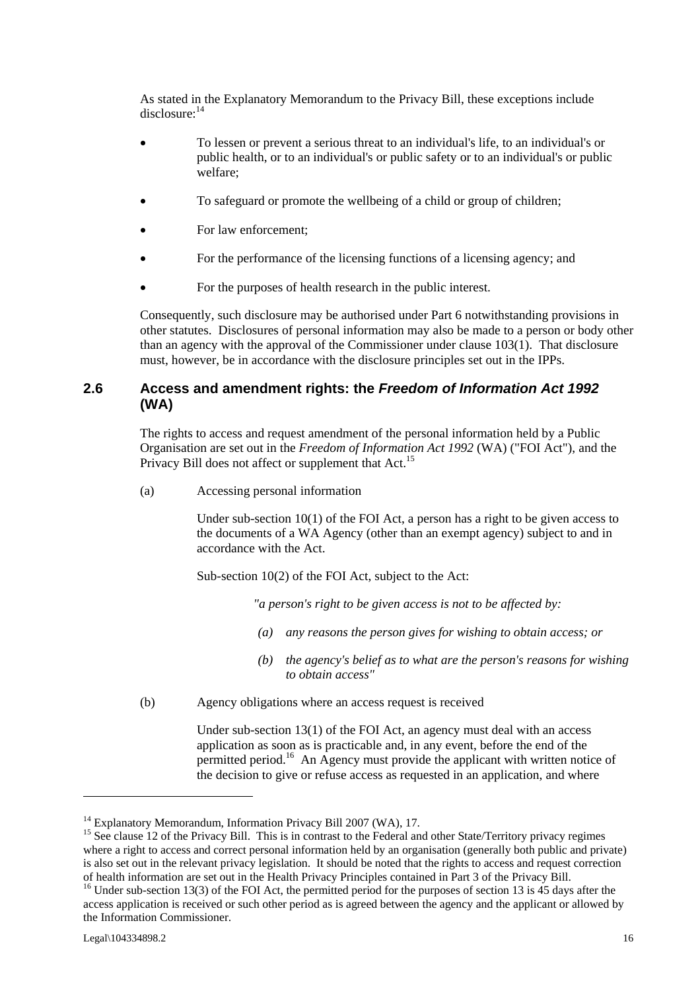As stated in the Explanatory Memorandum to the Privacy Bill, these exceptions include disclosure:<sup>14</sup>

- To lessen or prevent a serious threat to an individual's life, to an individual's or public health, or to an individual's or public safety or to an individual's or public welfare;
- To safeguard or promote the wellbeing of a child or group of children;
- For law enforcement;
- For the performance of the licensing functions of a licensing agency; and
- For the purposes of health research in the public interest.

Consequently, such disclosure may be authorised under Part 6 notwithstanding provisions in other statutes. Disclosures of personal information may also be made to a person or body other than an agency with the approval of the Commissioner under clause 103(1). That disclosure must, however, be in accordance with the disclosure principles set out in the IPPs.

### **2.6 Access and amendment rights: the** *Freedom of Information Act 1992* **(WA)**

The rights to access and request amendment of the personal information held by a Public Organisation are set out in the *Freedom of Information Act 1992* (WA) ("FOI Act"), and the Privacy Bill does not affect or supplement that Act.<sup>15</sup>

(a) Accessing personal information

Under sub-section  $10(1)$  of the FOI Act, a person has a right to be given access to the documents of a WA Agency (other than an exempt agency) subject to and in accordance with the Act.

Sub-section 10(2) of the FOI Act, subject to the Act:

*"a person's right to be given access is not to be affected by:* 

- *(a) any reasons the person gives for wishing to obtain access; or*
- *(b) the agency's belief as to what are the person's reasons for wishing to obtain access"*
- (b) Agency obligations where an access request is received

Under sub-section 13(1) of the FOI Act, an agency must deal with an access application as soon as is practicable and, in any event, before the end of the permitted period.<sup>16</sup> An Agency must provide the applicant with written notice of the decision to give or refuse access as requested in an application, and where

<sup>&</sup>lt;sup>14</sup> Explanatory Memorandum, Information Privacy Bill 2007 (WA), 17.

<sup>&</sup>lt;sup>15</sup> See clause 12 of the Privacy Bill. This is in contrast to the Federal and other State/Territory privacy regimes where a right to access and correct personal information held by an organisation (generally both public and private) is also set out in the relevant privacy legislation. It should be noted that the rights to access and request correction of health information are set out in the Health Privacy Principles contained in Part 3 of the Privacy Bill. 16 Under sub-section 13(3) of the FOI Act, the permitted period for the purposes of section 13 is 45 days after the

access application is received or such other period as is agreed between the agency and the applicant or allowed by the Information Commissioner.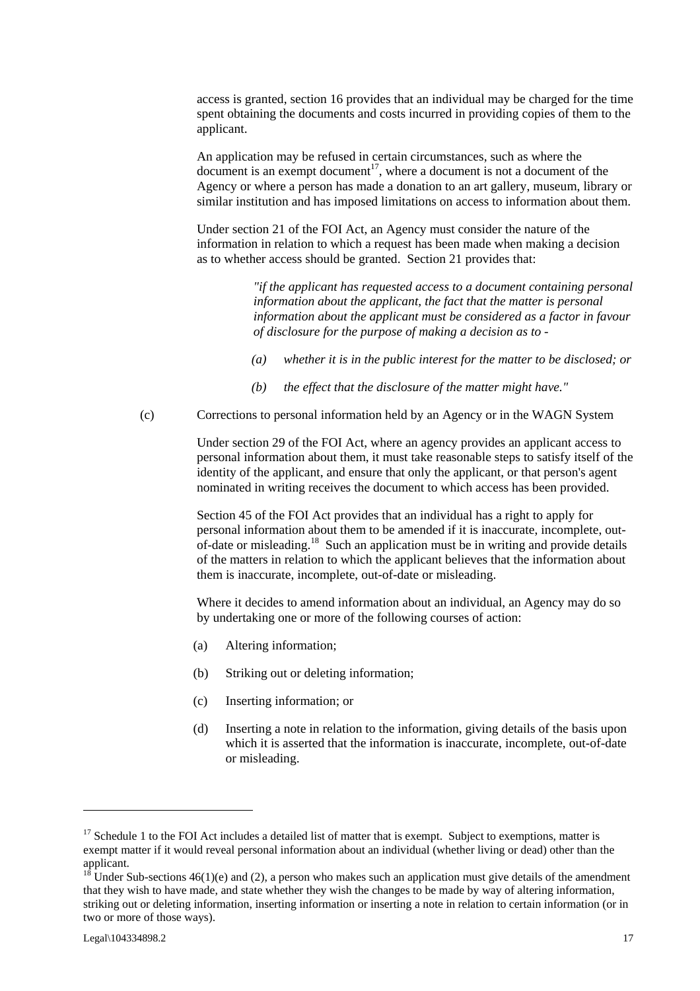access is granted, section 16 provides that an individual may be charged for the time spent obtaining the documents and costs incurred in providing copies of them to the applicant.

An application may be refused in certain circumstances, such as where the  $\alpha$  document is an exempt document<sup>17</sup>, where a document is not a document of the Agency or where a person has made a donation to an art gallery, museum, library or similar institution and has imposed limitations on access to information about them.

Under section 21 of the FOI Act, an Agency must consider the nature of the information in relation to which a request has been made when making a decision as to whether access should be granted. Section 21 provides that:

> *"if the applicant has requested access to a document containing personal information about the applicant, the fact that the matter is personal information about the applicant must be considered as a factor in favour of disclosure for the purpose of making a decision as to -*

- *(a) whether it is in the public interest for the matter to be disclosed; or*
- *(b) the effect that the disclosure of the matter might have."*

(c) Corrections to personal information held by an Agency or in the WAGN System

Under section 29 of the FOI Act, where an agency provides an applicant access to personal information about them, it must take reasonable steps to satisfy itself of the identity of the applicant, and ensure that only the applicant, or that person's agent nominated in writing receives the document to which access has been provided.

Section 45 of the FOI Act provides that an individual has a right to apply for personal information about them to be amended if it is inaccurate, incomplete, outof-date or misleading.<sup>18</sup> Such an application must be in writing and provide details of the matters in relation to which the applicant believes that the information about them is inaccurate, incomplete, out-of-date or misleading.

Where it decides to amend information about an individual, an Agency may do so by undertaking one or more of the following courses of action:

- (a) Altering information;
- (b) Striking out or deleting information;
- (c) Inserting information; or
- (d) Inserting a note in relation to the information, giving details of the basis upon which it is asserted that the information is inaccurate, incomplete, out-of-date or misleading.

 $17$  Schedule 1 to the FOI Act includes a detailed list of matter that is exempt. Subject to exemptions, matter is exempt matter if it would reveal personal information about an individual (whether living or dead) other than the applicant.

<sup>&</sup>lt;sup>18</sup> Under Sub-sections 46(1)(e) and (2), a person who makes such an application must give details of the amendment that they wish to have made, and state whether they wish the changes to be made by way of altering information, striking out or deleting information, inserting information or inserting a note in relation to certain information (or in two or more of those ways).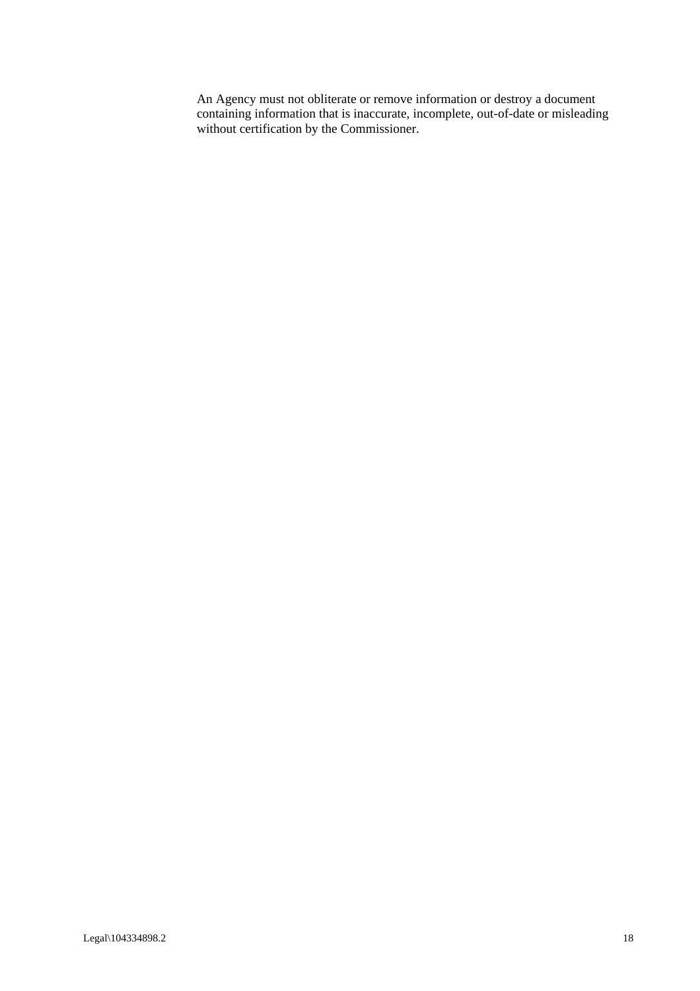An Agency must not obliterate or remove information or destroy a document containing information that is inaccurate, incomplete, out-of-date or misleading without certification by the Commissioner.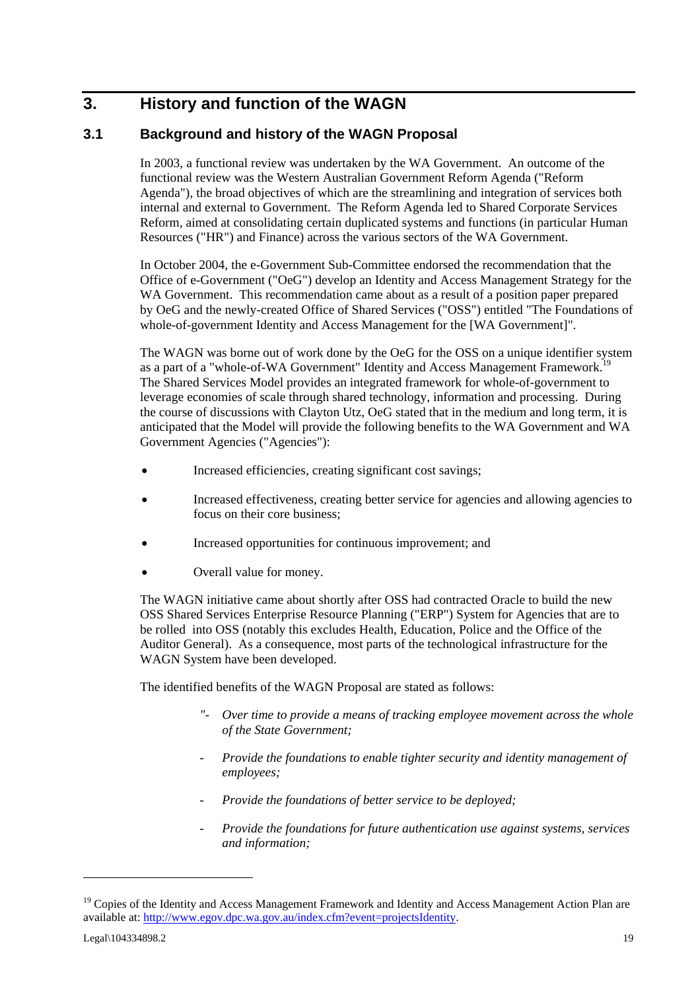# **3. History and function of the WAGN**

# **3.1 Background and history of the WAGN Proposal**

In 2003, a functional review was undertaken by the WA Government. An outcome of the functional review was the Western Australian Government Reform Agenda ("Reform Agenda"), the broad objectives of which are the streamlining and integration of services both internal and external to Government. The Reform Agenda led to Shared Corporate Services Reform, aimed at consolidating certain duplicated systems and functions (in particular Human Resources ("HR") and Finance) across the various sectors of the WA Government.

In October 2004, the e-Government Sub-Committee endorsed the recommendation that the Office of e-Government ("OeG") develop an Identity and Access Management Strategy for the WA Government. This recommendation came about as a result of a position paper prepared by OeG and the newly-created Office of Shared Services ("OSS") entitled "The Foundations of whole-of-government Identity and Access Management for the [WA Government]".

The WAGN was borne out of work done by the OeG for the OSS on a unique identifier system as a part of a "whole-of-WA Government" Identity and Access Management Framework.<sup>19</sup> The Shared Services Model provides an integrated framework for whole-of-government to leverage economies of scale through shared technology, information and processing. During the course of discussions with Clayton Utz, OeG stated that in the medium and long term, it is anticipated that the Model will provide the following benefits to the WA Government and WA Government Agencies ("Agencies"):

- Increased efficiencies, creating significant cost savings;
- Increased effectiveness, creating better service for agencies and allowing agencies to focus on their core business;
- Increased opportunities for continuous improvement; and
- Overall value for money.

The WAGN initiative came about shortly after OSS had contracted Oracle to build the new OSS Shared Services Enterprise Resource Planning ("ERP") System for Agencies that are to be rolled into OSS (notably this excludes Health, Education, Police and the Office of the Auditor General). As a consequence, most parts of the technological infrastructure for the WAGN System have been developed.

The identified benefits of the WAGN Proposal are stated as follows:

- *"- Over time to provide a means of tracking employee movement across the whole of the State Government;*
- *Provide the foundations to enable tighter security and identity management of employees;*
- *Provide the foundations of better service to be deployed;*
- *Provide the foundations for future authentication use against systems, services and information;*

<sup>&</sup>lt;sup>19</sup> Copies of the Identity and Access Management Framework and Identity and Access Management Action Plan are available at: http://www.egov.dpc.wa.gov.au/index.cfm?event=projectsIdentity.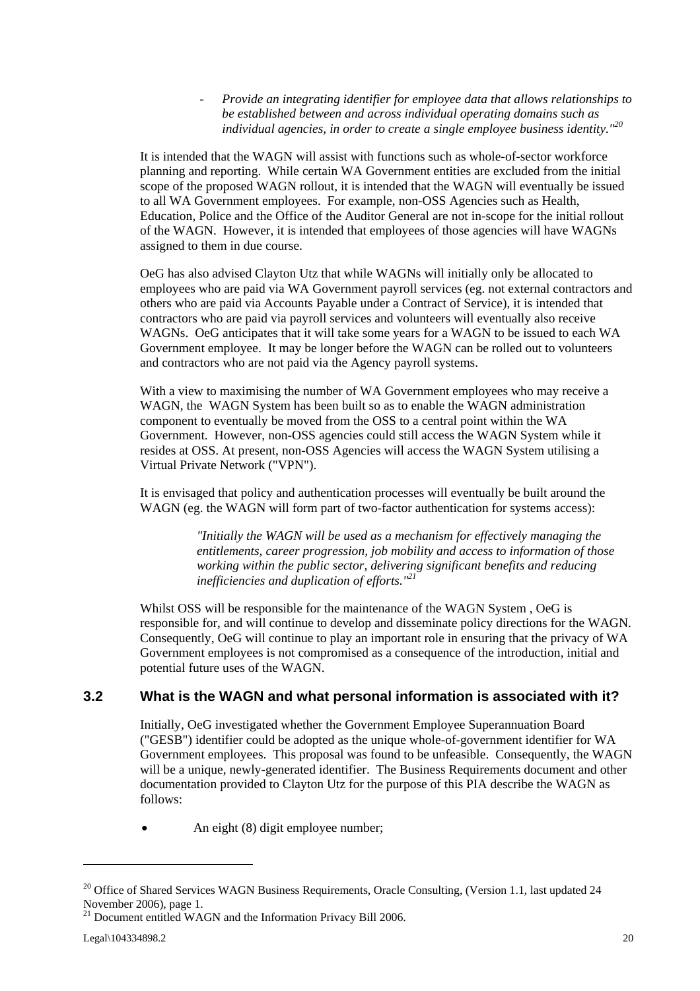*- Provide an integrating identifier for employee data that allows relationships to be established between and across individual operating domains such as individual agencies, in order to create a single employee business identity."<sup>20</sup>*

It is intended that the WAGN will assist with functions such as whole-of-sector workforce planning and reporting. While certain WA Government entities are excluded from the initial scope of the proposed WAGN rollout, it is intended that the WAGN will eventually be issued to all WA Government employees. For example, non-OSS Agencies such as Health, Education, Police and the Office of the Auditor General are not in-scope for the initial rollout of the WAGN. However, it is intended that employees of those agencies will have WAGNs assigned to them in due course.

OeG has also advised Clayton Utz that while WAGNs will initially only be allocated to employees who are paid via WA Government payroll services (eg. not external contractors and others who are paid via Accounts Payable under a Contract of Service), it is intended that contractors who are paid via payroll services and volunteers will eventually also receive WAGNs. OeG anticipates that it will take some years for a WAGN to be issued to each WA Government employee. It may be longer before the WAGN can be rolled out to volunteers and contractors who are not paid via the Agency payroll systems.

With a view to maximising the number of WA Government employees who may receive a WAGN, the WAGN System has been built so as to enable the WAGN administration component to eventually be moved from the OSS to a central point within the WA Government. However, non-OSS agencies could still access the WAGN System while it resides at OSS. At present, non-OSS Agencies will access the WAGN System utilising a Virtual Private Network ("VPN").

It is envisaged that policy and authentication processes will eventually be built around the WAGN (eg. the WAGN will form part of two-factor authentication for systems access):

> *"Initially the WAGN will be used as a mechanism for effectively managing the entitlements, career progression, job mobility and access to information of those working within the public sector, delivering significant benefits and reducing inefficiencies and duplication of efforts."21*

Whilst OSS will be responsible for the maintenance of the WAGN System , OeG is responsible for, and will continue to develop and disseminate policy directions for the WAGN. Consequently, OeG will continue to play an important role in ensuring that the privacy of WA Government employees is not compromised as a consequence of the introduction, initial and potential future uses of the WAGN.

# **3.2 What is the WAGN and what personal information is associated with it?**

Initially, OeG investigated whether the Government Employee Superannuation Board ("GESB") identifier could be adopted as the unique whole-of-government identifier for WA Government employees. This proposal was found to be unfeasible. Consequently, the WAGN will be a unique, newly-generated identifier. The Business Requirements document and other documentation provided to Clayton Utz for the purpose of this PIA describe the WAGN as follows:

• An eight (8) digit employee number;

<sup>&</sup>lt;sup>20</sup> Office of Shared Services WAGN Business Requirements, Oracle Consulting, (Version 1.1, last updated 24 November 2006), page 1.

<sup>&</sup>lt;sup>21</sup> Document entitled WAGN and the Information Privacy Bill 2006.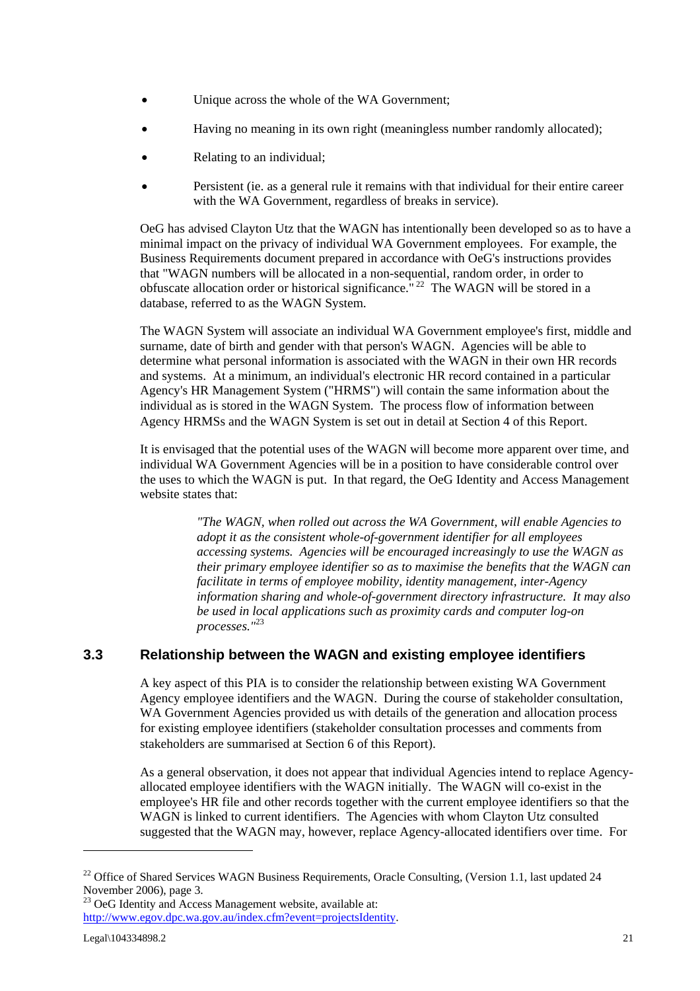- Unique across the whole of the WA Government;
- Having no meaning in its own right (meaningless number randomly allocated);
- Relating to an individual;
- Persistent (ie. as a general rule it remains with that individual for their entire career with the WA Government, regardless of breaks in service).

OeG has advised Clayton Utz that the WAGN has intentionally been developed so as to have a minimal impact on the privacy of individual WA Government employees. For example, the Business Requirements document prepared in accordance with OeG's instructions provides that "WAGN numbers will be allocated in a non-sequential, random order, in order to obfuscate allocation order or historical significance." 22 The WAGN will be stored in a database, referred to as the WAGN System.

The WAGN System will associate an individual WA Government employee's first, middle and surname, date of birth and gender with that person's WAGN. Agencies will be able to determine what personal information is associated with the WAGN in their own HR records and systems. At a minimum, an individual's electronic HR record contained in a particular Agency's HR Management System ("HRMS") will contain the same information about the individual as is stored in the WAGN System. The process flow of information between Agency HRMSs and the WAGN System is set out in detail at Section 4 of this Report.

It is envisaged that the potential uses of the WAGN will become more apparent over time, and individual WA Government Agencies will be in a position to have considerable control over the uses to which the WAGN is put. In that regard, the OeG Identity and Access Management website states that:

> *"The WAGN, when rolled out across the WA Government, will enable Agencies to adopt it as the consistent whole-of-government identifier for all employees accessing systems. Agencies will be encouraged increasingly to use the WAGN as their primary employee identifier so as to maximise the benefits that the WAGN can facilitate in terms of employee mobility, identity management, inter-Agency information sharing and whole-of-government directory infrastructure. It may also be used in local applications such as proximity cards and computer log-on processes."*<sup>23</sup>

# **3.3 Relationship between the WAGN and existing employee identifiers**

A key aspect of this PIA is to consider the relationship between existing WA Government Agency employee identifiers and the WAGN. During the course of stakeholder consultation, WA Government Agencies provided us with details of the generation and allocation process for existing employee identifiers (stakeholder consultation processes and comments from stakeholders are summarised at Section 6 of this Report).

As a general observation, it does not appear that individual Agencies intend to replace Agencyallocated employee identifiers with the WAGN initially. The WAGN will co-exist in the employee's HR file and other records together with the current employee identifiers so that the WAGN is linked to current identifiers. The Agencies with whom Clayton Utz consulted suggested that the WAGN may, however, replace Agency-allocated identifiers over time. For

<sup>&</sup>lt;sup>22</sup> Office of Shared Services WAGN Business Requirements, Oracle Consulting, (Version 1.1, last updated 24 November 2006), page 3.

<sup>&</sup>lt;sup>23</sup> OeG Identity and Access Management website, available at: http://www.egov.dpc.wa.gov.au/index.cfm?event=projectsIdentity.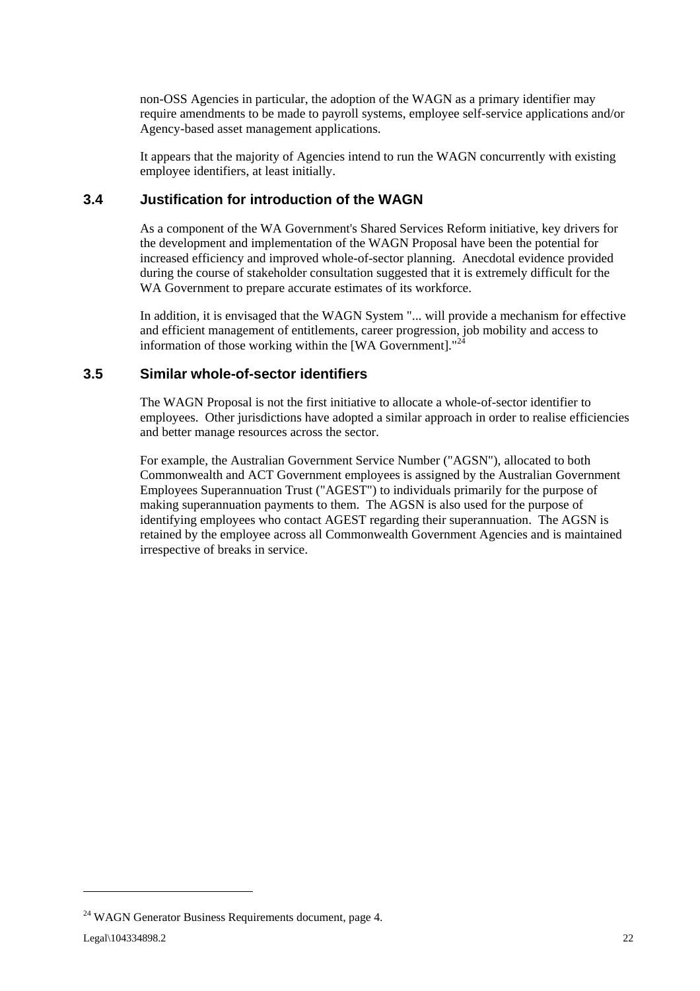non-OSS Agencies in particular, the adoption of the WAGN as a primary identifier may require amendments to be made to payroll systems, employee self-service applications and/or Agency-based asset management applications.

It appears that the majority of Agencies intend to run the WAGN concurrently with existing employee identifiers, at least initially.

### **3.4 Justification for introduction of the WAGN**

As a component of the WA Government's Shared Services Reform initiative, key drivers for the development and implementation of the WAGN Proposal have been the potential for increased efficiency and improved whole-of-sector planning. Anecdotal evidence provided during the course of stakeholder consultation suggested that it is extremely difficult for the WA Government to prepare accurate estimates of its workforce.

In addition, it is envisaged that the WAGN System "... will provide a mechanism for effective and efficient management of entitlements, career progression, job mobility and access to information of those working within the [WA Government]. $12$ 

### **3.5 Similar whole-of-sector identifiers**

The WAGN Proposal is not the first initiative to allocate a whole-of-sector identifier to employees. Other jurisdictions have adopted a similar approach in order to realise efficiencies and better manage resources across the sector.

For example, the Australian Government Service Number ("AGSN"), allocated to both Commonwealth and ACT Government employees is assigned by the Australian Government Employees Superannuation Trust ("AGEST") to individuals primarily for the purpose of making superannuation payments to them. The AGSN is also used for the purpose of identifying employees who contact AGEST regarding their superannuation. The AGSN is retained by the employee across all Commonwealth Government Agencies and is maintained irrespective of breaks in service.

<sup>&</sup>lt;sup>24</sup> WAGN Generator Business Requirements document, page 4.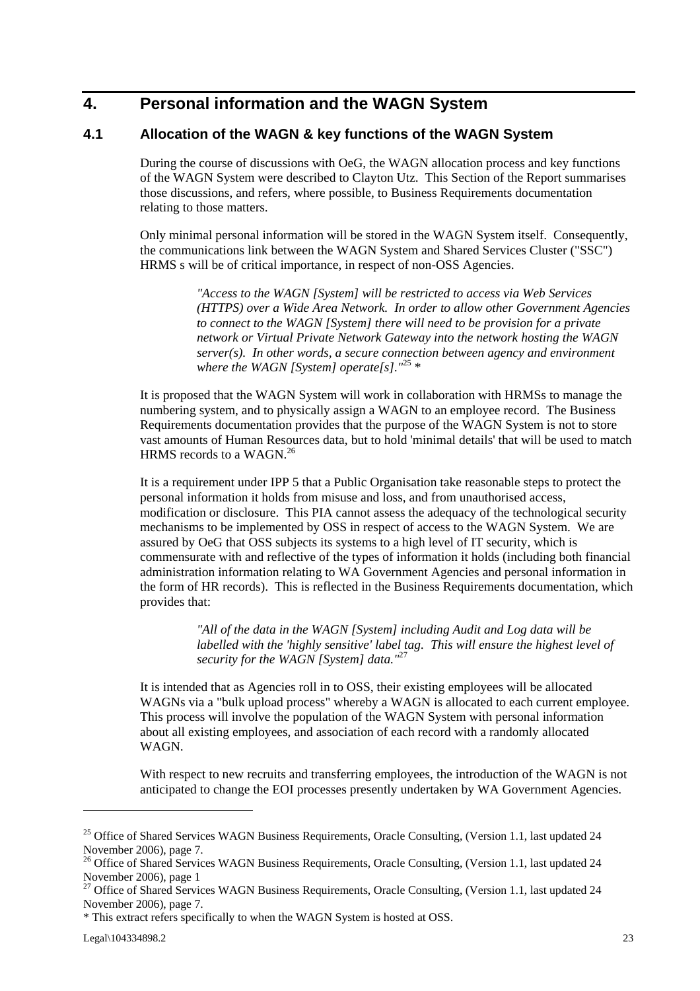# **4. Personal information and the WAGN System**

### **4.1 Allocation of the WAGN & key functions of the WAGN System**

During the course of discussions with OeG, the WAGN allocation process and key functions of the WAGN System were described to Clayton Utz. This Section of the Report summarises those discussions, and refers, where possible, to Business Requirements documentation relating to those matters.

Only minimal personal information will be stored in the WAGN System itself. Consequently, the communications link between the WAGN System and Shared Services Cluster ("SSC") HRMS s will be of critical importance, in respect of non-OSS Agencies.

> *"Access to the WAGN [System] will be restricted to access via Web Services (HTTPS) over a Wide Area Network. In order to allow other Government Agencies to connect to the WAGN [System] there will need to be provision for a private network or Virtual Private Network Gateway into the network hosting the WAGN server(s). In other words, a secure connection between agency and environment where the WAGN [System] operate[s]."*<sup>25</sup> \*

It is proposed that the WAGN System will work in collaboration with HRMSs to manage the numbering system, and to physically assign a WAGN to an employee record. The Business Requirements documentation provides that the purpose of the WAGN System is not to store vast amounts of Human Resources data, but to hold 'minimal details' that will be used to match HRMS records to a WAGN.<sup>26</sup>

It is a requirement under IPP 5 that a Public Organisation take reasonable steps to protect the personal information it holds from misuse and loss, and from unauthorised access, modification or disclosure. This PIA cannot assess the adequacy of the technological security mechanisms to be implemented by OSS in respect of access to the WAGN System. We are assured by OeG that OSS subjects its systems to a high level of IT security, which is commensurate with and reflective of the types of information it holds (including both financial administration information relating to WA Government Agencies and personal information in the form of HR records). This is reflected in the Business Requirements documentation, which provides that:

> *"All of the data in the WAGN [System] including Audit and Log data will be labelled with the 'highly sensitive' label tag. This will ensure the highest level of security for the WAGN [System] data."*<sup>27</sup>

It is intended that as Agencies roll in to OSS, their existing employees will be allocated WAGNs via a "bulk upload process" whereby a WAGN is allocated to each current employee. This process will involve the population of the WAGN System with personal information about all existing employees, and association of each record with a randomly allocated WAGN.

With respect to new recruits and transferring employees, the introduction of the WAGN is not anticipated to change the EOI processes presently undertaken by WA Government Agencies.

<sup>&</sup>lt;sup>25</sup> Office of Shared Services WAGN Business Requirements, Oracle Consulting, (Version 1.1, last updated 24 November 2006), page 7.

<sup>&</sup>lt;sup>26</sup> Office of Shared Services WAGN Business Requirements, Oracle Consulting, (Version 1.1, last updated 24 November 2006), page 1

<sup>&</sup>lt;sup>27</sup> Office of Shared Services WAGN Business Requirements, Oracle Consulting, (Version 1.1, last updated 24 November 2006), page 7.

<sup>\*</sup> This extract refers specifically to when the WAGN System is hosted at OSS.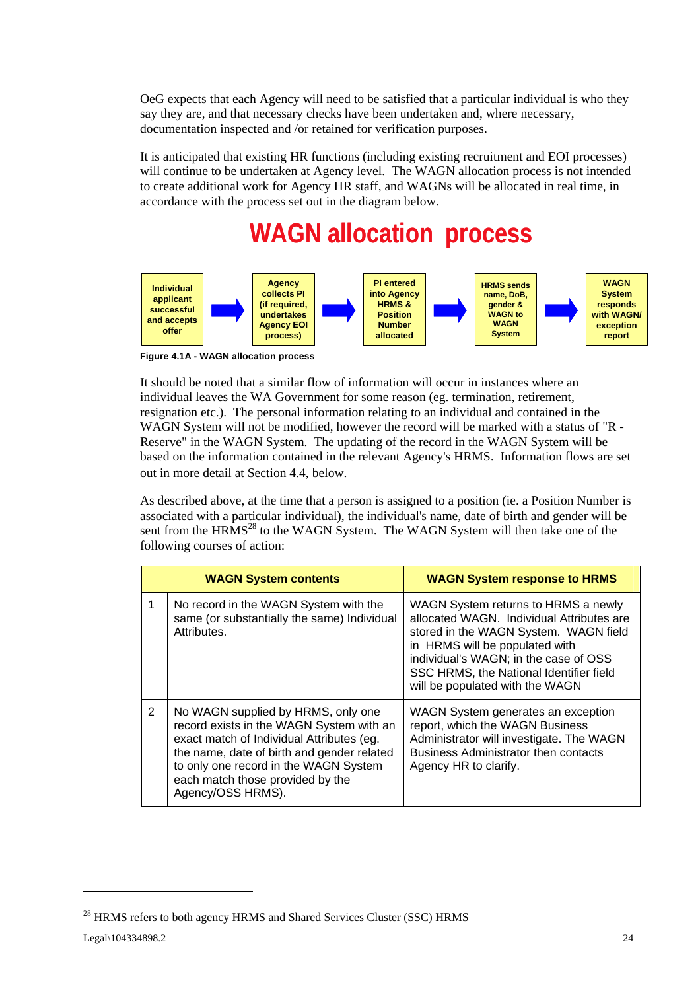OeG expects that each Agency will need to be satisfied that a particular individual is who they say they are, and that necessary checks have been undertaken and, where necessary, documentation inspected and /or retained for verification purposes.

It is anticipated that existing HR functions (including existing recruitment and EOI processes) will continue to be undertaken at Agency level. The WAGN allocation process is not intended to create additional work for Agency HR staff, and WAGNs will be allocated in real time, in accordance with the process set out in the diagram below.



**Figure 4.1A - WAGN allocation process**

It should be noted that a similar flow of information will occur in instances where an individual leaves the WA Government for some reason (eg. termination, retirement, resignation etc.). The personal information relating to an individual and contained in the WAGN System will not be modified, however the record will be marked with a status of "R -Reserve" in the WAGN System. The updating of the record in the WAGN System will be based on the information contained in the relevant Agency's HRMS. Information flows are set out in more detail at Section 4.4, below.

As described above, at the time that a person is assigned to a position (ie. a Position Number is associated with a particular individual), the individual's name, date of birth and gender will be sent from the  $H\text{RMS}^{28}$  to the WAGN System. The WAGN System will then take one of the following courses of action:

| <b>WAGN System contents</b> |                                                                                                                                                                                                                                                                             | <b>WAGN System response to HRMS</b>                                                                                                                                                                                                                                                |  |
|-----------------------------|-----------------------------------------------------------------------------------------------------------------------------------------------------------------------------------------------------------------------------------------------------------------------------|------------------------------------------------------------------------------------------------------------------------------------------------------------------------------------------------------------------------------------------------------------------------------------|--|
|                             | No record in the WAGN System with the<br>same (or substantially the same) Individual<br>Attributes.                                                                                                                                                                         | WAGN System returns to HRMS a newly<br>allocated WAGN. Individual Attributes are<br>stored in the WAGN System. WAGN field<br>in HRMS will be populated with<br>individual's WAGN; in the case of OSS<br>SSC HRMS, the National Identifier field<br>will be populated with the WAGN |  |
| 2                           | No WAGN supplied by HRMS, only one<br>record exists in the WAGN System with an<br>exact match of Individual Attributes (eg.<br>the name, date of birth and gender related<br>to only one record in the WAGN System<br>each match those provided by the<br>Agency/OSS HRMS). | WAGN System generates an exception<br>report, which the WAGN Business<br>Administrator will investigate. The WAGN<br><b>Business Administrator then contacts</b><br>Agency HR to clarify.                                                                                          |  |

<sup>&</sup>lt;sup>28</sup> HRMS refers to both agency HRMS and Shared Services Cluster (SSC) HRMS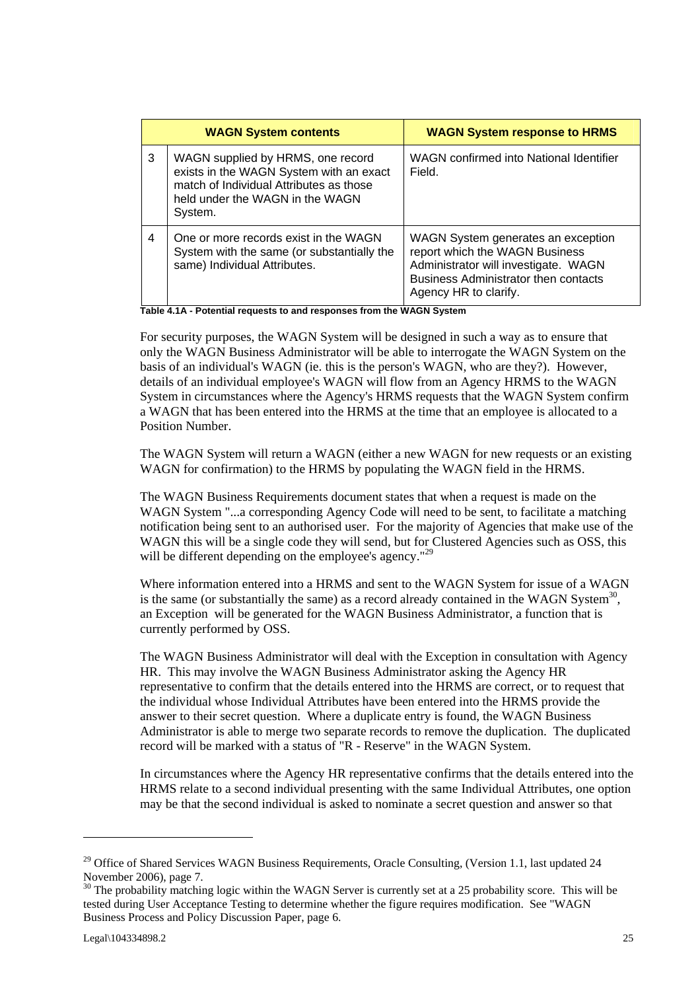| <b>WAGN System contents</b> |                                                                                                                                                                       | <b>WAGN System response to HRMS</b>                                                                                                                                                  |
|-----------------------------|-----------------------------------------------------------------------------------------------------------------------------------------------------------------------|--------------------------------------------------------------------------------------------------------------------------------------------------------------------------------------|
| 3                           | WAGN supplied by HRMS, one record<br>exists in the WAGN System with an exact<br>match of Individual Attributes as those<br>held under the WAGN in the WAGN<br>System. | WAGN confirmed into National Identifier<br>Field.                                                                                                                                    |
| 4                           | One or more records exist in the WAGN<br>System with the same (or substantially the<br>same) Individual Attributes.                                                   | WAGN System generates an exception<br>report which the WAGN Business<br>Administrator will investigate. WAGN<br><b>Business Administrator then contacts</b><br>Agency HR to clarify. |

**Table 4.1A - Potential requests to and responses from the WAGN System** 

For security purposes, the WAGN System will be designed in such a way as to ensure that only the WAGN Business Administrator will be able to interrogate the WAGN System on the basis of an individual's WAGN (ie. this is the person's WAGN, who are they?). However, details of an individual employee's WAGN will flow from an Agency HRMS to the WAGN System in circumstances where the Agency's HRMS requests that the WAGN System confirm a WAGN that has been entered into the HRMS at the time that an employee is allocated to a Position Number.

The WAGN System will return a WAGN (either a new WAGN for new requests or an existing WAGN for confirmation) to the HRMS by populating the WAGN field in the HRMS.

The WAGN Business Requirements document states that when a request is made on the WAGN System "...a corresponding Agency Code will need to be sent, to facilitate a matching notification being sent to an authorised user. For the majority of Agencies that make use of the WAGN this will be a single code they will send, but for Clustered Agencies such as OSS, this will be different depending on the employee's agency."<sup>29</sup>

Where information entered into a HRMS and sent to the WAGN System for issue of a WAGN is the same (or substantially the same) as a record already contained in the WAGN System<sup>30</sup>, an Exception will be generated for the WAGN Business Administrator, a function that is currently performed by OSS.

The WAGN Business Administrator will deal with the Exception in consultation with Agency HR. This may involve the WAGN Business Administrator asking the Agency HR representative to confirm that the details entered into the HRMS are correct, or to request that the individual whose Individual Attributes have been entered into the HRMS provide the answer to their secret question. Where a duplicate entry is found, the WAGN Business Administrator is able to merge two separate records to remove the duplication. The duplicated record will be marked with a status of "R - Reserve" in the WAGN System.

In circumstances where the Agency HR representative confirms that the details entered into the HRMS relate to a second individual presenting with the same Individual Attributes, one option may be that the second individual is asked to nominate a secret question and answer so that

<sup>&</sup>lt;sup>29</sup> Office of Shared Services WAGN Business Requirements, Oracle Consulting, (Version 1.1, last updated 24 November 2006), page 7.

 $30$  The probability matching logic within the WAGN Server is currently set at a 25 probability score. This will be tested during User Acceptance Testing to determine whether the figure requires modification. See "WAGN Business Process and Policy Discussion Paper, page 6.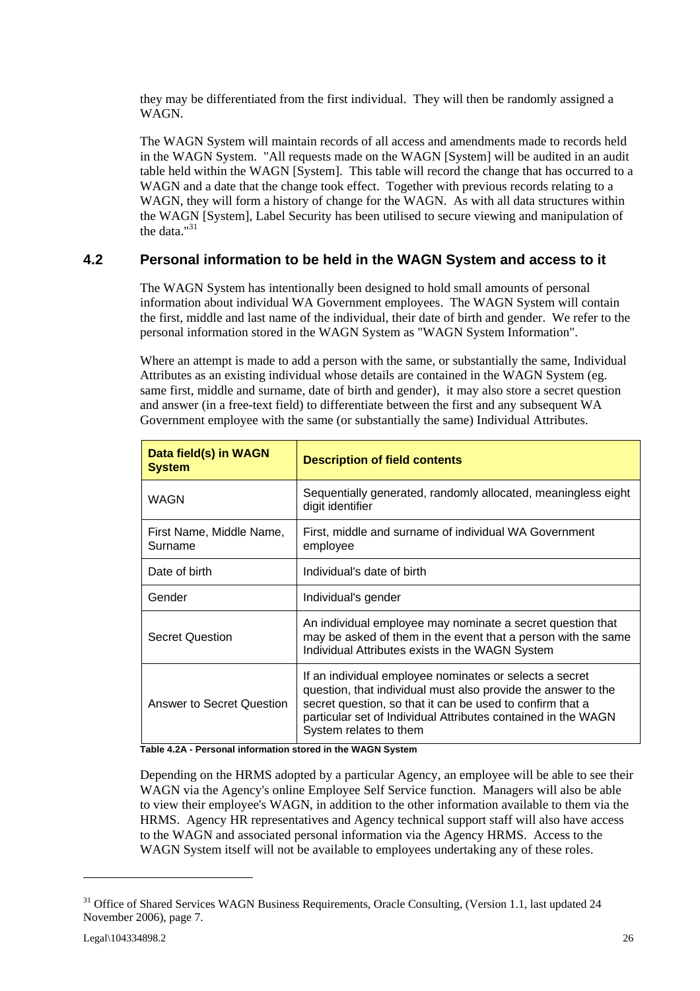they may be differentiated from the first individual. They will then be randomly assigned a WAGN.

The WAGN System will maintain records of all access and amendments made to records held in the WAGN System. "All requests made on the WAGN [System] will be audited in an audit table held within the WAGN [System]. This table will record the change that has occurred to a WAGN and a date that the change took effect. Together with previous records relating to a WAGN, they will form a history of change for the WAGN. As with all data structures within the WAGN [System], Label Security has been utilised to secure viewing and manipulation of the data."<sup>31</sup>

### **4.2 Personal information to be held in the WAGN System and access to it**

The WAGN System has intentionally been designed to hold small amounts of personal information about individual WA Government employees. The WAGN System will contain the first, middle and last name of the individual, their date of birth and gender. We refer to the personal information stored in the WAGN System as "WAGN System Information".

Where an attempt is made to add a person with the same, or substantially the same. Individual Attributes as an existing individual whose details are contained in the WAGN System (eg. same first, middle and surname, date of birth and gender), it may also store a secret question and answer (in a free-text field) to differentiate between the first and any subsequent WA Government employee with the same (or substantially the same) Individual Attributes.

| Data field(s) in WAGN<br><b>System</b> | <b>Description of field contents</b>                                                                                                                                                                                                                                             |  |
|----------------------------------------|----------------------------------------------------------------------------------------------------------------------------------------------------------------------------------------------------------------------------------------------------------------------------------|--|
| WAGN                                   | Sequentially generated, randomly allocated, meaningless eight<br>digit identifier                                                                                                                                                                                                |  |
| First Name, Middle Name,<br>Surname    | First, middle and surname of individual WA Government<br>employee                                                                                                                                                                                                                |  |
| Date of birth                          | Individual's date of birth                                                                                                                                                                                                                                                       |  |
| Gender                                 | Individual's gender                                                                                                                                                                                                                                                              |  |
| <b>Secret Question</b>                 | An individual employee may nominate a secret question that<br>may be asked of them in the event that a person with the same<br>Individual Attributes exists in the WAGN System                                                                                                   |  |
| Answer to Secret Question              | If an individual employee nominates or selects a secret<br>question, that individual must also provide the answer to the<br>secret question, so that it can be used to confirm that a<br>particular set of Individual Attributes contained in the WAGN<br>System relates to them |  |

**Table 4.2A - Personal information stored in the WAGN System** 

Depending on the HRMS adopted by a particular Agency, an employee will be able to see their WAGN via the Agency's online Employee Self Service function. Managers will also be able to view their employee's WAGN, in addition to the other information available to them via the HRMS. Agency HR representatives and Agency technical support staff will also have access to the WAGN and associated personal information via the Agency HRMS. Access to the WAGN System itself will not be available to employees undertaking any of these roles.

<sup>&</sup>lt;sup>31</sup> Office of Shared Services WAGN Business Requirements, Oracle Consulting, (Version 1.1, last updated 24 November 2006), page 7.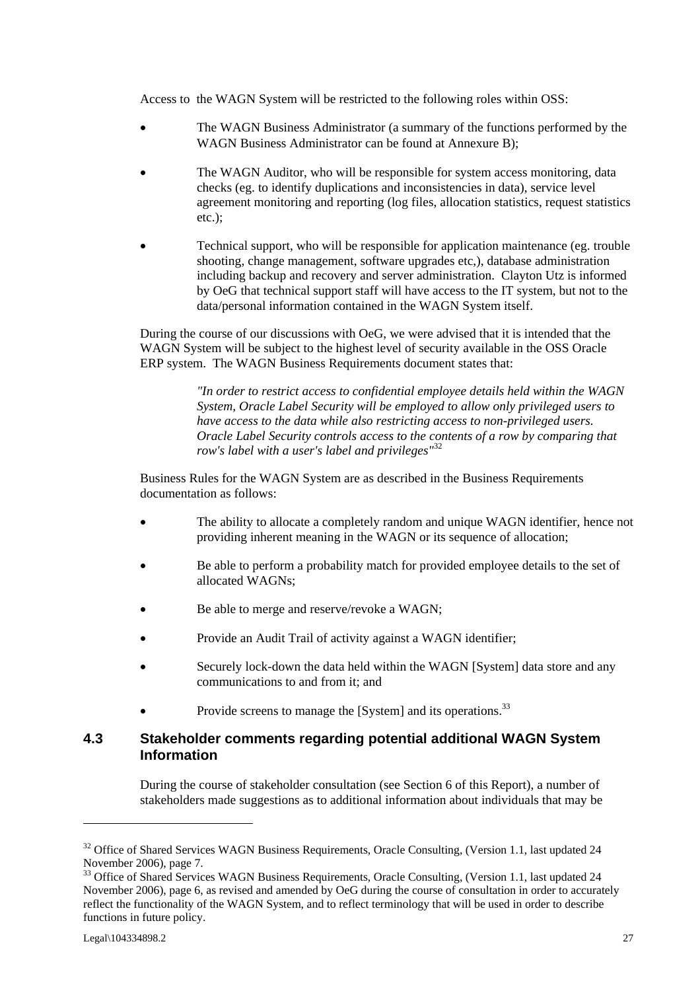Access to the WAGN System will be restricted to the following roles within OSS:

- The WAGN Business Administrator (a summary of the functions performed by the WAGN Business Administrator can be found at Annexure B);
- The WAGN Auditor, who will be responsible for system access monitoring, data checks (eg. to identify duplications and inconsistencies in data), service level agreement monitoring and reporting (log files, allocation statistics, request statistics etc.);
- Technical support, who will be responsible for application maintenance (eg. trouble shooting, change management, software upgrades etc,), database administration including backup and recovery and server administration. Clayton Utz is informed by OeG that technical support staff will have access to the IT system, but not to the data/personal information contained in the WAGN System itself.

During the course of our discussions with OeG, we were advised that it is intended that the WAGN System will be subject to the highest level of security available in the OSS Oracle ERP system. The WAGN Business Requirements document states that:

> *"In order to restrict access to confidential employee details held within the WAGN System, Oracle Label Security will be employed to allow only privileged users to have access to the data while also restricting access to non-privileged users. Oracle Label Security controls access to the contents of a row by comparing that row's label with a user's label and privileges"*<sup>32</sup>

Business Rules for the WAGN System are as described in the Business Requirements documentation as follows:

- The ability to allocate a completely random and unique WAGN identifier, hence not providing inherent meaning in the WAGN or its sequence of allocation;
- Be able to perform a probability match for provided employee details to the set of allocated WAGNs;
- Be able to merge and reserve/revoke a WAGN;
- Provide an Audit Trail of activity against a WAGN identifier;
- Securely lock-down the data held within the WAGN [System] data store and any communications to and from it; and
- Provide screens to manage the [System] and its operations.<sup>33</sup>

### **4.3 Stakeholder comments regarding potential additional WAGN System Information**

During the course of stakeholder consultation (see Section 6 of this Report), a number of stakeholders made suggestions as to additional information about individuals that may be

<sup>&</sup>lt;sup>32</sup> Office of Shared Services WAGN Business Requirements, Oracle Consulting, (Version 1.1, last updated 24 November 2006), page 7.

<sup>&</sup>lt;sup>33</sup> Office of Shared Services WAGN Business Requirements, Oracle Consulting, (Version 1.1, last updated 24 November 2006), page 6, as revised and amended by OeG during the course of consultation in order to accurately reflect the functionality of the WAGN System, and to reflect terminology that will be used in order to describe functions in future policy.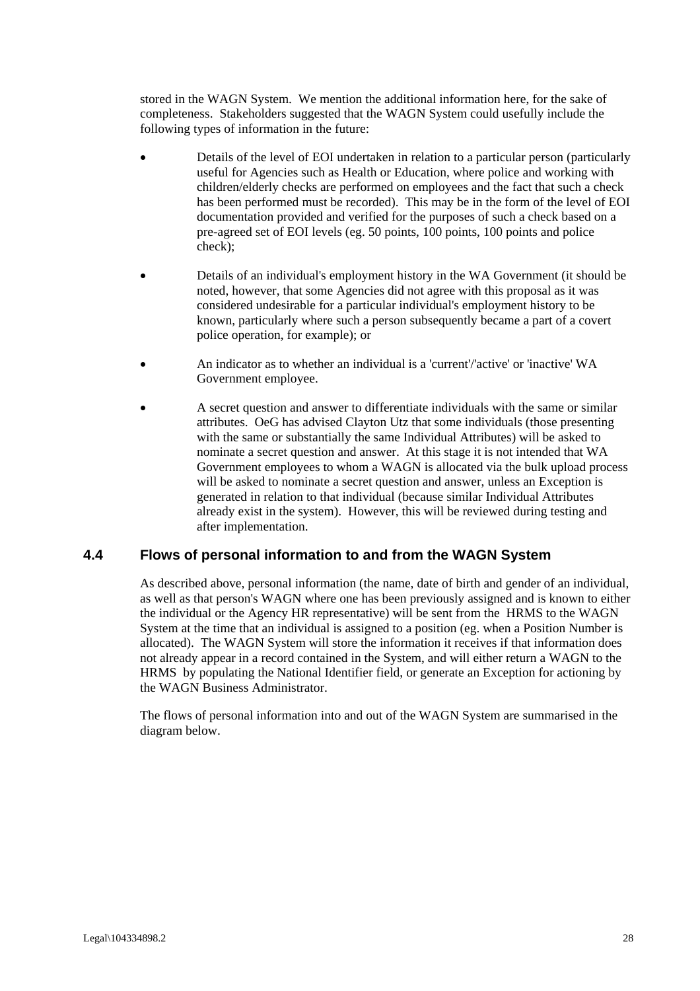stored in the WAGN System. We mention the additional information here, for the sake of completeness. Stakeholders suggested that the WAGN System could usefully include the following types of information in the future:

- Details of the level of EOI undertaken in relation to a particular person (particularly useful for Agencies such as Health or Education, where police and working with children/elderly checks are performed on employees and the fact that such a check has been performed must be recorded). This may be in the form of the level of EOI documentation provided and verified for the purposes of such a check based on a pre-agreed set of EOI levels (eg. 50 points, 100 points, 100 points and police check);
- Details of an individual's employment history in the WA Government (it should be noted, however, that some Agencies did not agree with this proposal as it was considered undesirable for a particular individual's employment history to be known, particularly where such a person subsequently became a part of a covert police operation, for example); or
- An indicator as to whether an individual is a 'current'/'active' or 'inactive' WA Government employee.
- A secret question and answer to differentiate individuals with the same or similar attributes. OeG has advised Clayton Utz that some individuals (those presenting with the same or substantially the same Individual Attributes) will be asked to nominate a secret question and answer. At this stage it is not intended that WA Government employees to whom a WAGN is allocated via the bulk upload process will be asked to nominate a secret question and answer, unless an Exception is generated in relation to that individual (because similar Individual Attributes already exist in the system). However, this will be reviewed during testing and after implementation.

### **4.4 Flows of personal information to and from the WAGN System**

As described above, personal information (the name, date of birth and gender of an individual, as well as that person's WAGN where one has been previously assigned and is known to either the individual or the Agency HR representative) will be sent from the HRMS to the WAGN System at the time that an individual is assigned to a position (eg. when a Position Number is allocated). The WAGN System will store the information it receives if that information does not already appear in a record contained in the System, and will either return a WAGN to the HRMS by populating the National Identifier field, or generate an Exception for actioning by the WAGN Business Administrator.

The flows of personal information into and out of the WAGN System are summarised in the diagram below.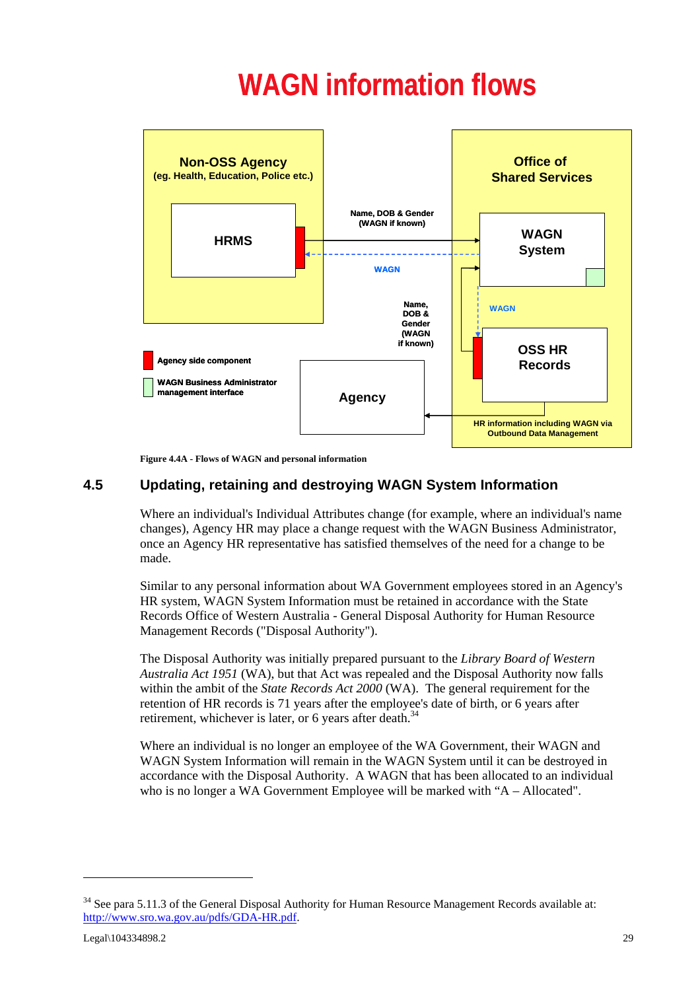# **WAGN information flows**



**Figure 4.4A - Flows of WAGN and personal information**

# **4.5 Updating, retaining and destroying WAGN System Information**

Where an individual's Individual Attributes change (for example, where an individual's name changes), Agency HR may place a change request with the WAGN Business Administrator, once an Agency HR representative has satisfied themselves of the need for a change to be made.

Similar to any personal information about WA Government employees stored in an Agency's HR system, WAGN System Information must be retained in accordance with the State Records Office of Western Australia - General Disposal Authority for Human Resource Management Records ("Disposal Authority").

The Disposal Authority was initially prepared pursuant to the *Library Board of Western Australia Act 1951* (WA), but that Act was repealed and the Disposal Authority now falls within the ambit of the *State Records Act 2000* (WA). The general requirement for the retention of HR records is 71 years after the employee's date of birth, or 6 years after retirement, whichever is later, or 6 years after death.<sup>34</sup>

Where an individual is no longer an employee of the WA Government, their WAGN and WAGN System Information will remain in the WAGN System until it can be destroyed in accordance with the Disposal Authority. A WAGN that has been allocated to an individual who is no longer a WA Government Employee will be marked with "A – Allocated".

<sup>&</sup>lt;sup>34</sup> See para 5.11.3 of the General Disposal Authority for Human Resource Management Records available at: http://www.sro.wa.gov.au/pdfs/GDA-HR.pdf.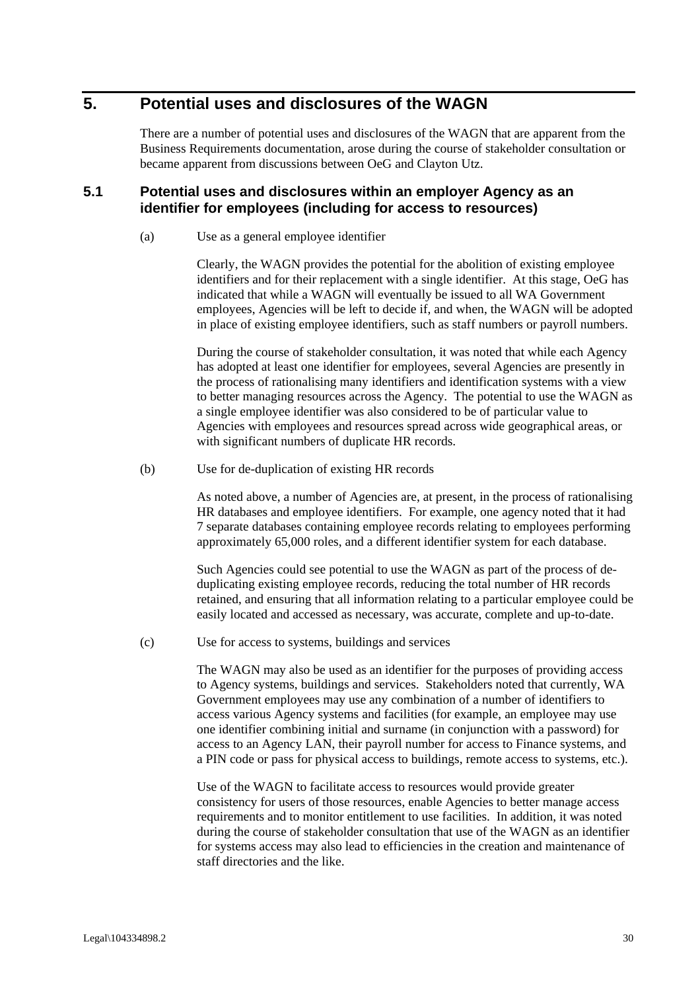# **5. Potential uses and disclosures of the WAGN**

There are a number of potential uses and disclosures of the WAGN that are apparent from the Business Requirements documentation, arose during the course of stakeholder consultation or became apparent from discussions between OeG and Clayton Utz.

### **5.1 Potential uses and disclosures within an employer Agency as an identifier for employees (including for access to resources)**

(a) Use as a general employee identifier

Clearly, the WAGN provides the potential for the abolition of existing employee identifiers and for their replacement with a single identifier. At this stage, OeG has indicated that while a WAGN will eventually be issued to all WA Government employees, Agencies will be left to decide if, and when, the WAGN will be adopted in place of existing employee identifiers, such as staff numbers or payroll numbers.

During the course of stakeholder consultation, it was noted that while each Agency has adopted at least one identifier for employees, several Agencies are presently in the process of rationalising many identifiers and identification systems with a view to better managing resources across the Agency. The potential to use the WAGN as a single employee identifier was also considered to be of particular value to Agencies with employees and resources spread across wide geographical areas, or with significant numbers of duplicate HR records.

(b) Use for de-duplication of existing HR records

As noted above, a number of Agencies are, at present, in the process of rationalising HR databases and employee identifiers. For example, one agency noted that it had 7 separate databases containing employee records relating to employees performing approximately 65,000 roles, and a different identifier system for each database.

Such Agencies could see potential to use the WAGN as part of the process of deduplicating existing employee records, reducing the total number of HR records retained, and ensuring that all information relating to a particular employee could be easily located and accessed as necessary, was accurate, complete and up-to-date.

(c) Use for access to systems, buildings and services

The WAGN may also be used as an identifier for the purposes of providing access to Agency systems, buildings and services. Stakeholders noted that currently, WA Government employees may use any combination of a number of identifiers to access various Agency systems and facilities (for example, an employee may use one identifier combining initial and surname (in conjunction with a password) for access to an Agency LAN, their payroll number for access to Finance systems, and a PIN code or pass for physical access to buildings, remote access to systems, etc.).

Use of the WAGN to facilitate access to resources would provide greater consistency for users of those resources, enable Agencies to better manage access requirements and to monitor entitlement to use facilities. In addition, it was noted during the course of stakeholder consultation that use of the WAGN as an identifier for systems access may also lead to efficiencies in the creation and maintenance of staff directories and the like.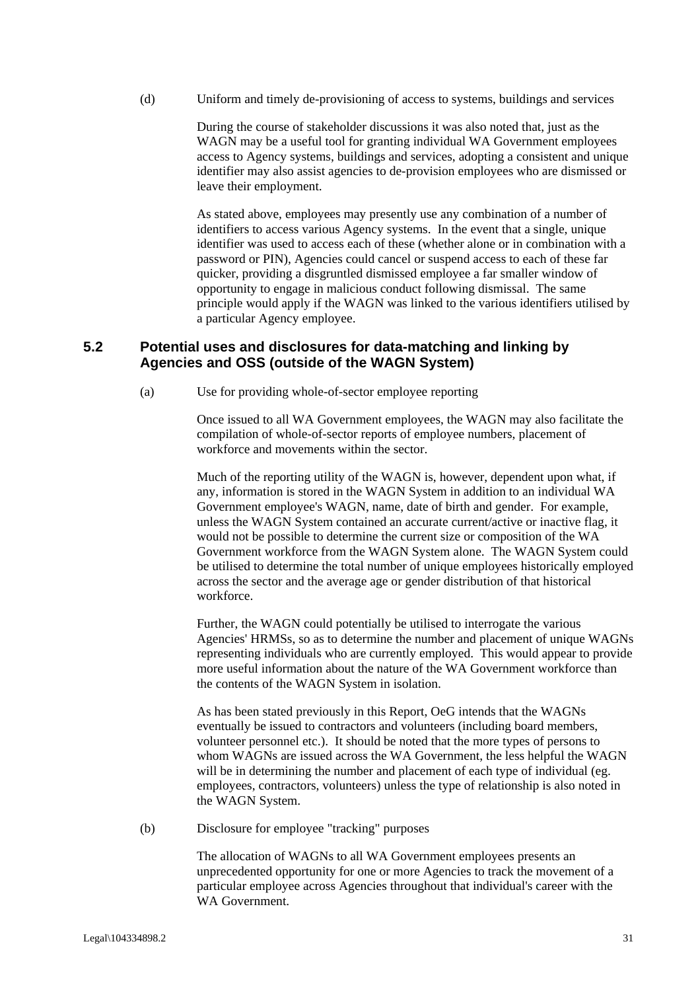(d) Uniform and timely de-provisioning of access to systems, buildings and services

During the course of stakeholder discussions it was also noted that, just as the WAGN may be a useful tool for granting individual WA Government employees access to Agency systems, buildings and services, adopting a consistent and unique identifier may also assist agencies to de-provision employees who are dismissed or leave their employment.

As stated above, employees may presently use any combination of a number of identifiers to access various Agency systems. In the event that a single, unique identifier was used to access each of these (whether alone or in combination with a password or PIN), Agencies could cancel or suspend access to each of these far quicker, providing a disgruntled dismissed employee a far smaller window of opportunity to engage in malicious conduct following dismissal. The same principle would apply if the WAGN was linked to the various identifiers utilised by a particular Agency employee.

### **5.2 Potential uses and disclosures for data-matching and linking by Agencies and OSS (outside of the WAGN System)**

(a) Use for providing whole-of-sector employee reporting

Once issued to all WA Government employees, the WAGN may also facilitate the compilation of whole-of-sector reports of employee numbers, placement of workforce and movements within the sector.

Much of the reporting utility of the WAGN is, however, dependent upon what, if any, information is stored in the WAGN System in addition to an individual WA Government employee's WAGN, name, date of birth and gender. For example, unless the WAGN System contained an accurate current/active or inactive flag, it would not be possible to determine the current size or composition of the WA Government workforce from the WAGN System alone. The WAGN System could be utilised to determine the total number of unique employees historically employed across the sector and the average age or gender distribution of that historical workforce.

Further, the WAGN could potentially be utilised to interrogate the various Agencies' HRMSs, so as to determine the number and placement of unique WAGNs representing individuals who are currently employed. This would appear to provide more useful information about the nature of the WA Government workforce than the contents of the WAGN System in isolation.

As has been stated previously in this Report, OeG intends that the WAGNs eventually be issued to contractors and volunteers (including board members, volunteer personnel etc.). It should be noted that the more types of persons to whom WAGNs are issued across the WA Government, the less helpful the WAGN will be in determining the number and placement of each type of individual (eg. employees, contractors, volunteers) unless the type of relationship is also noted in the WAGN System.

(b) Disclosure for employee "tracking" purposes

The allocation of WAGNs to all WA Government employees presents an unprecedented opportunity for one or more Agencies to track the movement of a particular employee across Agencies throughout that individual's career with the WA Government.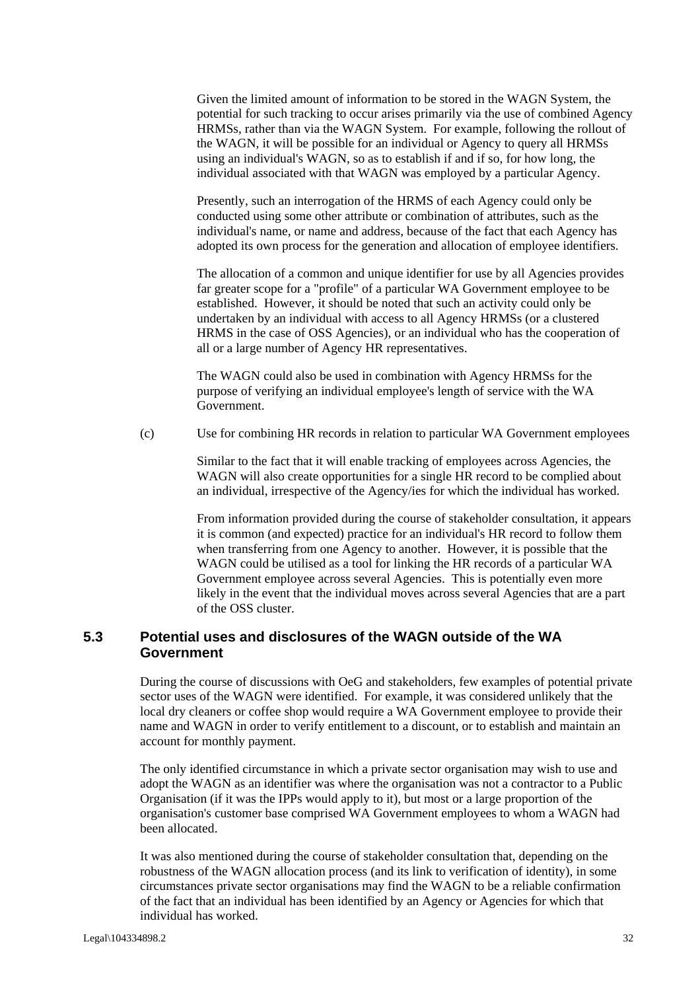Given the limited amount of information to be stored in the WAGN System, the potential for such tracking to occur arises primarily via the use of combined Agency HRMSs, rather than via the WAGN System. For example, following the rollout of the WAGN, it will be possible for an individual or Agency to query all HRMSs using an individual's WAGN, so as to establish if and if so, for how long, the individual associated with that WAGN was employed by a particular Agency.

Presently, such an interrogation of the HRMS of each Agency could only be conducted using some other attribute or combination of attributes, such as the individual's name, or name and address, because of the fact that each Agency has adopted its own process for the generation and allocation of employee identifiers.

The allocation of a common and unique identifier for use by all Agencies provides far greater scope for a "profile" of a particular WA Government employee to be established. However, it should be noted that such an activity could only be undertaken by an individual with access to all Agency HRMSs (or a clustered HRMS in the case of OSS Agencies), or an individual who has the cooperation of all or a large number of Agency HR representatives.

The WAGN could also be used in combination with Agency HRMSs for the purpose of verifying an individual employee's length of service with the WA Government.

(c) Use for combining HR records in relation to particular WA Government employees

Similar to the fact that it will enable tracking of employees across Agencies, the WAGN will also create opportunities for a single HR record to be complied about an individual, irrespective of the Agency/ies for which the individual has worked.

From information provided during the course of stakeholder consultation, it appears it is common (and expected) practice for an individual's HR record to follow them when transferring from one Agency to another. However, it is possible that the WAGN could be utilised as a tool for linking the HR records of a particular WA Government employee across several Agencies. This is potentially even more likely in the event that the individual moves across several Agencies that are a part of the OSS cluster.

### **5.3 Potential uses and disclosures of the WAGN outside of the WA Government**

During the course of discussions with OeG and stakeholders, few examples of potential private sector uses of the WAGN were identified. For example, it was considered unlikely that the local dry cleaners or coffee shop would require a WA Government employee to provide their name and WAGN in order to verify entitlement to a discount, or to establish and maintain an account for monthly payment.

The only identified circumstance in which a private sector organisation may wish to use and adopt the WAGN as an identifier was where the organisation was not a contractor to a Public Organisation (if it was the IPPs would apply to it), but most or a large proportion of the organisation's customer base comprised WA Government employees to whom a WAGN had been allocated.

It was also mentioned during the course of stakeholder consultation that, depending on the robustness of the WAGN allocation process (and its link to verification of identity), in some circumstances private sector organisations may find the WAGN to be a reliable confirmation of the fact that an individual has been identified by an Agency or Agencies for which that individual has worked.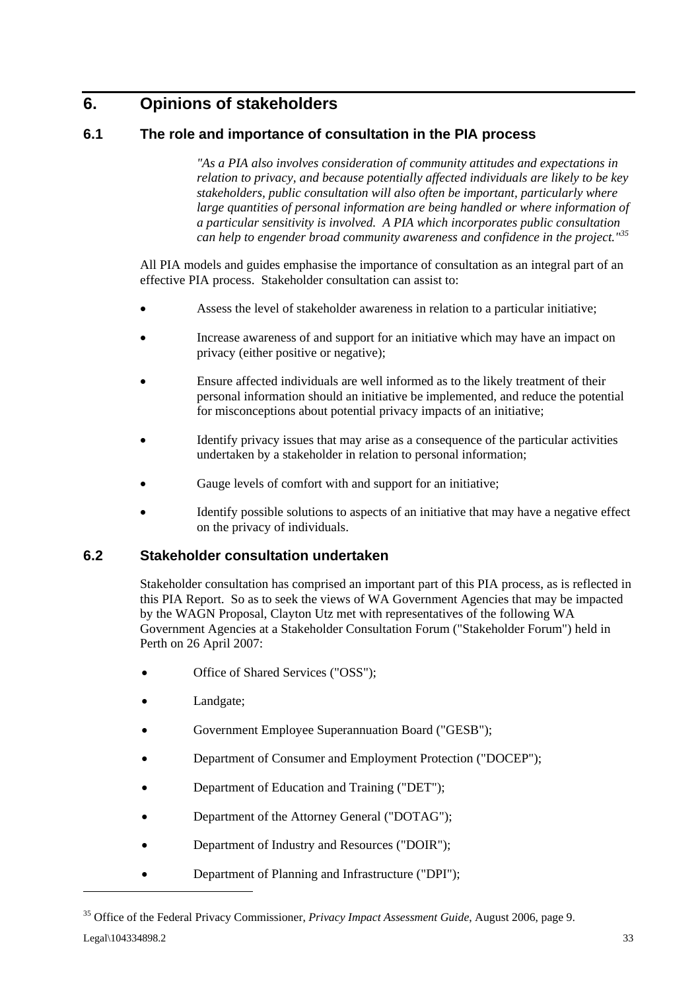# **6. Opinions of stakeholders**

# **6.1 The role and importance of consultation in the PIA process**

*"As a PIA also involves consideration of community attitudes and expectations in relation to privacy, and because potentially affected individuals are likely to be key stakeholders, public consultation will also often be important, particularly where large quantities of personal information are being handled or where information of a particular sensitivity is involved. A PIA which incorporates public consultation can help to engender broad community awareness and confidence in the project."<sup>35</sup>*

All PIA models and guides emphasise the importance of consultation as an integral part of an effective PIA process. Stakeholder consultation can assist to:

- Assess the level of stakeholder awareness in relation to a particular initiative;
- Increase awareness of and support for an initiative which may have an impact on privacy (either positive or negative);
- Ensure affected individuals are well informed as to the likely treatment of their personal information should an initiative be implemented, and reduce the potential for misconceptions about potential privacy impacts of an initiative;
- Identify privacy issues that may arise as a consequence of the particular activities undertaken by a stakeholder in relation to personal information;
- Gauge levels of comfort with and support for an initiative;
- Identify possible solutions to aspects of an initiative that may have a negative effect on the privacy of individuals.

### **6.2 Stakeholder consultation undertaken**

Stakeholder consultation has comprised an important part of this PIA process, as is reflected in this PIA Report. So as to seek the views of WA Government Agencies that may be impacted by the WAGN Proposal, Clayton Utz met with representatives of the following WA Government Agencies at a Stakeholder Consultation Forum ("Stakeholder Forum") held in Perth on 26 April 2007:

- Office of Shared Services ("OSS");
- Landgate:
- Government Employee Superannuation Board ("GESB");
- Department of Consumer and Employment Protection ("DOCEP");
- Department of Education and Training ("DET");
- Department of the Attorney General ("DOTAG");
- Department of Industry and Resources ("DOIR");
- Department of Planning and Infrastructure ("DPI");

<sup>35</sup> Office of the Federal Privacy Commissioner, *Privacy Impact Assessment Guide*, August 2006, page 9.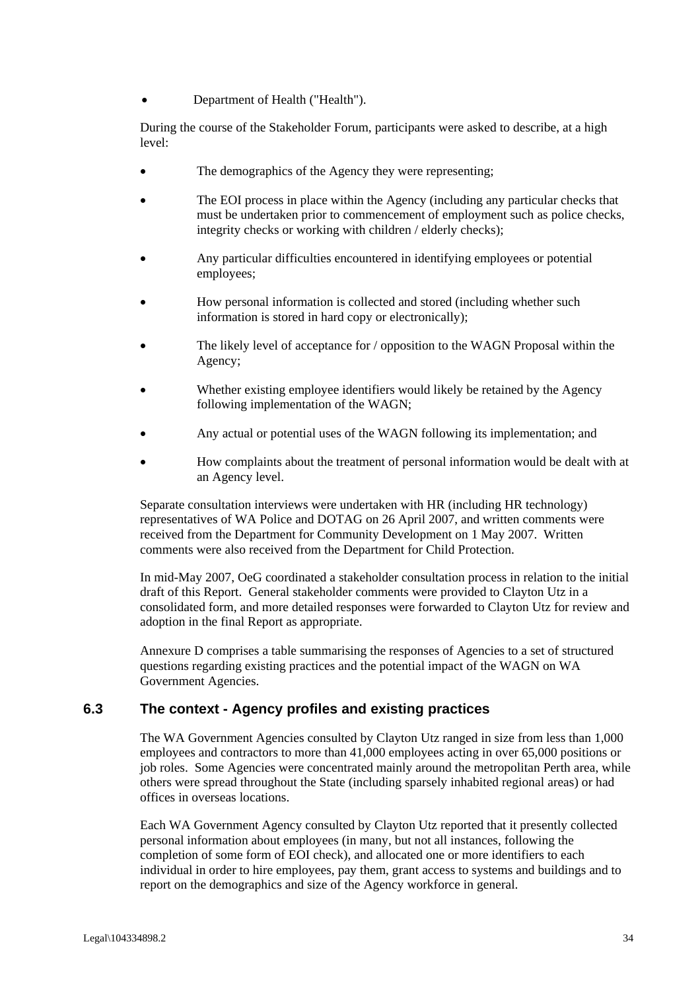• Department of Health ("Health").

During the course of the Stakeholder Forum, participants were asked to describe, at a high level:

- The demographics of the Agency they were representing;
- The EOI process in place within the Agency (including any particular checks that must be undertaken prior to commencement of employment such as police checks, integrity checks or working with children / elderly checks);
- Any particular difficulties encountered in identifying employees or potential employees;
- How personal information is collected and stored (including whether such information is stored in hard copy or electronically);
- The likely level of acceptance for / opposition to the WAGN Proposal within the Agency;
- Whether existing employee identifiers would likely be retained by the Agency following implementation of the WAGN;
- Any actual or potential uses of the WAGN following its implementation; and
- How complaints about the treatment of personal information would be dealt with at an Agency level.

Separate consultation interviews were undertaken with HR (including HR technology) representatives of WA Police and DOTAG on 26 April 2007, and written comments were received from the Department for Community Development on 1 May 2007. Written comments were also received from the Department for Child Protection.

In mid-May 2007, OeG coordinated a stakeholder consultation process in relation to the initial draft of this Report. General stakeholder comments were provided to Clayton Utz in a consolidated form, and more detailed responses were forwarded to Clayton Utz for review and adoption in the final Report as appropriate.

Annexure D comprises a table summarising the responses of Agencies to a set of structured questions regarding existing practices and the potential impact of the WAGN on WA Government Agencies.

### **6.3 The context - Agency profiles and existing practices**

The WA Government Agencies consulted by Clayton Utz ranged in size from less than 1,000 employees and contractors to more than 41,000 employees acting in over 65,000 positions or job roles. Some Agencies were concentrated mainly around the metropolitan Perth area, while others were spread throughout the State (including sparsely inhabited regional areas) or had offices in overseas locations.

Each WA Government Agency consulted by Clayton Utz reported that it presently collected personal information about employees (in many, but not all instances, following the completion of some form of EOI check), and allocated one or more identifiers to each individual in order to hire employees, pay them, grant access to systems and buildings and to report on the demographics and size of the Agency workforce in general.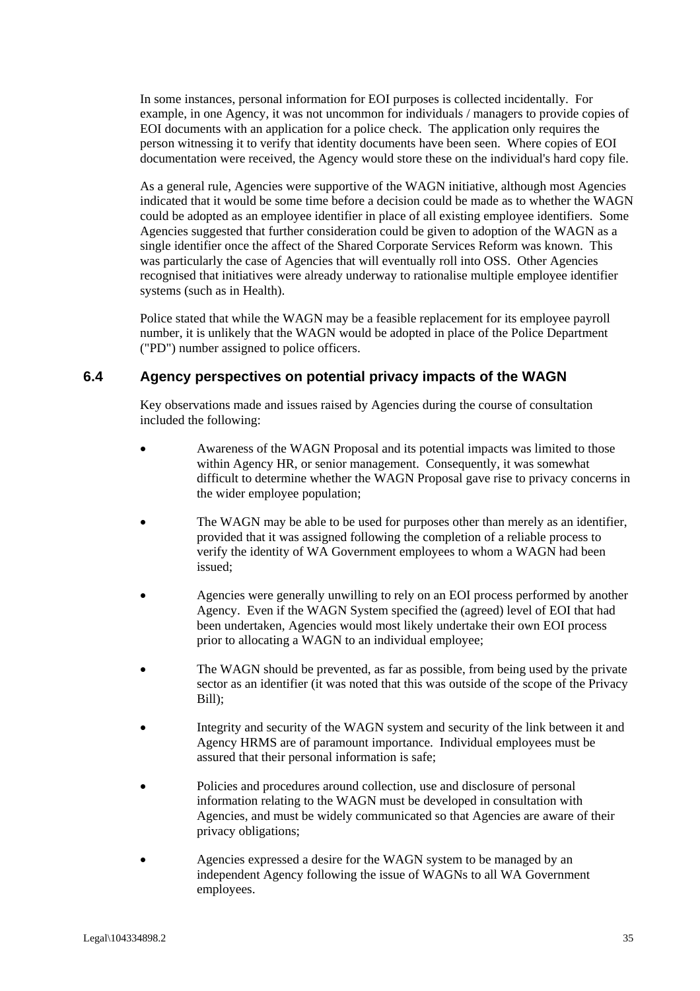In some instances, personal information for EOI purposes is collected incidentally. For example, in one Agency, it was not uncommon for individuals / managers to provide copies of EOI documents with an application for a police check. The application only requires the person witnessing it to verify that identity documents have been seen. Where copies of EOI documentation were received, the Agency would store these on the individual's hard copy file.

As a general rule, Agencies were supportive of the WAGN initiative, although most Agencies indicated that it would be some time before a decision could be made as to whether the WAGN could be adopted as an employee identifier in place of all existing employee identifiers. Some Agencies suggested that further consideration could be given to adoption of the WAGN as a single identifier once the affect of the Shared Corporate Services Reform was known. This was particularly the case of Agencies that will eventually roll into OSS. Other Agencies recognised that initiatives were already underway to rationalise multiple employee identifier systems (such as in Health).

Police stated that while the WAGN may be a feasible replacement for its employee payroll number, it is unlikely that the WAGN would be adopted in place of the Police Department ("PD") number assigned to police officers.

#### **6.4 Agency perspectives on potential privacy impacts of the WAGN**

Key observations made and issues raised by Agencies during the course of consultation included the following:

- Awareness of the WAGN Proposal and its potential impacts was limited to those within Agency HR, or senior management. Consequently, it was somewhat difficult to determine whether the WAGN Proposal gave rise to privacy concerns in the wider employee population;
- The WAGN may be able to be used for purposes other than merely as an identifier, provided that it was assigned following the completion of a reliable process to verify the identity of WA Government employees to whom a WAGN had been issued;
- Agencies were generally unwilling to rely on an EOI process performed by another Agency. Even if the WAGN System specified the (agreed) level of EOI that had been undertaken, Agencies would most likely undertake their own EOI process prior to allocating a WAGN to an individual employee;
- The WAGN should be prevented, as far as possible, from being used by the private sector as an identifier (it was noted that this was outside of the scope of the Privacy Bill);
- Integrity and security of the WAGN system and security of the link between it and Agency HRMS are of paramount importance. Individual employees must be assured that their personal information is safe;
- Policies and procedures around collection, use and disclosure of personal information relating to the WAGN must be developed in consultation with Agencies, and must be widely communicated so that Agencies are aware of their privacy obligations;
- Agencies expressed a desire for the WAGN system to be managed by an independent Agency following the issue of WAGNs to all WA Government employees.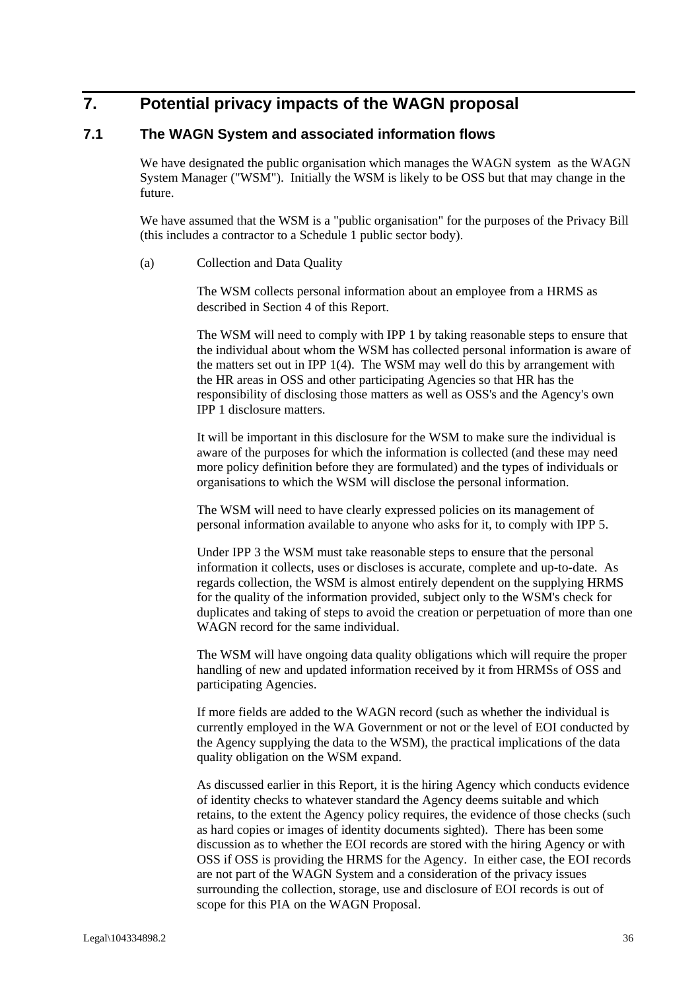## **7. Potential privacy impacts of the WAGN proposal**

#### **7.1 The WAGN System and associated information flows**

We have designated the public organisation which manages the WAGN system as the WAGN System Manager ("WSM"). Initially the WSM is likely to be OSS but that may change in the future.

We have assumed that the WSM is a "public organisation" for the purposes of the Privacy Bill (this includes a contractor to a Schedule 1 public sector body).

#### (a) Collection and Data Quality

The WSM collects personal information about an employee from a HRMS as described in Section 4 of this Report.

The WSM will need to comply with IPP 1 by taking reasonable steps to ensure that the individual about whom the WSM has collected personal information is aware of the matters set out in IPP 1(4). The WSM may well do this by arrangement with the HR areas in OSS and other participating Agencies so that HR has the responsibility of disclosing those matters as well as OSS's and the Agency's own IPP 1 disclosure matters.

It will be important in this disclosure for the WSM to make sure the individual is aware of the purposes for which the information is collected (and these may need more policy definition before they are formulated) and the types of individuals or organisations to which the WSM will disclose the personal information.

The WSM will need to have clearly expressed policies on its management of personal information available to anyone who asks for it, to comply with IPP 5.

Under IPP 3 the WSM must take reasonable steps to ensure that the personal information it collects, uses or discloses is accurate, complete and up-to-date. As regards collection, the WSM is almost entirely dependent on the supplying HRMS for the quality of the information provided, subject only to the WSM's check for duplicates and taking of steps to avoid the creation or perpetuation of more than one WAGN record for the same individual.

The WSM will have ongoing data quality obligations which will require the proper handling of new and updated information received by it from HRMSs of OSS and participating Agencies.

If more fields are added to the WAGN record (such as whether the individual is currently employed in the WA Government or not or the level of EOI conducted by the Agency supplying the data to the WSM), the practical implications of the data quality obligation on the WSM expand.

As discussed earlier in this Report, it is the hiring Agency which conducts evidence of identity checks to whatever standard the Agency deems suitable and which retains, to the extent the Agency policy requires, the evidence of those checks (such as hard copies or images of identity documents sighted). There has been some discussion as to whether the EOI records are stored with the hiring Agency or with OSS if OSS is providing the HRMS for the Agency. In either case, the EOI records are not part of the WAGN System and a consideration of the privacy issues surrounding the collection, storage, use and disclosure of EOI records is out of scope for this PIA on the WAGN Proposal.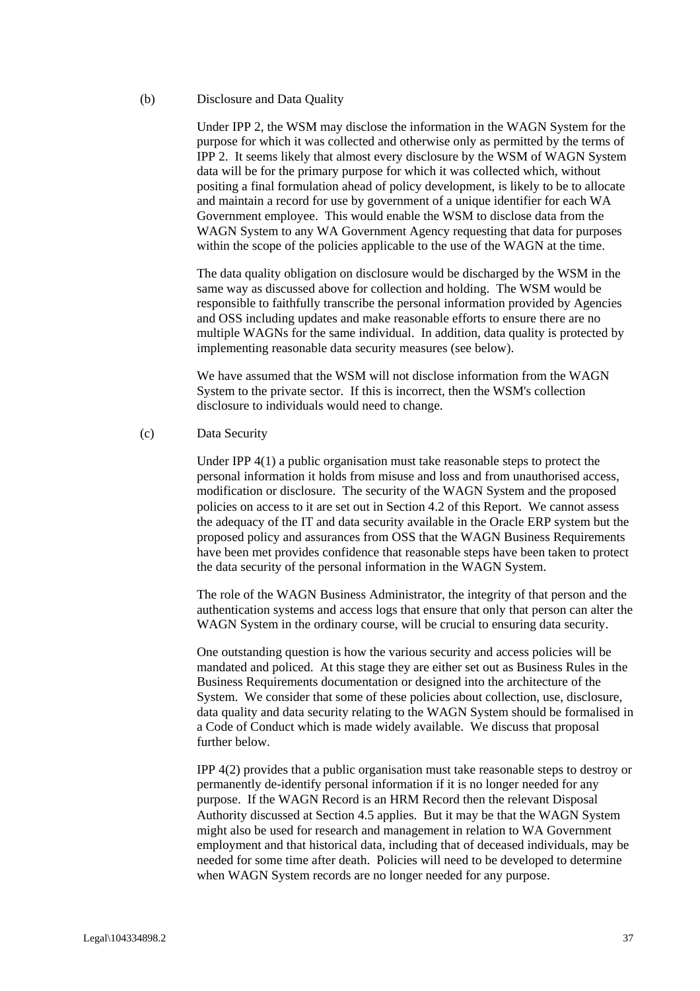(b) Disclosure and Data Quality

Under IPP 2, the WSM may disclose the information in the WAGN System for the purpose for which it was collected and otherwise only as permitted by the terms of IPP 2. It seems likely that almost every disclosure by the WSM of WAGN System data will be for the primary purpose for which it was collected which, without positing a final formulation ahead of policy development, is likely to be to allocate and maintain a record for use by government of a unique identifier for each WA Government employee. This would enable the WSM to disclose data from the WAGN System to any WA Government Agency requesting that data for purposes within the scope of the policies applicable to the use of the WAGN at the time.

The data quality obligation on disclosure would be discharged by the WSM in the same way as discussed above for collection and holding. The WSM would be responsible to faithfully transcribe the personal information provided by Agencies and OSS including updates and make reasonable efforts to ensure there are no multiple WAGNs for the same individual. In addition, data quality is protected by implementing reasonable data security measures (see below).

We have assumed that the WSM will not disclose information from the WAGN System to the private sector. If this is incorrect, then the WSM's collection disclosure to individuals would need to change.

(c) Data Security

Under IPP 4(1) a public organisation must take reasonable steps to protect the personal information it holds from misuse and loss and from unauthorised access, modification or disclosure. The security of the WAGN System and the proposed policies on access to it are set out in Section 4.2 of this Report. We cannot assess the adequacy of the IT and data security available in the Oracle ERP system but the proposed policy and assurances from OSS that the WAGN Business Requirements have been met provides confidence that reasonable steps have been taken to protect the data security of the personal information in the WAGN System.

The role of the WAGN Business Administrator, the integrity of that person and the authentication systems and access logs that ensure that only that person can alter the WAGN System in the ordinary course, will be crucial to ensuring data security.

One outstanding question is how the various security and access policies will be mandated and policed. At this stage they are either set out as Business Rules in the Business Requirements documentation or designed into the architecture of the System. We consider that some of these policies about collection, use, disclosure, data quality and data security relating to the WAGN System should be formalised in a Code of Conduct which is made widely available. We discuss that proposal further below.

IPP 4(2) provides that a public organisation must take reasonable steps to destroy or permanently de-identify personal information if it is no longer needed for any purpose. If the WAGN Record is an HRM Record then the relevant Disposal Authority discussed at Section 4.5 applies. But it may be that the WAGN System might also be used for research and management in relation to WA Government employment and that historical data, including that of deceased individuals, may be needed for some time after death. Policies will need to be developed to determine when WAGN System records are no longer needed for any purpose.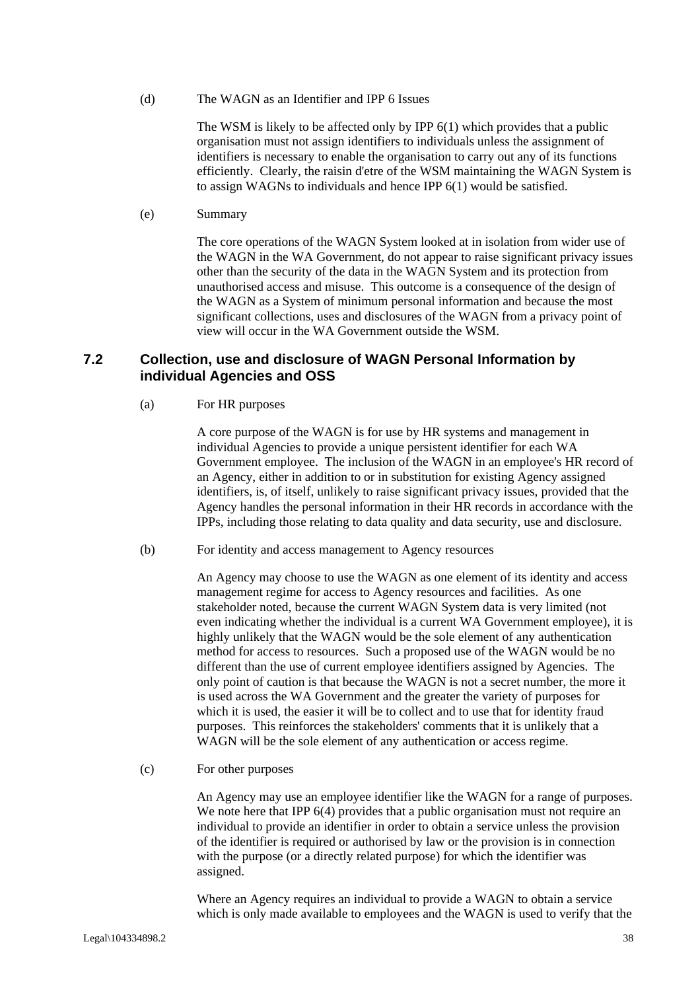(d) The WAGN as an Identifier and IPP 6 Issues

The WSM is likely to be affected only by IPP 6(1) which provides that a public organisation must not assign identifiers to individuals unless the assignment of identifiers is necessary to enable the organisation to carry out any of its functions efficiently. Clearly, the raisin d'etre of the WSM maintaining the WAGN System is to assign WAGNs to individuals and hence IPP 6(1) would be satisfied.

(e) Summary

The core operations of the WAGN System looked at in isolation from wider use of the WAGN in the WA Government, do not appear to raise significant privacy issues other than the security of the data in the WAGN System and its protection from unauthorised access and misuse. This outcome is a consequence of the design of the WAGN as a System of minimum personal information and because the most significant collections, uses and disclosures of the WAGN from a privacy point of view will occur in the WA Government outside the WSM.

#### **7.2 Collection, use and disclosure of WAGN Personal Information by individual Agencies and OSS**

(a) For HR purposes

A core purpose of the WAGN is for use by HR systems and management in individual Agencies to provide a unique persistent identifier for each WA Government employee. The inclusion of the WAGN in an employee's HR record of an Agency, either in addition to or in substitution for existing Agency assigned identifiers, is, of itself, unlikely to raise significant privacy issues, provided that the Agency handles the personal information in their HR records in accordance with the IPPs, including those relating to data quality and data security, use and disclosure.

(b) For identity and access management to Agency resources

An Agency may choose to use the WAGN as one element of its identity and access management regime for access to Agency resources and facilities. As one stakeholder noted, because the current WAGN System data is very limited (not even indicating whether the individual is a current WA Government employee), it is highly unlikely that the WAGN would be the sole element of any authentication method for access to resources. Such a proposed use of the WAGN would be no different than the use of current employee identifiers assigned by Agencies. The only point of caution is that because the WAGN is not a secret number, the more it is used across the WA Government and the greater the variety of purposes for which it is used, the easier it will be to collect and to use that for identity fraud purposes. This reinforces the stakeholders' comments that it is unlikely that a WAGN will be the sole element of any authentication or access regime.

(c) For other purposes

An Agency may use an employee identifier like the WAGN for a range of purposes. We note here that IPP 6(4) provides that a public organisation must not require an individual to provide an identifier in order to obtain a service unless the provision of the identifier is required or authorised by law or the provision is in connection with the purpose (or a directly related purpose) for which the identifier was assigned.

Where an Agency requires an individual to provide a WAGN to obtain a service which is only made available to employees and the WAGN is used to verify that the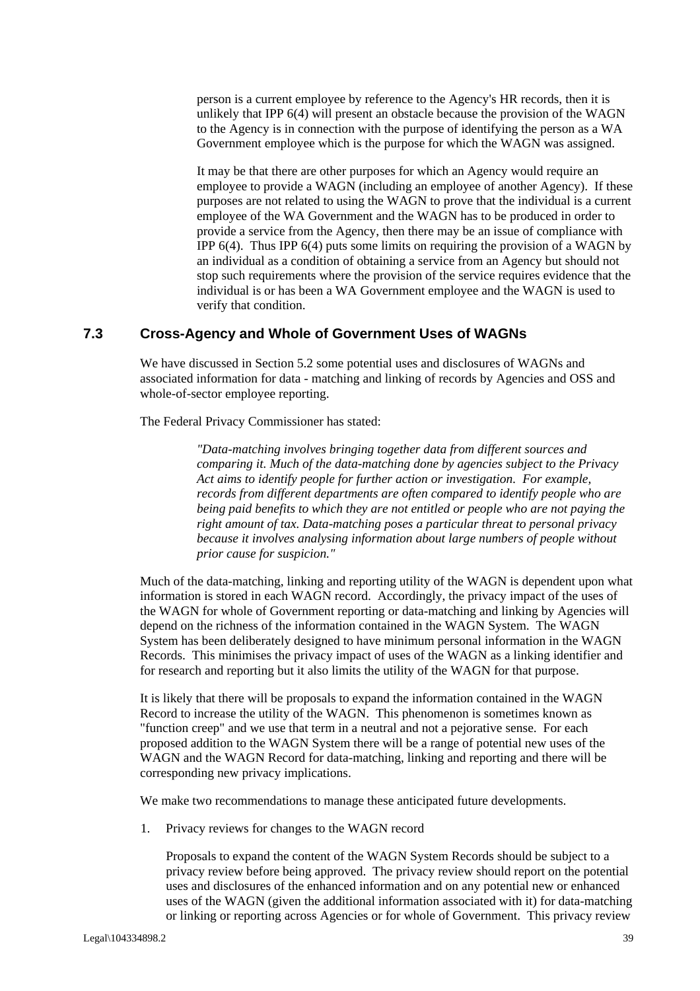person is a current employee by reference to the Agency's HR records, then it is unlikely that IPP 6(4) will present an obstacle because the provision of the WAGN to the Agency is in connection with the purpose of identifying the person as a WA Government employee which is the purpose for which the WAGN was assigned.

It may be that there are other purposes for which an Agency would require an employee to provide a WAGN (including an employee of another Agency). If these purposes are not related to using the WAGN to prove that the individual is a current employee of the WA Government and the WAGN has to be produced in order to provide a service from the Agency, then there may be an issue of compliance with IPP  $6(4)$ . Thus IPP  $6(4)$  puts some limits on requiring the provision of a WAGN by an individual as a condition of obtaining a service from an Agency but should not stop such requirements where the provision of the service requires evidence that the individual is or has been a WA Government employee and the WAGN is used to verify that condition.

#### **7.3 Cross-Agency and Whole of Government Uses of WAGNs**

We have discussed in Section 5.2 some potential uses and disclosures of WAGNs and associated information for data - matching and linking of records by Agencies and OSS and whole-of-sector employee reporting.

The Federal Privacy Commissioner has stated:

*"Data-matching involves bringing together data from different sources and comparing it. Much of the data-matching done by agencies subject to the Privacy Act aims to identify people for further action or investigation. For example, records from different departments are often compared to identify people who are being paid benefits to which they are not entitled or people who are not paying the right amount of tax. Data-matching poses a particular threat to personal privacy because it involves analysing information about large numbers of people without prior cause for suspicion."* 

Much of the data-matching, linking and reporting utility of the WAGN is dependent upon what information is stored in each WAGN record. Accordingly, the privacy impact of the uses of the WAGN for whole of Government reporting or data-matching and linking by Agencies will depend on the richness of the information contained in the WAGN System. The WAGN System has been deliberately designed to have minimum personal information in the WAGN Records. This minimises the privacy impact of uses of the WAGN as a linking identifier and for research and reporting but it also limits the utility of the WAGN for that purpose.

It is likely that there will be proposals to expand the information contained in the WAGN Record to increase the utility of the WAGN. This phenomenon is sometimes known as "function creep" and we use that term in a neutral and not a pejorative sense. For each proposed addition to the WAGN System there will be a range of potential new uses of the WAGN and the WAGN Record for data-matching, linking and reporting and there will be corresponding new privacy implications.

We make two recommendations to manage these anticipated future developments.

1. Privacy reviews for changes to the WAGN record

Proposals to expand the content of the WAGN System Records should be subject to a privacy review before being approved. The privacy review should report on the potential uses and disclosures of the enhanced information and on any potential new or enhanced uses of the WAGN (given the additional information associated with it) for data-matching or linking or reporting across Agencies or for whole of Government. This privacy review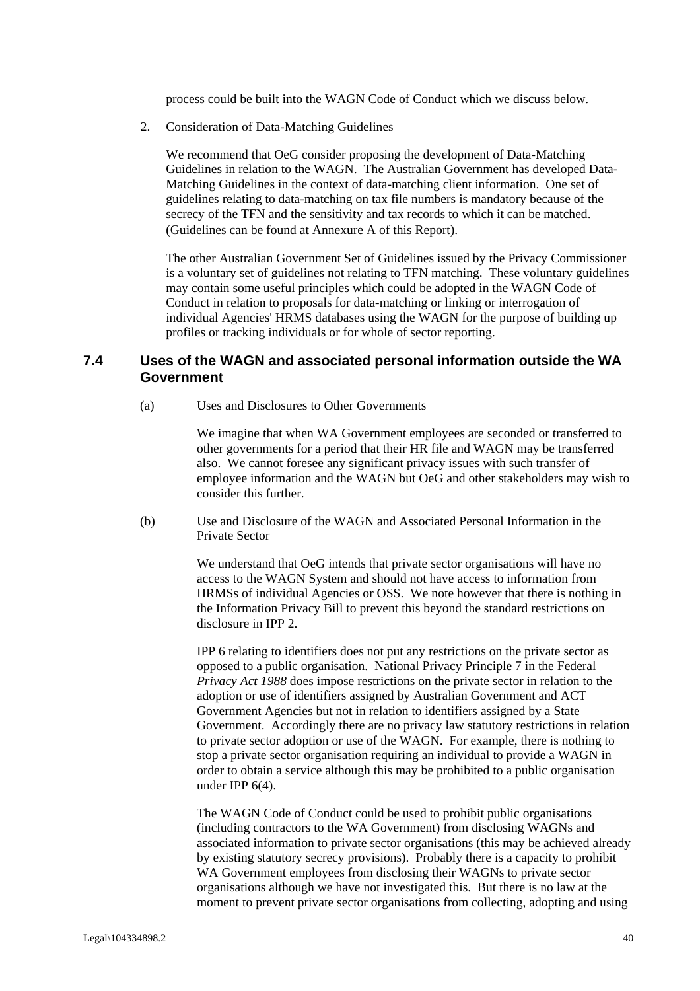process could be built into the WAGN Code of Conduct which we discuss below.

2. Consideration of Data-Matching Guidelines

We recommend that OeG consider proposing the development of Data-Matching Guidelines in relation to the WAGN. The Australian Government has developed Data-Matching Guidelines in the context of data-matching client information. One set of guidelines relating to data-matching on tax file numbers is mandatory because of the secrecy of the TFN and the sensitivity and tax records to which it can be matched. (Guidelines can be found at Annexure A of this Report).

The other Australian Government Set of Guidelines issued by the Privacy Commissioner is a voluntary set of guidelines not relating to TFN matching. These voluntary guidelines may contain some useful principles which could be adopted in the WAGN Code of Conduct in relation to proposals for data-matching or linking or interrogation of individual Agencies' HRMS databases using the WAGN for the purpose of building up profiles or tracking individuals or for whole of sector reporting.

#### **7.4 Uses of the WAGN and associated personal information outside the WA Government**

(a) Uses and Disclosures to Other Governments

We imagine that when WA Government employees are seconded or transferred to other governments for a period that their HR file and WAGN may be transferred also. We cannot foresee any significant privacy issues with such transfer of employee information and the WAGN but OeG and other stakeholders may wish to consider this further.

(b) Use and Disclosure of the WAGN and Associated Personal Information in the Private Sector

> We understand that OeG intends that private sector organisations will have no access to the WAGN System and should not have access to information from HRMSs of individual Agencies or OSS. We note however that there is nothing in the Information Privacy Bill to prevent this beyond the standard restrictions on disclosure in IPP 2.

IPP 6 relating to identifiers does not put any restrictions on the private sector as opposed to a public organisation. National Privacy Principle 7 in the Federal *Privacy Act 1988* does impose restrictions on the private sector in relation to the adoption or use of identifiers assigned by Australian Government and ACT Government Agencies but not in relation to identifiers assigned by a State Government. Accordingly there are no privacy law statutory restrictions in relation to private sector adoption or use of the WAGN. For example, there is nothing to stop a private sector organisation requiring an individual to provide a WAGN in order to obtain a service although this may be prohibited to a public organisation under IPP 6(4).

The WAGN Code of Conduct could be used to prohibit public organisations (including contractors to the WA Government) from disclosing WAGNs and associated information to private sector organisations (this may be achieved already by existing statutory secrecy provisions). Probably there is a capacity to prohibit WA Government employees from disclosing their WAGNs to private sector organisations although we have not investigated this. But there is no law at the moment to prevent private sector organisations from collecting, adopting and using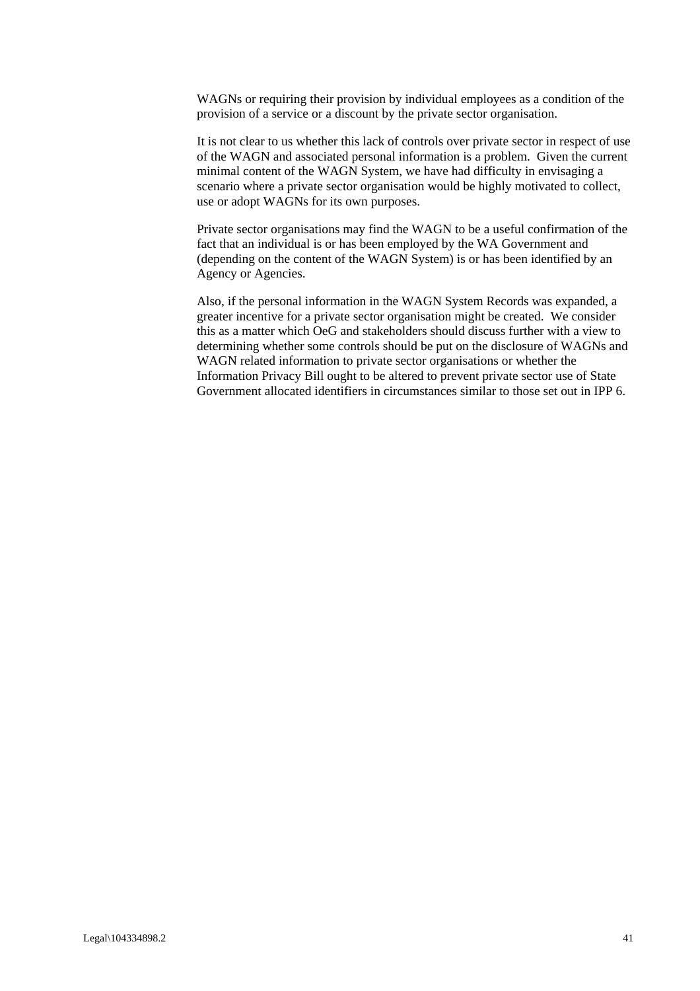WAGNs or requiring their provision by individual employees as a condition of the provision of a service or a discount by the private sector organisation.

It is not clear to us whether this lack of controls over private sector in respect of use of the WAGN and associated personal information is a problem. Given the current minimal content of the WAGN System, we have had difficulty in envisaging a scenario where a private sector organisation would be highly motivated to collect, use or adopt WAGNs for its own purposes.

Private sector organisations may find the WAGN to be a useful confirmation of the fact that an individual is or has been employed by the WA Government and (depending on the content of the WAGN System) is or has been identified by an Agency or Agencies.

Also, if the personal information in the WAGN System Records was expanded, a greater incentive for a private sector organisation might be created. We consider this as a matter which OeG and stakeholders should discuss further with a view to determining whether some controls should be put on the disclosure of WAGNs and WAGN related information to private sector organisations or whether the Information Privacy Bill ought to be altered to prevent private sector use of State Government allocated identifiers in circumstances similar to those set out in IPP 6.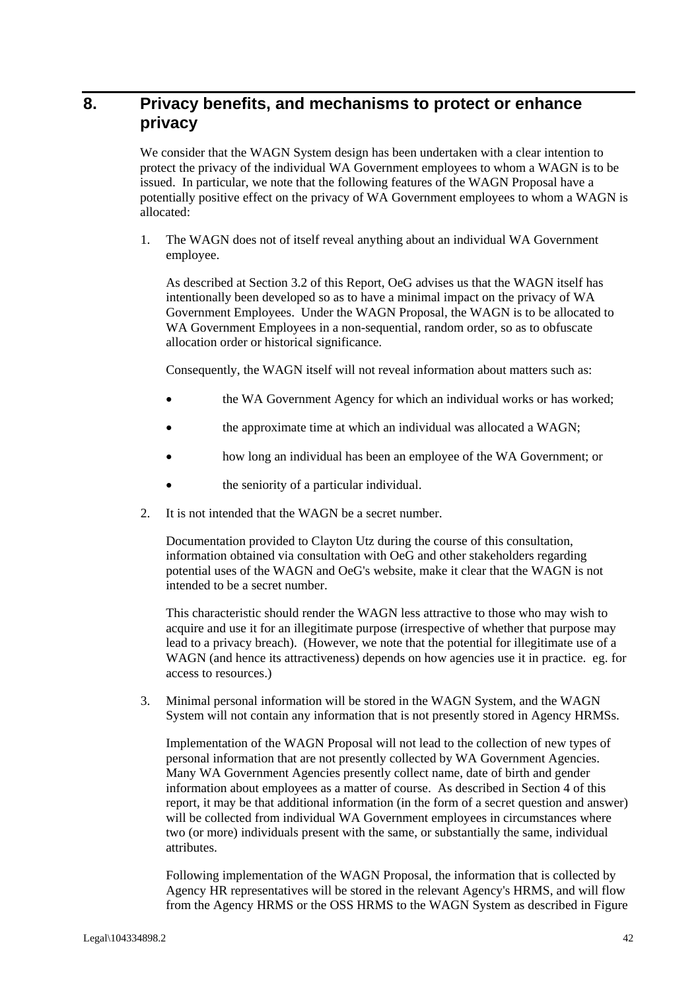## **8. Privacy benefits, and mechanisms to protect or enhance privacy**

We consider that the WAGN System design has been undertaken with a clear intention to protect the privacy of the individual WA Government employees to whom a WAGN is to be issued. In particular, we note that the following features of the WAGN Proposal have a potentially positive effect on the privacy of WA Government employees to whom a WAGN is allocated:

1. The WAGN does not of itself reveal anything about an individual WA Government employee.

As described at Section 3.2 of this Report, OeG advises us that the WAGN itself has intentionally been developed so as to have a minimal impact on the privacy of WA Government Employees. Under the WAGN Proposal, the WAGN is to be allocated to WA Government Employees in a non-sequential, random order, so as to obfuscate allocation order or historical significance.

Consequently, the WAGN itself will not reveal information about matters such as:

- the WA Government Agency for which an individual works or has worked;
- the approximate time at which an individual was allocated a WAGN;
- how long an individual has been an employee of the WA Government; or
- the seniority of a particular individual.
- 2. It is not intended that the WAGN be a secret number.

Documentation provided to Clayton Utz during the course of this consultation, information obtained via consultation with OeG and other stakeholders regarding potential uses of the WAGN and OeG's website, make it clear that the WAGN is not intended to be a secret number.

This characteristic should render the WAGN less attractive to those who may wish to acquire and use it for an illegitimate purpose (irrespective of whether that purpose may lead to a privacy breach). (However, we note that the potential for illegitimate use of a WAGN (and hence its attractiveness) depends on how agencies use it in practice. eg. for access to resources.)

3. Minimal personal information will be stored in the WAGN System, and the WAGN System will not contain any information that is not presently stored in Agency HRMSs.

Implementation of the WAGN Proposal will not lead to the collection of new types of personal information that are not presently collected by WA Government Agencies. Many WA Government Agencies presently collect name, date of birth and gender information about employees as a matter of course. As described in Section 4 of this report, it may be that additional information (in the form of a secret question and answer) will be collected from individual WA Government employees in circumstances where two (or more) individuals present with the same, or substantially the same, individual attributes.

Following implementation of the WAGN Proposal, the information that is collected by Agency HR representatives will be stored in the relevant Agency's HRMS, and will flow from the Agency HRMS or the OSS HRMS to the WAGN System as described in Figure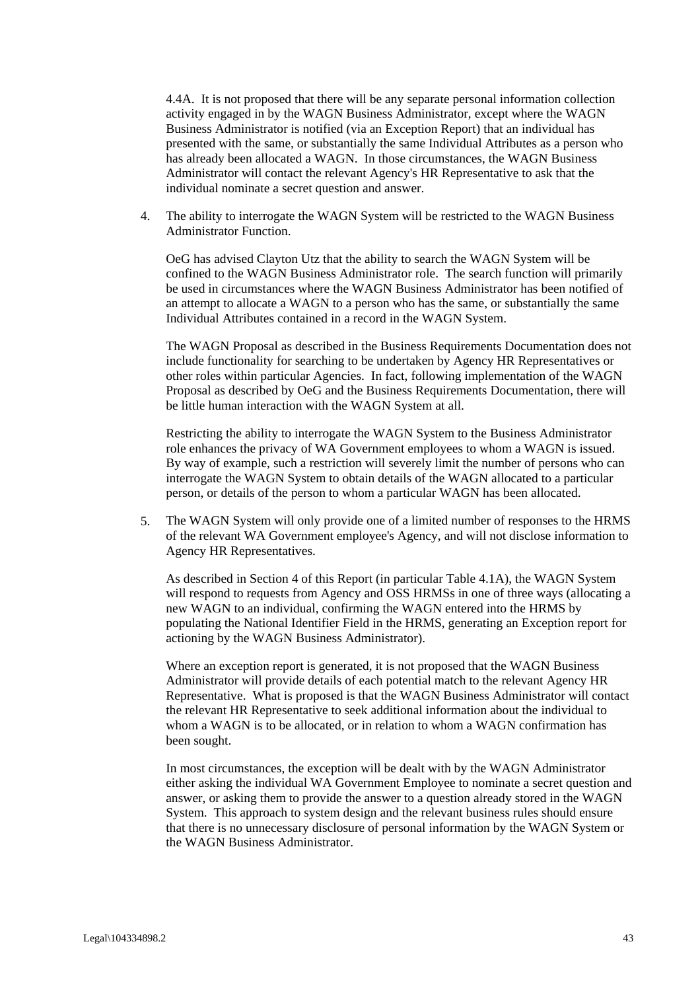4.4A. It is not proposed that there will be any separate personal information collection activity engaged in by the WAGN Business Administrator, except where the WAGN Business Administrator is notified (via an Exception Report) that an individual has presented with the same, or substantially the same Individual Attributes as a person who has already been allocated a WAGN. In those circumstances, the WAGN Business Administrator will contact the relevant Agency's HR Representative to ask that the individual nominate a secret question and answer.

4. The ability to interrogate the WAGN System will be restricted to the WAGN Business Administrator Function.

OeG has advised Clayton Utz that the ability to search the WAGN System will be confined to the WAGN Business Administrator role. The search function will primarily be used in circumstances where the WAGN Business Administrator has been notified of an attempt to allocate a WAGN to a person who has the same, or substantially the same Individual Attributes contained in a record in the WAGN System.

The WAGN Proposal as described in the Business Requirements Documentation does not include functionality for searching to be undertaken by Agency HR Representatives or other roles within particular Agencies. In fact, following implementation of the WAGN Proposal as described by OeG and the Business Requirements Documentation, there will be little human interaction with the WAGN System at all.

Restricting the ability to interrogate the WAGN System to the Business Administrator role enhances the privacy of WA Government employees to whom a WAGN is issued. By way of example, such a restriction will severely limit the number of persons who can interrogate the WAGN System to obtain details of the WAGN allocated to a particular person, or details of the person to whom a particular WAGN has been allocated.

5. The WAGN System will only provide one of a limited number of responses to the HRMS of the relevant WA Government employee's Agency, and will not disclose information to Agency HR Representatives.

As described in Section 4 of this Report (in particular Table 4.1A), the WAGN System will respond to requests from Agency and OSS HRMSs in one of three ways (allocating a new WAGN to an individual, confirming the WAGN entered into the HRMS by populating the National Identifier Field in the HRMS, generating an Exception report for actioning by the WAGN Business Administrator).

Where an exception report is generated, it is not proposed that the WAGN Business Administrator will provide details of each potential match to the relevant Agency HR Representative. What is proposed is that the WAGN Business Administrator will contact the relevant HR Representative to seek additional information about the individual to whom a WAGN is to be allocated, or in relation to whom a WAGN confirmation has been sought.

In most circumstances, the exception will be dealt with by the WAGN Administrator either asking the individual WA Government Employee to nominate a secret question and answer, or asking them to provide the answer to a question already stored in the WAGN System. This approach to system design and the relevant business rules should ensure that there is no unnecessary disclosure of personal information by the WAGN System or the WAGN Business Administrator.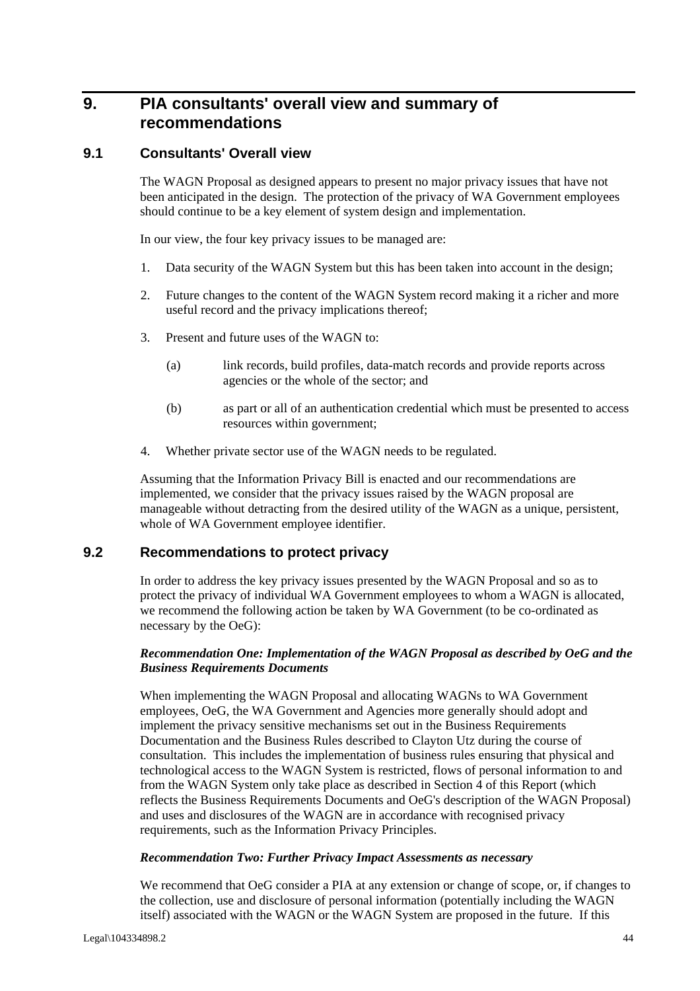## **9. PIA consultants' overall view and summary of recommendations**

#### **9.1 Consultants' Overall view**

The WAGN Proposal as designed appears to present no major privacy issues that have not been anticipated in the design. The protection of the privacy of WA Government employees should continue to be a key element of system design and implementation.

In our view, the four key privacy issues to be managed are:

- 1. Data security of the WAGN System but this has been taken into account in the design;
- 2. Future changes to the content of the WAGN System record making it a richer and more useful record and the privacy implications thereof;
- 3. Present and future uses of the WAGN to:
	- (a) link records, build profiles, data-match records and provide reports across agencies or the whole of the sector; and
	- (b) as part or all of an authentication credential which must be presented to access resources within government;
- 4. Whether private sector use of the WAGN needs to be regulated.

Assuming that the Information Privacy Bill is enacted and our recommendations are implemented, we consider that the privacy issues raised by the WAGN proposal are manageable without detracting from the desired utility of the WAGN as a unique, persistent, whole of WA Government employee identifier.

#### **9.2 Recommendations to protect privacy**

In order to address the key privacy issues presented by the WAGN Proposal and so as to protect the privacy of individual WA Government employees to whom a WAGN is allocated, we recommend the following action be taken by WA Government (to be co-ordinated as necessary by the OeG):

#### *Recommendation One: Implementation of the WAGN Proposal as described by OeG and the Business Requirements Documents*

When implementing the WAGN Proposal and allocating WAGNs to WA Government employees, OeG, the WA Government and Agencies more generally should adopt and implement the privacy sensitive mechanisms set out in the Business Requirements Documentation and the Business Rules described to Clayton Utz during the course of consultation. This includes the implementation of business rules ensuring that physical and technological access to the WAGN System is restricted, flows of personal information to and from the WAGN System only take place as described in Section 4 of this Report (which reflects the Business Requirements Documents and OeG's description of the WAGN Proposal) and uses and disclosures of the WAGN are in accordance with recognised privacy requirements, such as the Information Privacy Principles.

#### *Recommendation Two: Further Privacy Impact Assessments as necessary*

We recommend that OeG consider a PIA at any extension or change of scope, or, if changes to the collection, use and disclosure of personal information (potentially including the WAGN itself) associated with the WAGN or the WAGN System are proposed in the future. If this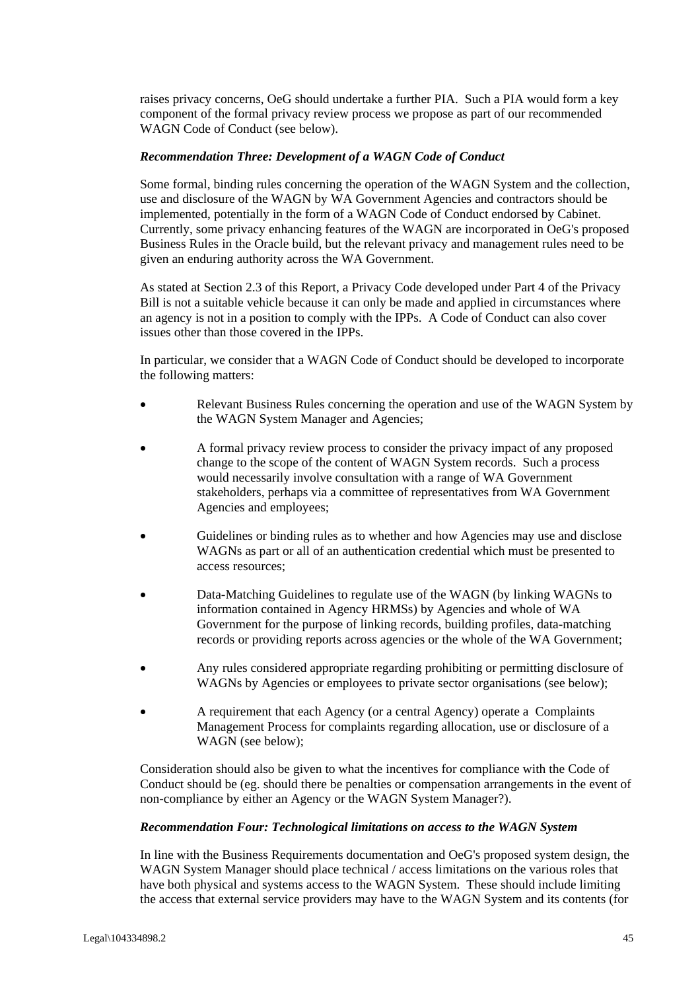raises privacy concerns, OeG should undertake a further PIA. Such a PIA would form a key component of the formal privacy review process we propose as part of our recommended WAGN Code of Conduct (see below).

#### *Recommendation Three: Development of a WAGN Code of Conduct*

Some formal, binding rules concerning the operation of the WAGN System and the collection, use and disclosure of the WAGN by WA Government Agencies and contractors should be implemented, potentially in the form of a WAGN Code of Conduct endorsed by Cabinet. Currently, some privacy enhancing features of the WAGN are incorporated in OeG's proposed Business Rules in the Oracle build, but the relevant privacy and management rules need to be given an enduring authority across the WA Government.

As stated at Section 2.3 of this Report, a Privacy Code developed under Part 4 of the Privacy Bill is not a suitable vehicle because it can only be made and applied in circumstances where an agency is not in a position to comply with the IPPs. A Code of Conduct can also cover issues other than those covered in the IPPs.

In particular, we consider that a WAGN Code of Conduct should be developed to incorporate the following matters:

- Relevant Business Rules concerning the operation and use of the WAGN System by the WAGN System Manager and Agencies;
- A formal privacy review process to consider the privacy impact of any proposed change to the scope of the content of WAGN System records. Such a process would necessarily involve consultation with a range of WA Government stakeholders, perhaps via a committee of representatives from WA Government Agencies and employees;
- Guidelines or binding rules as to whether and how Agencies may use and disclose WAGNs as part or all of an authentication credential which must be presented to access resources;
- Data-Matching Guidelines to regulate use of the WAGN (by linking WAGNs to information contained in Agency HRMSs) by Agencies and whole of WA Government for the purpose of linking records, building profiles, data-matching records or providing reports across agencies or the whole of the WA Government;
- Any rules considered appropriate regarding prohibiting or permitting disclosure of WAGNs by Agencies or employees to private sector organisations (see below);
- A requirement that each Agency (or a central Agency) operate a Complaints Management Process for complaints regarding allocation, use or disclosure of a WAGN (see below);

Consideration should also be given to what the incentives for compliance with the Code of Conduct should be (eg. should there be penalties or compensation arrangements in the event of non-compliance by either an Agency or the WAGN System Manager?).

#### *Recommendation Four: Technological limitations on access to the WAGN System*

In line with the Business Requirements documentation and OeG's proposed system design, the WAGN System Manager should place technical / access limitations on the various roles that have both physical and systems access to the WAGN System. These should include limiting the access that external service providers may have to the WAGN System and its contents (for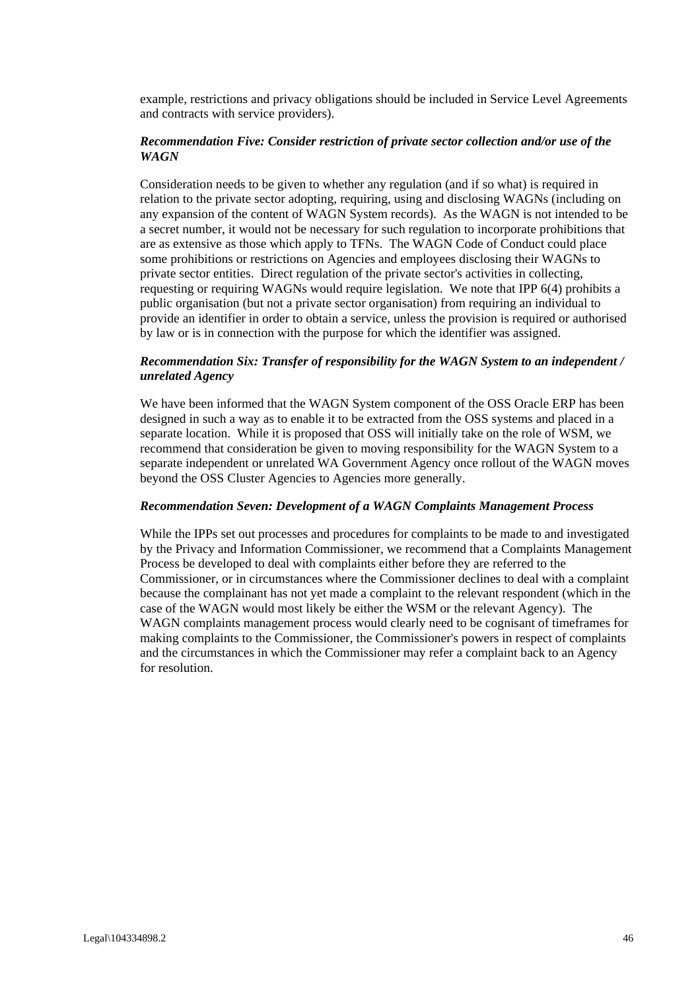example, restrictions and privacy obligations should be included in Service Level Agreements and contracts with service providers).

#### *Recommendation Five: Consider restriction of private sector collection and/or use of the WAGN*

Consideration needs to be given to whether any regulation (and if so what) is required in relation to the private sector adopting, requiring, using and disclosing WAGNs (including on any expansion of the content of WAGN System records). As the WAGN is not intended to be a secret number, it would not be necessary for such regulation to incorporate prohibitions that are as extensive as those which apply to TFNs. The WAGN Code of Conduct could place some prohibitions or restrictions on Agencies and employees disclosing their WAGNs to private sector entities. Direct regulation of the private sector's activities in collecting, requesting or requiring WAGNs would require legislation. We note that IPP 6(4) prohibits a public organisation (but not a private sector organisation) from requiring an individual to provide an identifier in order to obtain a service, unless the provision is required or authorised by law or is in connection with the purpose for which the identifier was assigned.

#### *Recommendation Six: Transfer of responsibility for the WAGN System to an independent / unrelated Agency*

We have been informed that the WAGN System component of the OSS Oracle ERP has been designed in such a way as to enable it to be extracted from the OSS systems and placed in a separate location. While it is proposed that OSS will initially take on the role of WSM, we recommend that consideration be given to moving responsibility for the WAGN System to a separate independent or unrelated WA Government Agency once rollout of the WAGN moves beyond the OSS Cluster Agencies to Agencies more generally.

#### *Recommendation Seven: Development of a WAGN Complaints Management Process*

While the IPPs set out processes and procedures for complaints to be made to and investigated by the Privacy and Information Commissioner, we recommend that a Complaints Management Process be developed to deal with complaints either before they are referred to the Commissioner, or in circumstances where the Commissioner declines to deal with a complaint because the complainant has not yet made a complaint to the relevant respondent (which in the case of the WAGN would most likely be either the WSM or the relevant Agency). The WAGN complaints management process would clearly need to be cognisant of timeframes for making complaints to the Commissioner, the Commissioner's powers in respect of complaints and the circumstances in which the Commissioner may refer a complaint back to an Agency for resolution.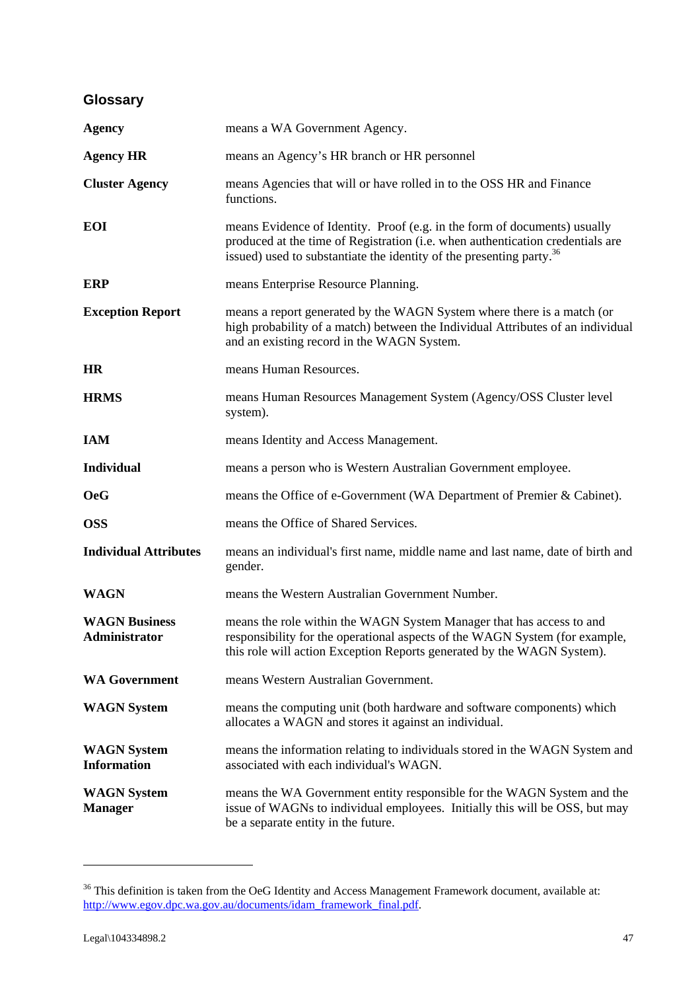## **Glossary**

| <b>Agency</b>                            | means a WA Government Agency.                                                                                                                                                                                                                   |
|------------------------------------------|-------------------------------------------------------------------------------------------------------------------------------------------------------------------------------------------------------------------------------------------------|
| <b>Agency HR</b>                         | means an Agency's HR branch or HR personnel                                                                                                                                                                                                     |
| <b>Cluster Agency</b>                    | means Agencies that will or have rolled in to the OSS HR and Finance<br>functions.                                                                                                                                                              |
| <b>EOI</b>                               | means Evidence of Identity. Proof (e.g. in the form of documents) usually<br>produced at the time of Registration (i.e. when authentication credentials are<br>issued) used to substantiate the identity of the presenting party. <sup>36</sup> |
| <b>ERP</b>                               | means Enterprise Resource Planning.                                                                                                                                                                                                             |
| <b>Exception Report</b>                  | means a report generated by the WAGN System where there is a match (or<br>high probability of a match) between the Individual Attributes of an individual<br>and an existing record in the WAGN System.                                         |
| <b>HR</b>                                | means Human Resources.                                                                                                                                                                                                                          |
| <b>HRMS</b>                              | means Human Resources Management System (Agency/OSS Cluster level<br>system).                                                                                                                                                                   |
| <b>IAM</b>                               | means Identity and Access Management.                                                                                                                                                                                                           |
| <b>Individual</b>                        | means a person who is Western Australian Government employee.                                                                                                                                                                                   |
| <b>OeG</b>                               | means the Office of e-Government (WA Department of Premier & Cabinet).                                                                                                                                                                          |
| <b>OSS</b>                               | means the Office of Shared Services.                                                                                                                                                                                                            |
| <b>Individual Attributes</b>             | means an individual's first name, middle name and last name, date of birth and<br>gender.                                                                                                                                                       |
| <b>WAGN</b>                              | means the Western Australian Government Number.                                                                                                                                                                                                 |
| <b>WAGN Business</b><br>Administrator    | means the role within the WAGN System Manager that has access to and<br>responsibility for the operational aspects of the WAGN System (for example,<br>this role will action Exception Reports generated by the WAGN System).                   |
| <b>WA Government</b>                     | means Western Australian Government.                                                                                                                                                                                                            |
| <b>WAGN</b> System                       | means the computing unit (both hardware and software components) which<br>allocates a WAGN and stores it against an individual.                                                                                                                 |
| <b>WAGN</b> System<br><b>Information</b> | means the information relating to individuals stored in the WAGN System and<br>associated with each individual's WAGN.                                                                                                                          |
| <b>WAGN</b> System<br><b>Manager</b>     | means the WA Government entity responsible for the WAGN System and the<br>issue of WAGNs to individual employees. Initially this will be OSS, but may<br>be a separate entity in the future.                                                    |

 $36$  This definition is taken from the OeG Identity and Access Management Framework document, available at: http://www.egov.dpc.wa.gov.au/documents/idam\_framework\_final.pdf.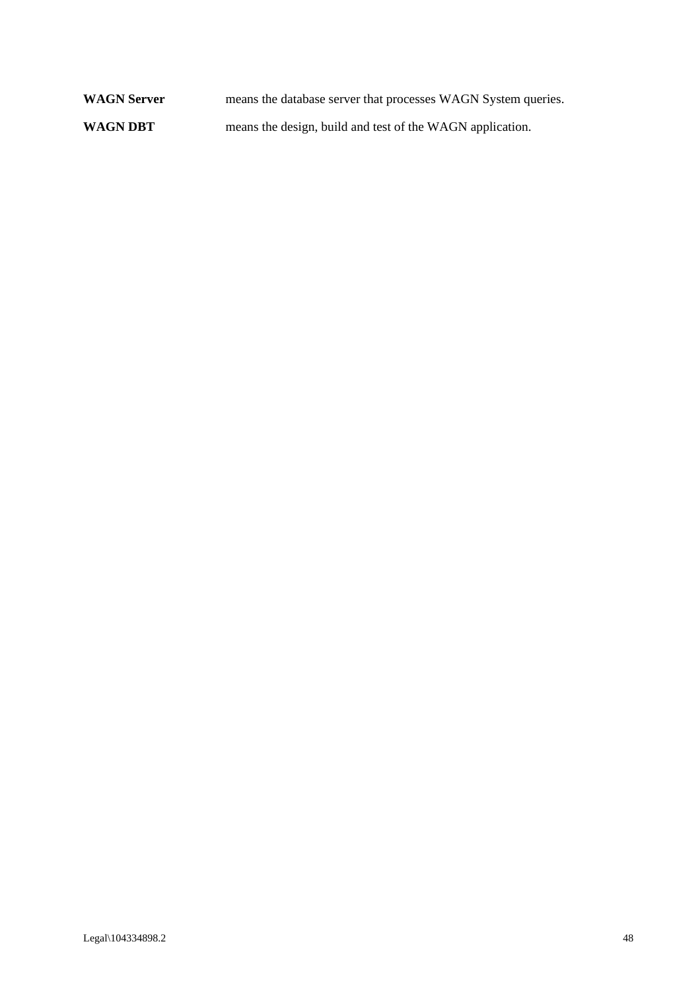WAGN Server **means the database server that processes WAGN System queries. WAGN DBT** means the design, build and test of the WAGN application.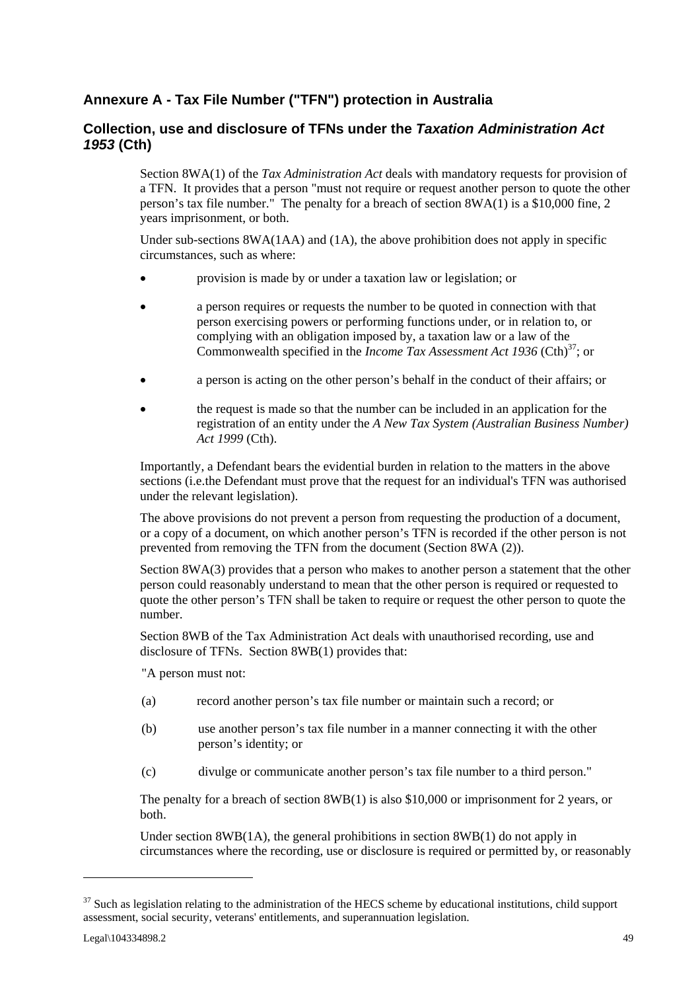### **Annexure A - Tax File Number ("TFN") protection in Australia**

### **Collection, use and disclosure of TFNs under the** *Taxation Administration Act 1953* **(Cth)**

Section 8WA(1) of the *Tax Administration Act* deals with mandatory requests for provision of a TFN. It provides that a person "must not require or request another person to quote the other person's tax file number." The penalty for a breach of section 8WA(1) is a \$10,000 fine, 2 years imprisonment, or both.

Under sub-sections 8WA(1AA) and (1A), the above prohibition does not apply in specific circumstances, such as where:

- provision is made by or under a taxation law or legislation; or
- a person requires or requests the number to be quoted in connection with that person exercising powers or performing functions under, or in relation to, or complying with an obligation imposed by, a taxation law or a law of the Commonwealth specified in the *Income Tax Assessment Act 1936* (Cth)<sup>37</sup>; or
- a person is acting on the other person's behalf in the conduct of their affairs; or
- the request is made so that the number can be included in an application for the registration of an entity under the *A New Tax System (Australian Business Number) Act 1999* (Cth).

Importantly, a Defendant bears the evidential burden in relation to the matters in the above sections (i.e.the Defendant must prove that the request for an individual's TFN was authorised under the relevant legislation).

The above provisions do not prevent a person from requesting the production of a document, or a copy of a document, on which another person's TFN is recorded if the other person is not prevented from removing the TFN from the document (Section 8WA (2)).

Section 8WA(3) provides that a person who makes to another person a statement that the other person could reasonably understand to mean that the other person is required or requested to quote the other person's TFN shall be taken to require or request the other person to quote the number.

Section 8WB of the Tax Administration Act deals with unauthorised recording, use and disclosure of TFNs. Section 8WB(1) provides that:

"A person must not:

- (a) record another person's tax file number or maintain such a record; or
- (b) use another person's tax file number in a manner connecting it with the other person's identity; or
- (c) divulge or communicate another person's tax file number to a third person."

The penalty for a breach of section 8WB(1) is also \$10,000 or imprisonment for 2 years, or both.

Under section 8WB(1A), the general prohibitions in section 8WB(1) do not apply in circumstances where the recording, use or disclosure is required or permitted by, or reasonably

 $37$  Such as legislation relating to the administration of the HECS scheme by educational institutions, child support assessment, social security, veterans' entitlements, and superannuation legislation.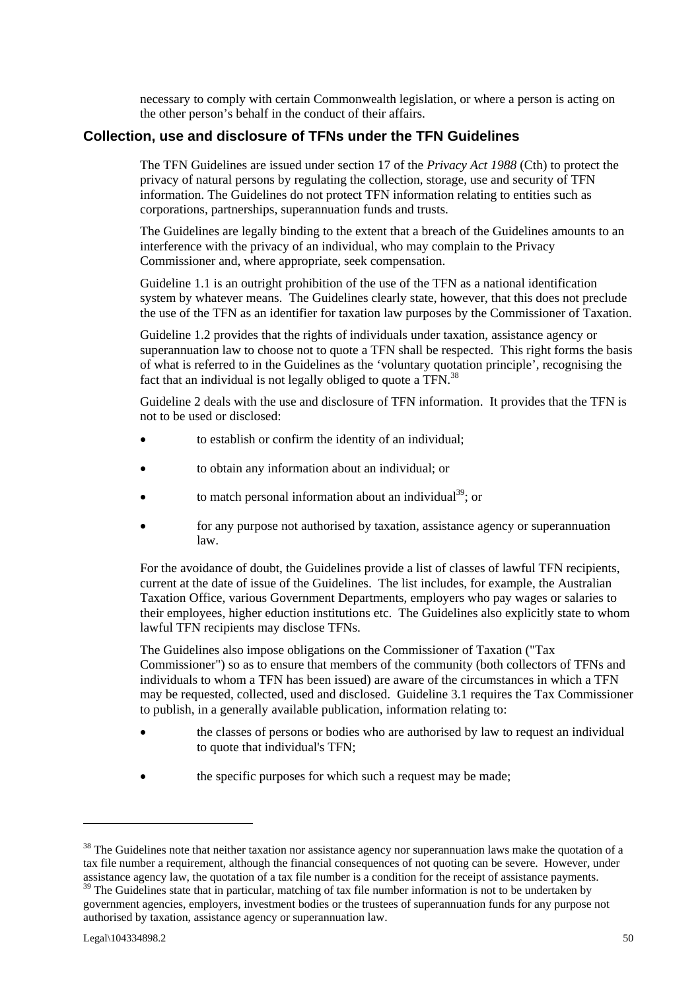necessary to comply with certain Commonwealth legislation, or where a person is acting on the other person's behalf in the conduct of their affairs.

### **Collection, use and disclosure of TFNs under the TFN Guidelines**

The TFN Guidelines are issued under section 17 of the *Privacy Act 1988* (Cth) to protect the privacy of natural persons by regulating the collection, storage, use and security of TFN information. The Guidelines do not protect TFN information relating to entities such as corporations, partnerships, superannuation funds and trusts.

The Guidelines are legally binding to the extent that a breach of the Guidelines amounts to an interference with the privacy of an individual, who may complain to the Privacy Commissioner and, where appropriate, seek compensation.

Guideline 1.1 is an outright prohibition of the use of the TFN as a national identification system by whatever means. The Guidelines clearly state, however, that this does not preclude the use of the TFN as an identifier for taxation law purposes by the Commissioner of Taxation.

Guideline 1.2 provides that the rights of individuals under taxation, assistance agency or superannuation law to choose not to quote a TFN shall be respected. This right forms the basis of what is referred to in the Guidelines as the 'voluntary quotation principle', recognising the fact that an individual is not legally obliged to quote a TFN.<sup>38</sup>

Guideline 2 deals with the use and disclosure of TFN information. It provides that the TFN is not to be used or disclosed:

- to establish or confirm the identity of an individual;
- to obtain any information about an individual; or
- to match personal information about an individual<sup>39</sup>; or
- for any purpose not authorised by taxation, assistance agency or superannuation law.

For the avoidance of doubt, the Guidelines provide a list of classes of lawful TFN recipients, current at the date of issue of the Guidelines. The list includes, for example, the Australian Taxation Office, various Government Departments, employers who pay wages or salaries to their employees, higher eduction institutions etc. The Guidelines also explicitly state to whom lawful TFN recipients may disclose TFNs.

The Guidelines also impose obligations on the Commissioner of Taxation ("Tax Commissioner") so as to ensure that members of the community (both collectors of TFNs and individuals to whom a TFN has been issued) are aware of the circumstances in which a TFN may be requested, collected, used and disclosed. Guideline 3.1 requires the Tax Commissioner to publish, in a generally available publication, information relating to:

- the classes of persons or bodies who are authorised by law to request an individual to quote that individual's TFN;
- the specific purposes for which such a request may be made;

 $38$  The Guidelines note that neither taxation nor assistance agency nor superannuation laws make the quotation of a tax file number a requirement, although the financial consequences of not quoting can be severe. However, under assistance agency law, the quotation of a tax file number is a condition for the receipt of assistance payments.

<sup>&</sup>lt;sup>39</sup> The Guidelines state that in particular, matching of tax file number information is not to be undertaken by government agencies, employers, investment bodies or the trustees of superannuation funds for any purpose not authorised by taxation, assistance agency or superannuation law.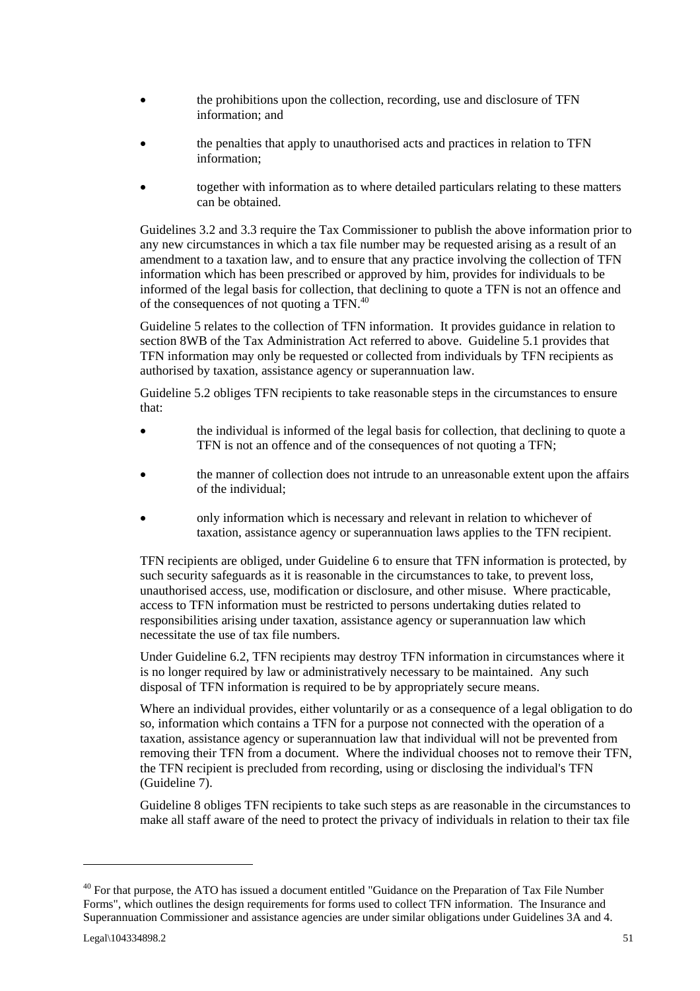- the prohibitions upon the collection, recording, use and disclosure of TFN information; and
- the penalties that apply to unauthorised acts and practices in relation to TFN information;
- together with information as to where detailed particulars relating to these matters can be obtained.

Guidelines 3.2 and 3.3 require the Tax Commissioner to publish the above information prior to any new circumstances in which a tax file number may be requested arising as a result of an amendment to a taxation law, and to ensure that any practice involving the collection of TFN information which has been prescribed or approved by him, provides for individuals to be informed of the legal basis for collection, that declining to quote a TFN is not an offence and of the consequences of not quoting a TFN.<sup>40</sup>

Guideline 5 relates to the collection of TFN information. It provides guidance in relation to section 8WB of the Tax Administration Act referred to above. Guideline 5.1 provides that TFN information may only be requested or collected from individuals by TFN recipients as authorised by taxation, assistance agency or superannuation law.

Guideline 5.2 obliges TFN recipients to take reasonable steps in the circumstances to ensure that:

- the individual is informed of the legal basis for collection, that declining to quote a TFN is not an offence and of the consequences of not quoting a TFN;
- the manner of collection does not intrude to an unreasonable extent upon the affairs of the individual;
- only information which is necessary and relevant in relation to whichever of taxation, assistance agency or superannuation laws applies to the TFN recipient.

TFN recipients are obliged, under Guideline 6 to ensure that TFN information is protected, by such security safeguards as it is reasonable in the circumstances to take, to prevent loss, unauthorised access, use, modification or disclosure, and other misuse. Where practicable, access to TFN information must be restricted to persons undertaking duties related to responsibilities arising under taxation, assistance agency or superannuation law which necessitate the use of tax file numbers.

Under Guideline 6.2, TFN recipients may destroy TFN information in circumstances where it is no longer required by law or administratively necessary to be maintained. Any such disposal of TFN information is required to be by appropriately secure means.

Where an individual provides, either voluntarily or as a consequence of a legal obligation to do so, information which contains a TFN for a purpose not connected with the operation of a taxation, assistance agency or superannuation law that individual will not be prevented from removing their TFN from a document. Where the individual chooses not to remove their TFN, the TFN recipient is precluded from recording, using or disclosing the individual's TFN (Guideline 7).

Guideline 8 obliges TFN recipients to take such steps as are reasonable in the circumstances to make all staff aware of the need to protect the privacy of individuals in relation to their tax file

<sup>&</sup>lt;sup>40</sup> For that purpose, the ATO has issued a document entitled "Guidance on the Preparation of Tax File Number Forms", which outlines the design requirements for forms used to collect TFN information. The Insurance and Superannuation Commissioner and assistance agencies are under similar obligations under Guidelines 3A and 4.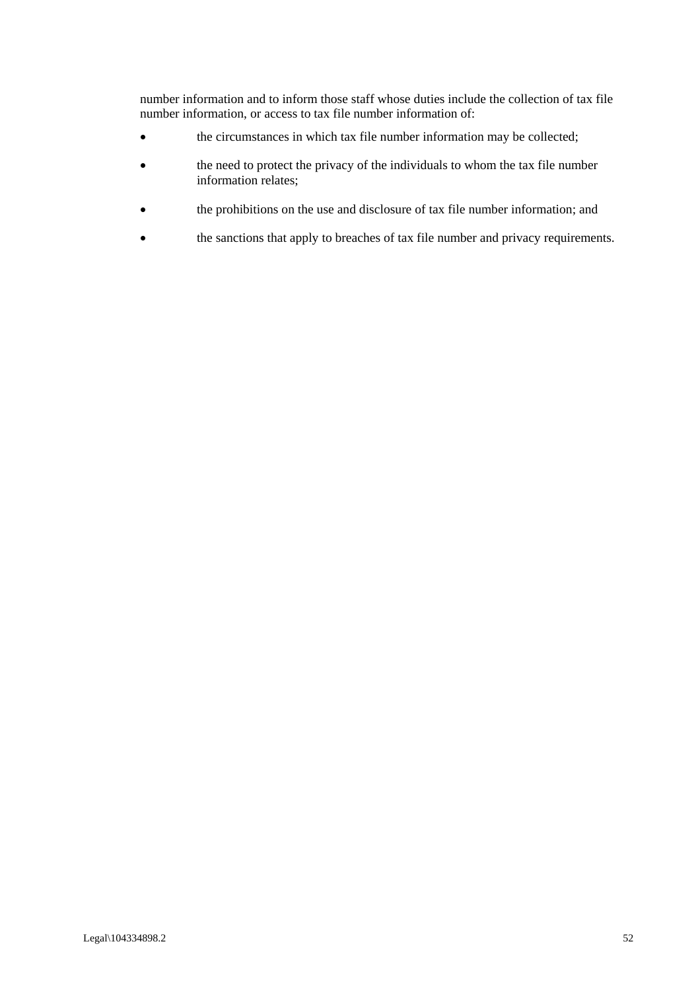number information and to inform those staff whose duties include the collection of tax file number information, or access to tax file number information of:

- the circumstances in which tax file number information may be collected;
- the need to protect the privacy of the individuals to whom the tax file number information relates;
- the prohibitions on the use and disclosure of tax file number information; and
- the sanctions that apply to breaches of tax file number and privacy requirements.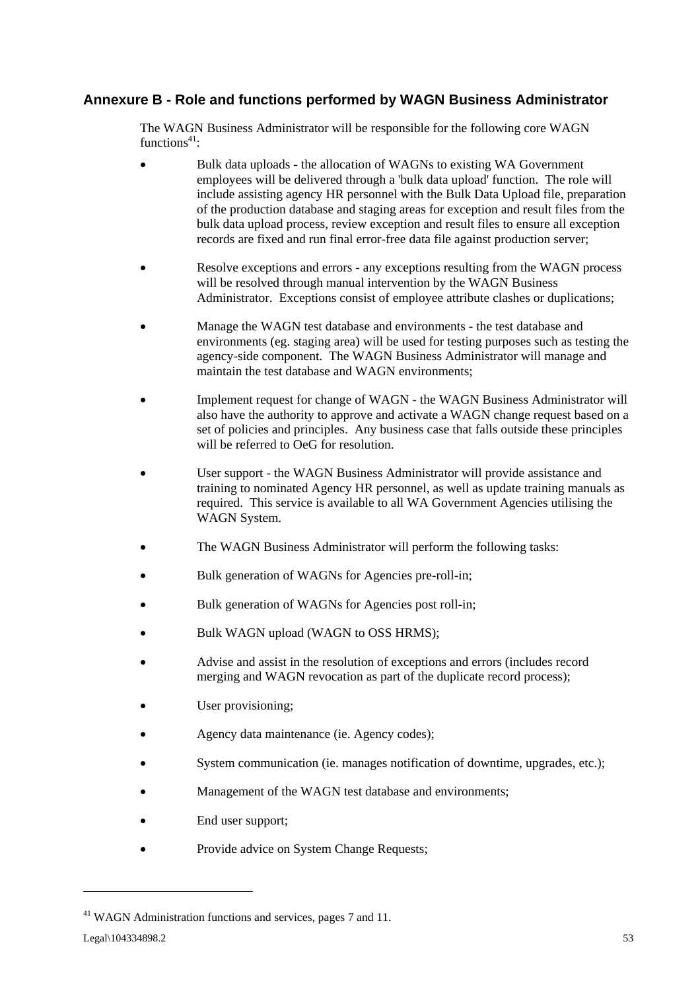### **Annexure B - Role and functions performed by WAGN Business Administrator**

The WAGN Business Administrator will be responsible for the following core WAGN functions $41$ :

- Bulk data uploads the allocation of WAGNs to existing WA Government employees will be delivered through a 'bulk data upload' function. The role will include assisting agency HR personnel with the Bulk Data Upload file, preparation of the production database and staging areas for exception and result files from the bulk data upload process, review exception and result files to ensure all exception records are fixed and run final error-free data file against production server;
- Resolve exceptions and errors any exceptions resulting from the WAGN process will be resolved through manual intervention by the WAGN Business Administrator. Exceptions consist of employee attribute clashes or duplications;
- Manage the WAGN test database and environments the test database and environments (eg. staging area) will be used for testing purposes such as testing the agency-side component. The WAGN Business Administrator will manage and maintain the test database and WAGN environments;
- Implement request for change of WAGN the WAGN Business Administrator will also have the authority to approve and activate a WAGN change request based on a set of policies and principles. Any business case that falls outside these principles will be referred to OeG for resolution.
- User support the WAGN Business Administrator will provide assistance and training to nominated Agency HR personnel, as well as update training manuals as required. This service is available to all WA Government Agencies utilising the WAGN System.
- The WAGN Business Administrator will perform the following tasks:
- Bulk generation of WAGNs for Agencies pre-roll-in;
- Bulk generation of WAGNs for Agencies post roll-in;
- Bulk WAGN upload (WAGN to OSS HRMS);
- Advise and assist in the resolution of exceptions and errors (includes record merging and WAGN revocation as part of the duplicate record process);
- User provisioning;
- Agency data maintenance (ie. Agency codes);
- System communication (ie. manages notification of downtime, upgrades, etc.);
- Management of the WAGN test database and environments;
- End user support;
- Provide advice on System Change Requests;

<sup>&</sup>lt;sup>41</sup> WAGN Administration functions and services, pages 7 and 11.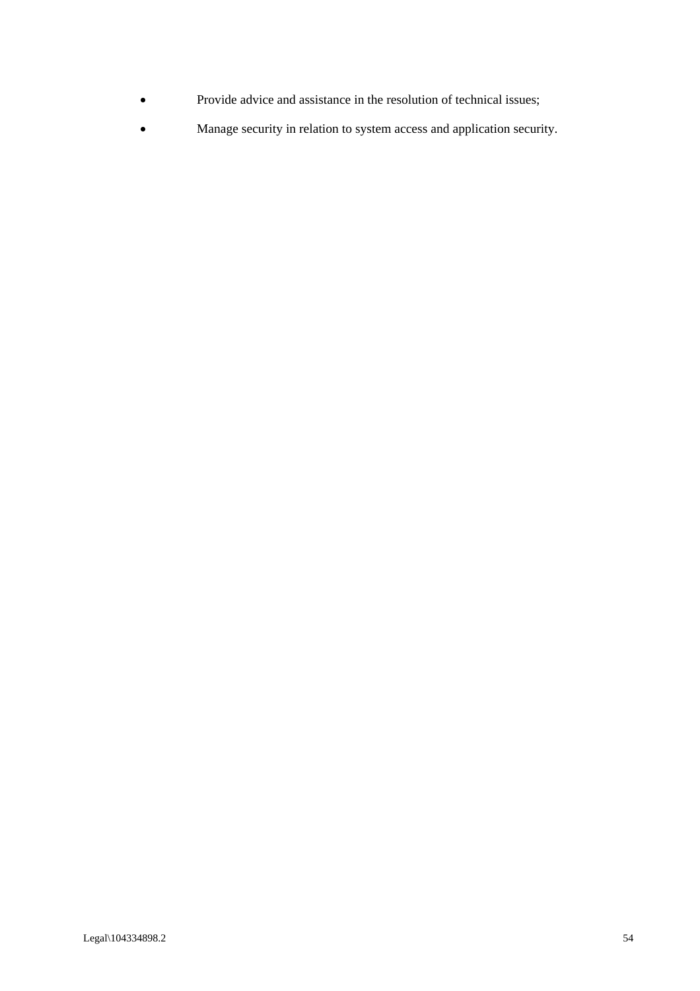- Provide advice and assistance in the resolution of technical issues;
- Manage security in relation to system access and application security.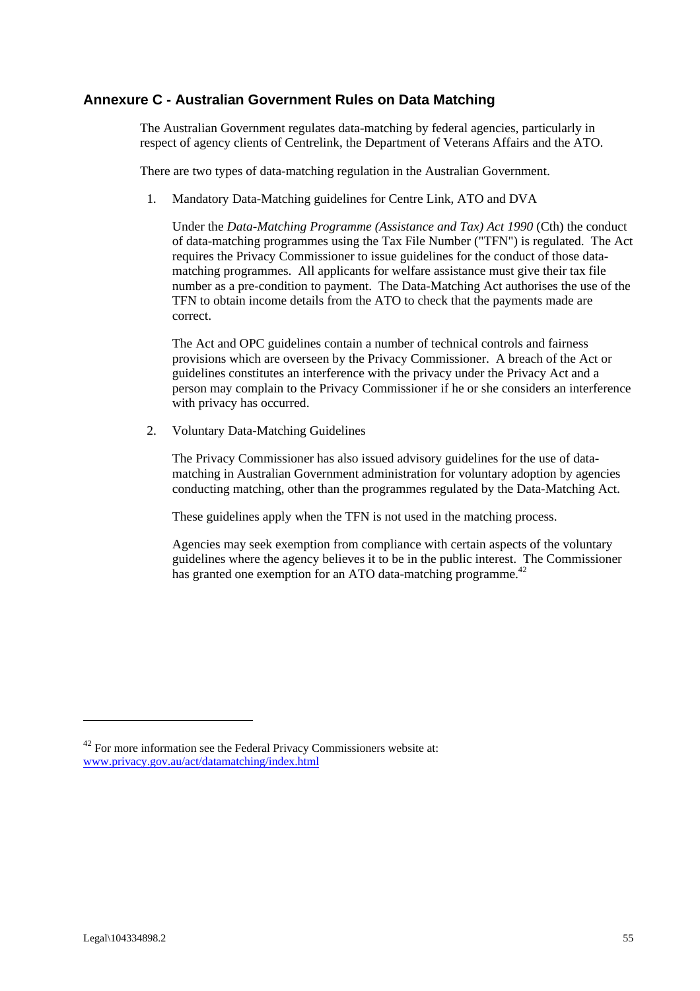### **Annexure C - Australian Government Rules on Data Matching**

The Australian Government regulates data-matching by federal agencies, particularly in respect of agency clients of Centrelink, the Department of Veterans Affairs and the ATO.

There are two types of data-matching regulation in the Australian Government.

1*.* Mandatory Data-Matching guidelines for Centre Link, ATO and DVA

Under the *Data-Matching Programme (Assistance and Tax) Act 1990* (Cth) the conduct of data-matching programmes using the Tax File Number ("TFN") is regulated. The Act requires the Privacy Commissioner to issue guidelines for the conduct of those datamatching programmes. All applicants for welfare assistance must give their tax file number as a pre-condition to payment. The Data-Matching Act authorises the use of the TFN to obtain income details from the ATO to check that the payments made are correct.

The Act and OPC guidelines contain a number of technical controls and fairness provisions which are overseen by the Privacy Commissioner. A breach of the Act or guidelines constitutes an interference with the privacy under the Privacy Act and a person may complain to the Privacy Commissioner if he or she considers an interference with privacy has occurred.

2. Voluntary Data-Matching Guidelines

The Privacy Commissioner has also issued advisory guidelines for the use of datamatching in Australian Government administration for voluntary adoption by agencies conducting matching, other than the programmes regulated by the Data-Matching Act.

These guidelines apply when the TFN is not used in the matching process.

Agencies may seek exemption from compliance with certain aspects of the voluntary guidelines where the agency believes it to be in the public interest. The Commissioner has granted one exemption for an ATO data-matching programme.<sup>42</sup>

 $42$  For more information see the Federal Privacy Commissioners website at: www.privacy.gov.au/act/datamatching/index.html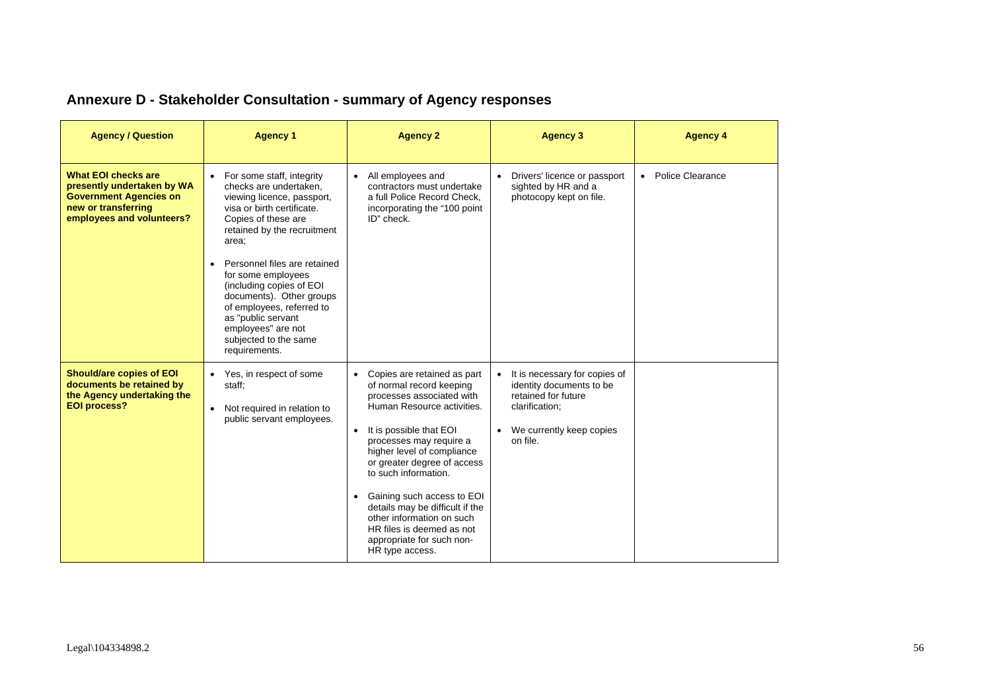| <b>Agency / Question</b>                                                                                                                      | <b>Agency 1</b>                                                                                                                                                                                                                                                                                                                                                                                                                | <b>Agency 2</b>                                                                                                                                                                                                                                                                                                                                                                                                                                           | <b>Agency 3</b>                                                                                                                              | <b>Agency 4</b>    |
|-----------------------------------------------------------------------------------------------------------------------------------------------|--------------------------------------------------------------------------------------------------------------------------------------------------------------------------------------------------------------------------------------------------------------------------------------------------------------------------------------------------------------------------------------------------------------------------------|-----------------------------------------------------------------------------------------------------------------------------------------------------------------------------------------------------------------------------------------------------------------------------------------------------------------------------------------------------------------------------------------------------------------------------------------------------------|----------------------------------------------------------------------------------------------------------------------------------------------|--------------------|
| <b>What EOI checks are</b><br>presently undertaken by WA<br><b>Government Agencies on</b><br>new or transferring<br>employees and volunteers? | • For some staff, integrity<br>checks are undertaken.<br>viewing licence, passport,<br>visa or birth certificate.<br>Copies of these are<br>retained by the recruitment<br>area;<br>Personnel files are retained<br>$\bullet$<br>for some employees<br>(including copies of EOI<br>documents). Other groups<br>of employees, referred to<br>as "public servant<br>employees" are not<br>subjected to the same<br>requirements. | • All employees and<br>contractors must undertake<br>a full Police Record Check,<br>incorporating the "100 point<br>ID" check.                                                                                                                                                                                                                                                                                                                            | • Drivers' licence or passport<br>sighted by HR and a<br>photocopy kept on file.                                                             | • Police Clearance |
| <b>Should/are copies of EOI</b><br>documents be retained by<br>the Agency undertaking the<br><b>EOI process?</b>                              | • Yes, in respect of some<br>staff;<br>Not required in relation to<br>$\bullet$<br>public servant employees.                                                                                                                                                                                                                                                                                                                   | • Copies are retained as part<br>of normal record keeping<br>processes associated with<br>Human Resource activities.<br>It is possible that EOI<br>$\bullet$<br>processes may require a<br>higher level of compliance<br>or greater degree of access<br>to such information.<br>• Gaining such access to EOI<br>details may be difficult if the<br>other information on such<br>HR files is deemed as not<br>appropriate for such non-<br>HR type access. | It is necessary for copies of<br>identity documents to be<br>retained for future<br>clarification;<br>• We currently keep copies<br>on file. |                    |

# **Annexure D - Stakeholder Consultation - summary of Agency responses**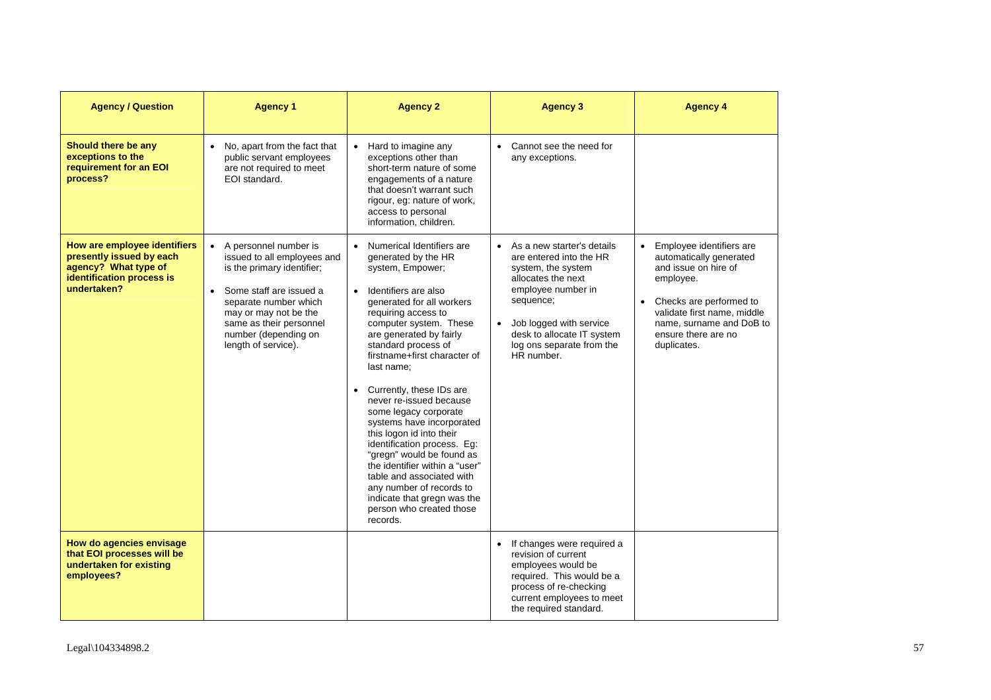| <b>Agency / Question</b>                                                                                                     | <b>Agency 1</b>                                                                                                                                                                                                                               | <b>Agency 2</b>                                                                                                                                                                                                                                                                                                                                                                                                                                                                                                                                                                                                                                                  | <b>Agency 3</b>                                                                                                                                                                                                                              | <b>Agency 4</b>                                                                                                                                                                                                      |
|------------------------------------------------------------------------------------------------------------------------------|-----------------------------------------------------------------------------------------------------------------------------------------------------------------------------------------------------------------------------------------------|------------------------------------------------------------------------------------------------------------------------------------------------------------------------------------------------------------------------------------------------------------------------------------------------------------------------------------------------------------------------------------------------------------------------------------------------------------------------------------------------------------------------------------------------------------------------------------------------------------------------------------------------------------------|----------------------------------------------------------------------------------------------------------------------------------------------------------------------------------------------------------------------------------------------|----------------------------------------------------------------------------------------------------------------------------------------------------------------------------------------------------------------------|
| Should there be any<br>exceptions to the<br>requirement for an EOI<br>process?                                               | • No, apart from the fact that<br>public servant employees<br>are not required to meet<br>EOI standard.                                                                                                                                       | • Hard to imagine any<br>exceptions other than<br>short-term nature of some<br>engagements of a nature<br>that doesn't warrant such<br>rigour, eg: nature of work,<br>access to personal<br>information, children.                                                                                                                                                                                                                                                                                                                                                                                                                                               | • Cannot see the need for<br>any exceptions.                                                                                                                                                                                                 |                                                                                                                                                                                                                      |
| How are employee identifiers<br>presently issued by each<br>agency? What type of<br>identification process is<br>undertaken? | • A personnel number is<br>issued to all employees and<br>is the primary identifier;<br>• Some staff are issued a<br>separate number which<br>may or may not be the<br>same as their personnel<br>number (depending on<br>length of service). | • Numerical Identifiers are<br>generated by the HR<br>system, Empower;<br>Identifiers are also<br>$\bullet$<br>generated for all workers<br>requiring access to<br>computer system. These<br>are generated by fairly<br>standard process of<br>firstname+first character of<br>last name:<br>Currently, these IDs are<br>never re-issued because<br>some legacy corporate<br>systems have incorporated<br>this logon id into their<br>identification process. Eg:<br>"gregn" would be found as<br>the identifier within a "user"<br>table and associated with<br>any number of records to<br>indicate that gregn was the<br>person who created those<br>records. | • As a new starter's details<br>are entered into the HR<br>system, the system<br>allocates the next<br>employee number in<br>sequence;<br>• Job logged with service<br>desk to allocate IT system<br>log ons separate from the<br>HR number. | Employee identifiers are<br>automatically generated<br>and issue on hire of<br>employee.<br>Checks are performed to<br>validate first name, middle<br>name, surname and DoB to<br>ensure there are no<br>duplicates. |
| How do agencies envisage<br>that EOI processes will be<br>undertaken for existing<br>employees?                              |                                                                                                                                                                                                                                               |                                                                                                                                                                                                                                                                                                                                                                                                                                                                                                                                                                                                                                                                  | • If changes were required a<br>revision of current<br>employees would be<br>required. This would be a<br>process of re-checking<br>current employees to meet<br>the required standard.                                                      |                                                                                                                                                                                                                      |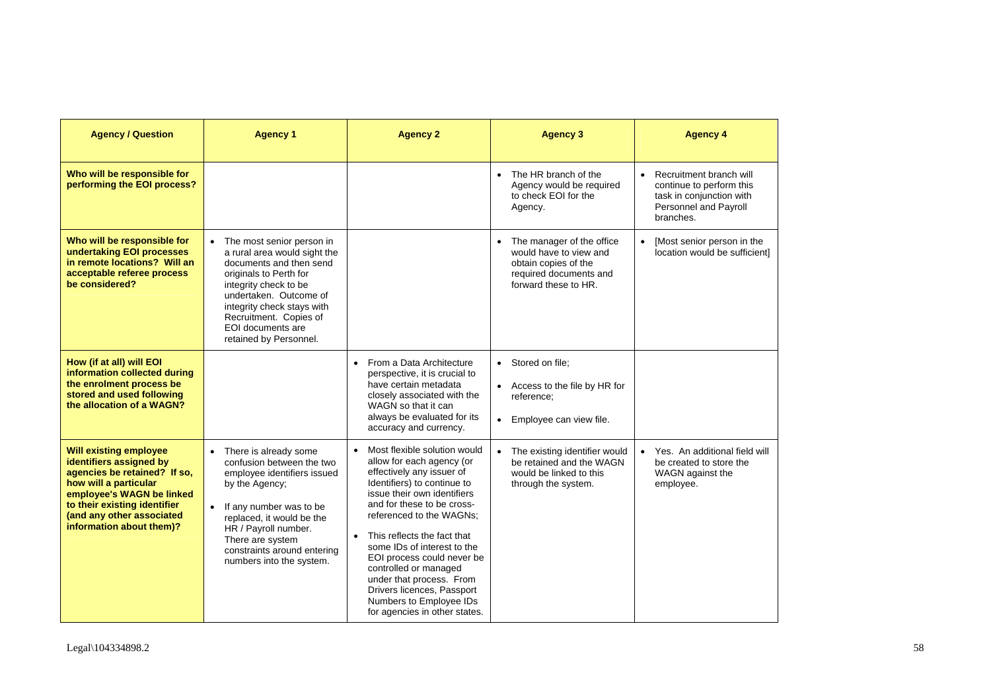| <b>Agency / Question</b>                                                                                                                                                                                                                | <b>Agency 1</b>                                                                                                                                                                                                                                                            | <b>Agency 2</b>                                                                                                                                                                                                                                                                                                                                                                                                                                             | <b>Agency 3</b>                                                                                                                 | <b>Agency 4</b>                                                                                                       |
|-----------------------------------------------------------------------------------------------------------------------------------------------------------------------------------------------------------------------------------------|----------------------------------------------------------------------------------------------------------------------------------------------------------------------------------------------------------------------------------------------------------------------------|-------------------------------------------------------------------------------------------------------------------------------------------------------------------------------------------------------------------------------------------------------------------------------------------------------------------------------------------------------------------------------------------------------------------------------------------------------------|---------------------------------------------------------------------------------------------------------------------------------|-----------------------------------------------------------------------------------------------------------------------|
| Who will be responsible for<br>performing the EOI process?                                                                                                                                                                              |                                                                                                                                                                                                                                                                            |                                                                                                                                                                                                                                                                                                                                                                                                                                                             | • The HR branch of the<br>Agency would be required<br>to check EOI for the<br>Agency.                                           | Recruitment branch will<br>continue to perform this<br>task in conjunction with<br>Personnel and Payroll<br>branches. |
| Who will be responsible for<br>undertaking EOI processes<br>in remote locations? Will an<br>acceptable referee process<br>be considered?                                                                                                | • The most senior person in<br>a rural area would sight the<br>documents and then send<br>originals to Perth for<br>integrity check to be<br>undertaken. Outcome of<br>integrity check stays with<br>Recruitment. Copies of<br>EOI documents are<br>retained by Personnel. |                                                                                                                                                                                                                                                                                                                                                                                                                                                             | • The manager of the office<br>would have to view and<br>obtain copies of the<br>required documents and<br>forward these to HR. | [Most senior person in the<br>location would be sufficientl                                                           |
| How (if at all) will EOI<br>information collected during<br>the enrolment process be<br>stored and used following<br>the allocation of a WAGN?                                                                                          |                                                                                                                                                                                                                                                                            | From a Data Architecture<br>$\bullet$<br>perspective, it is crucial to<br>have certain metadata<br>closely associated with the<br>WAGN so that it can<br>always be evaluated for its<br>accuracy and currency.                                                                                                                                                                                                                                              | • Stored on file;<br>• Access to the file by HR for<br>reference:<br>• Employee can view file.                                  |                                                                                                                       |
| <b>Will existing employee</b><br>identifiers assigned by<br>agencies be retained? If so,<br>how will a particular<br>employee's WAGN be linked<br>to their existing identifier<br>(and any other associated<br>information about them)? | • There is already some<br>confusion between the two<br>employee identifiers issued<br>by the Agency;<br>• If any number was to be<br>replaced, it would be the<br>HR / Payroll number.<br>There are system<br>constraints around entering<br>numbers into the system.     | Most flexible solution would<br>allow for each agency (or<br>effectively any issuer of<br>Identifiers) to continue to<br>issue their own identifiers<br>and for these to be cross-<br>referenced to the WAGNs;<br>• This reflects the fact that<br>some IDs of interest to the<br>EOI process could never be<br>controlled or managed<br>under that process. From<br>Drivers licences, Passport<br>Numbers to Employee IDs<br>for agencies in other states. | • The existing identifier would<br>be retained and the WAGN<br>would be linked to this<br>through the system.                   | Yes. An additional field will<br>be created to store the<br>WAGN against the<br>employee.                             |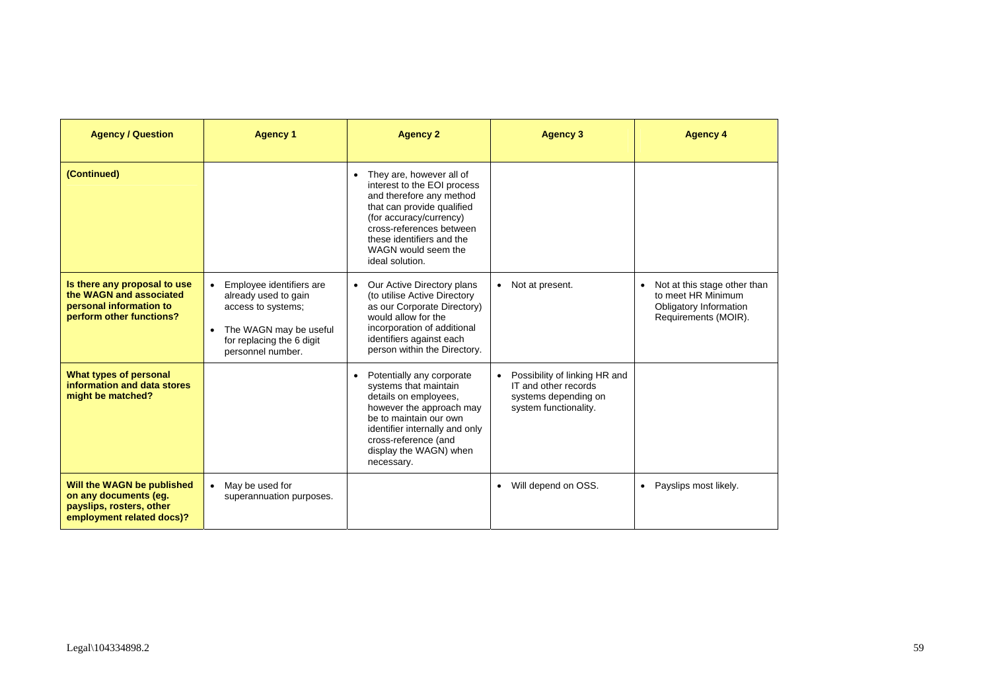| <b>Agency / Question</b>                                                                                       | <b>Agency 1</b>                                                                                                                                                              | <b>Agency 2</b>                                                                                                                                                                                                                                   | <b>Agency 3</b>                                                                                        | <b>Agency 4</b>                                                                                                   |
|----------------------------------------------------------------------------------------------------------------|------------------------------------------------------------------------------------------------------------------------------------------------------------------------------|---------------------------------------------------------------------------------------------------------------------------------------------------------------------------------------------------------------------------------------------------|--------------------------------------------------------------------------------------------------------|-------------------------------------------------------------------------------------------------------------------|
| (Continued)                                                                                                    |                                                                                                                                                                              | • They are, however all of<br>interest to the EOI process<br>and therefore any method<br>that can provide qualified<br>(for accuracy/currency)<br>cross-references between<br>these identifiers and the<br>WAGN would seem the<br>ideal solution. |                                                                                                        |                                                                                                                   |
| Is there any proposal to use<br>the WAGN and associated<br>personal information to<br>perform other functions? | Employee identifiers are<br>$\bullet$<br>already used to gain<br>access to systems;<br>The WAGN may be useful<br>$\bullet$<br>for replacing the 6 digit<br>personnel number. | Our Active Directory plans<br>$\bullet$<br>(to utilise Active Directory<br>as our Corporate Directory)<br>would allow for the<br>incorporation of additional<br>identifiers against each<br>person within the Directory.                          | • Not at present.                                                                                      | Not at this stage other than<br>$\bullet$<br>to meet HR Minimum<br>Obligatory Information<br>Requirements (MOIR). |
| What types of personal<br>information and data stores<br>might be matched?                                     |                                                                                                                                                                              | Potentially any corporate<br>$\bullet$<br>systems that maintain<br>details on employees,<br>however the approach may<br>be to maintain our own<br>identifier internally and only<br>cross-reference (and<br>display the WAGN) when<br>necessary.  | Possibility of linking HR and<br>IT and other records<br>systems depending on<br>system functionality. |                                                                                                                   |
| Will the WAGN be published<br>on any documents (eg.<br>payslips, rosters, other<br>employment related docs)?   | May be used for<br>$\bullet$<br>superannuation purposes.                                                                                                                     |                                                                                                                                                                                                                                                   | • Will depend on OSS.                                                                                  | • Payslips most likely.                                                                                           |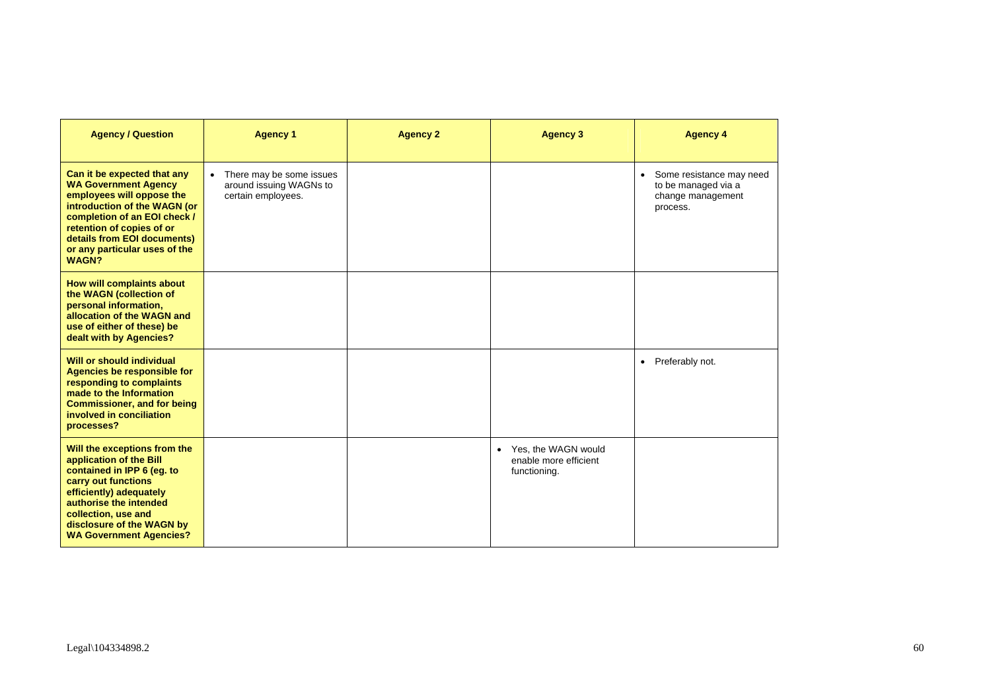| <b>Agency / Question</b>                                                                                                                                                                                                                                             | <b>Agency 1</b>                                                             | <b>Agency 2</b> | <b>Agency 3</b>                                                | <b>Agency 4</b>                                                                    |
|----------------------------------------------------------------------------------------------------------------------------------------------------------------------------------------------------------------------------------------------------------------------|-----------------------------------------------------------------------------|-----------------|----------------------------------------------------------------|------------------------------------------------------------------------------------|
| Can it be expected that any<br><b>WA Government Agency</b><br>employees will oppose the<br>introduction of the WAGN (or<br>completion of an EOI check /<br>retention of copies of or<br>details from EOI documents)<br>or any particular uses of the<br><b>WAGN?</b> | • There may be some issues<br>around issuing WAGNs to<br>certain employees. |                 |                                                                | • Some resistance may need<br>to be managed via a<br>change management<br>process. |
| How will complaints about<br>the WAGN (collection of<br>personal information,<br>allocation of the WAGN and<br>use of either of these) be<br>dealt with by Agencies?                                                                                                 |                                                                             |                 |                                                                |                                                                                    |
| Will or should individual<br><b>Agencies be responsible for</b><br>responding to complaints<br>made to the Information<br><b>Commissioner, and for being</b><br>involved in conciliation<br>processes?                                                               |                                                                             |                 |                                                                | • Preferably not.                                                                  |
| Will the exceptions from the<br>application of the Bill<br>contained in IPP 6 (eg. to<br>carry out functions<br>efficiently) adequately<br>authorise the intended<br>collection, use and<br>disclosure of the WAGN by<br><b>WA Government Agencies?</b>              |                                                                             |                 | • Yes, the WAGN would<br>enable more efficient<br>functioning. |                                                                                    |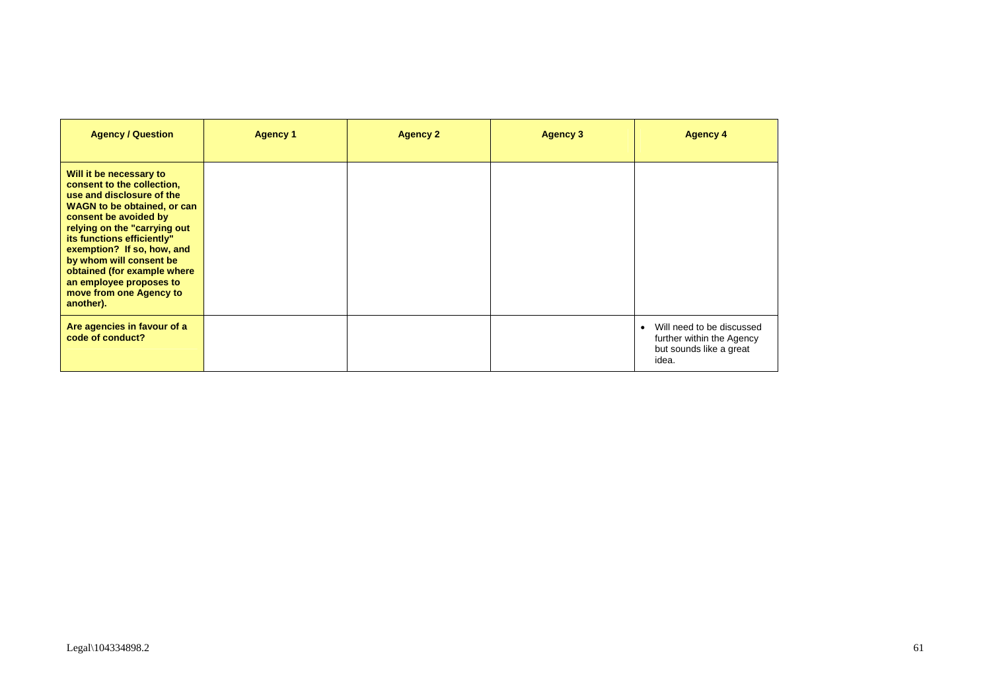| <b>Agency / Question</b>                                                                                                                                                                                                                                                                                                                                                   | <b>Agency 1</b> | <b>Agency 2</b> | <b>Agency 3</b> | <b>Agency 4</b>                                                                            |
|----------------------------------------------------------------------------------------------------------------------------------------------------------------------------------------------------------------------------------------------------------------------------------------------------------------------------------------------------------------------------|-----------------|-----------------|-----------------|--------------------------------------------------------------------------------------------|
| Will it be necessary to<br>consent to the collection,<br>use and disclosure of the<br><b>WAGN to be obtained, or can</b><br>consent be avoided by<br>relying on the "carrying out<br>its functions efficiently"<br>exemption? If so, how, and<br>by whom will consent be<br>obtained (for example where<br>an employee proposes to<br>move from one Agency to<br>another). |                 |                 |                 |                                                                                            |
| Are agencies in favour of a<br>code of conduct?                                                                                                                                                                                                                                                                                                                            |                 |                 |                 | Will need to be discussed<br>further within the Agency<br>but sounds like a great<br>idea. |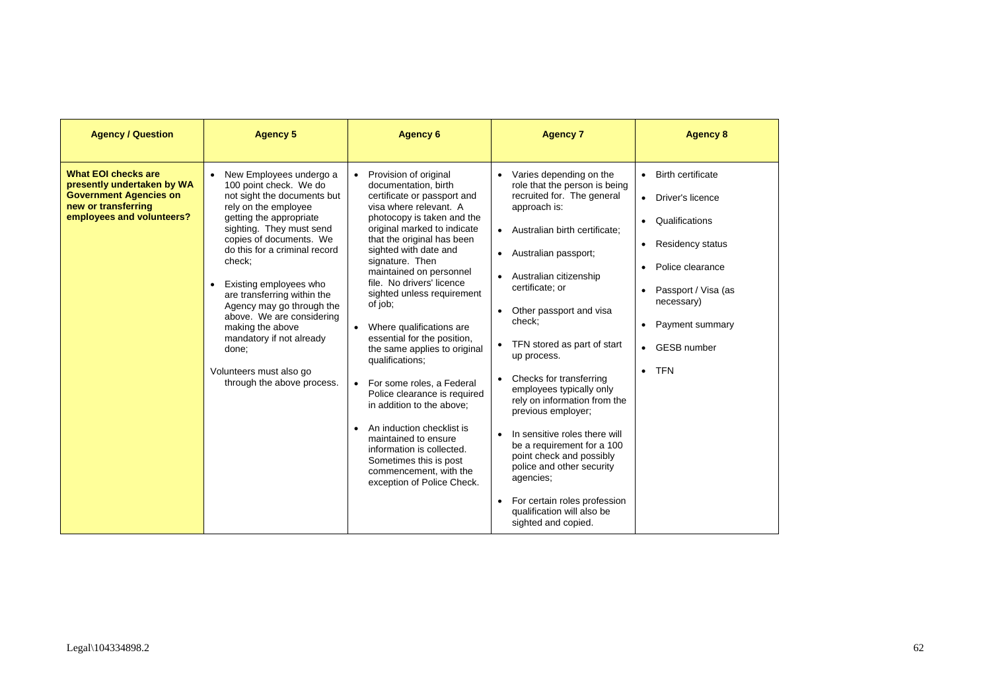| <b>Agency / Question</b>                                                                                                                      | <b>Agency 5</b>                                                                                                                                                                                                                                                                                                                                                                                                                                                                         | <b>Agency 6</b>                                                                                                                                                                                                                                                                                                                                                                                                                                                                                                                                                                                                                                                                                                                         | <b>Agency 7</b>                                                                                                                                                                                                                                                                                                                                                                                                                                                                                                                                                                                                                                                                              | <b>Agency 8</b>                                                                                                                                                                                                                                                                                      |
|-----------------------------------------------------------------------------------------------------------------------------------------------|-----------------------------------------------------------------------------------------------------------------------------------------------------------------------------------------------------------------------------------------------------------------------------------------------------------------------------------------------------------------------------------------------------------------------------------------------------------------------------------------|-----------------------------------------------------------------------------------------------------------------------------------------------------------------------------------------------------------------------------------------------------------------------------------------------------------------------------------------------------------------------------------------------------------------------------------------------------------------------------------------------------------------------------------------------------------------------------------------------------------------------------------------------------------------------------------------------------------------------------------------|----------------------------------------------------------------------------------------------------------------------------------------------------------------------------------------------------------------------------------------------------------------------------------------------------------------------------------------------------------------------------------------------------------------------------------------------------------------------------------------------------------------------------------------------------------------------------------------------------------------------------------------------------------------------------------------------|------------------------------------------------------------------------------------------------------------------------------------------------------------------------------------------------------------------------------------------------------------------------------------------------------|
| <b>What EOI checks are</b><br>presently undertaken by WA<br><b>Government Agencies on</b><br>new or transferring<br>employees and volunteers? | New Employees undergo a<br>$\bullet$<br>100 point check. We do<br>not sight the documents but<br>rely on the employee<br>getting the appropriate<br>sighting. They must send<br>copies of documents. We<br>do this for a criminal record<br>check:<br>Existing employees who<br>are transferring within the<br>Agency may go through the<br>above. We are considering<br>making the above<br>mandatory if not already<br>done;<br>Volunteers must also go<br>through the above process. | Provision of original<br>$\bullet$<br>documentation, birth<br>certificate or passport and<br>visa where relevant. A<br>photocopy is taken and the<br>original marked to indicate<br>that the original has been<br>sighted with date and<br>signature. Then<br>maintained on personnel<br>file. No drivers' licence<br>sighted unless requirement<br>of job;<br>Where qualifications are<br>essential for the position,<br>the same applies to original<br>qualifications;<br>For some roles, a Federal<br>Police clearance is required<br>in addition to the above:<br>An induction checklist is<br>maintained to ensure<br>information is collected.<br>Sometimes this is post<br>commencement, with the<br>exception of Police Check. | Varies depending on the<br>$\bullet$<br>role that the person is being<br>recruited for. The general<br>approach is:<br>• Australian birth certificate:<br>Australian passport;<br>$\bullet$<br>Australian citizenship<br>certificate; or<br>Other passport and visa<br>check:<br>TFN stored as part of start<br>up process.<br>Checks for transferring<br>employees typically only<br>rely on information from the<br>previous employer;<br>In sensitive roles there will<br>$\bullet$<br>be a requirement for a 100<br>point check and possibly<br>police and other security<br>agencies;<br>For certain roles profession<br>$\bullet$<br>qualification will also be<br>sighted and copied. | <b>Birth certificate</b><br>$\bullet$<br>Driver's licence<br>$\bullet$<br>Qualifications<br>$\bullet$<br><b>Residency status</b><br>$\bullet$<br>Police clearance<br>$\bullet$<br>Passport / Visa (as<br>necessary)<br>Payment summary<br><b>GESB number</b><br>$\bullet$<br><b>TFN</b><br>$\bullet$ |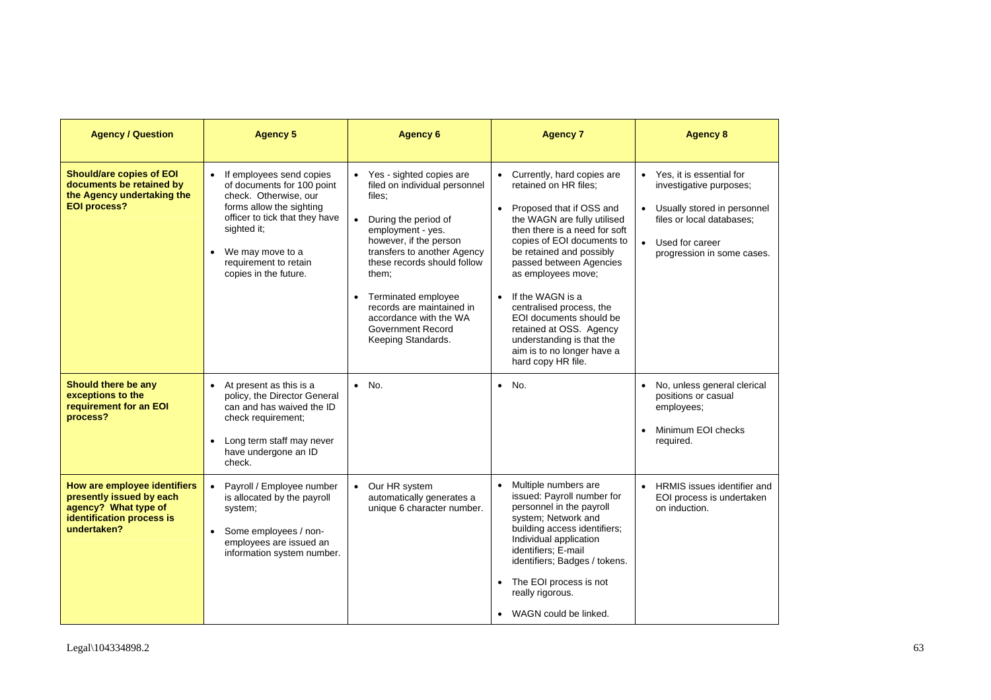| <b>Agency / Question</b>                                                                                                     | <b>Agency 5</b>                                                                                                                                                                                                                    | <b>Agency 6</b>                                                                                                                                                                                                                                                                                                                              | <b>Agency 7</b>                                                                                                                                                                                                                                                                                                                                                                                                                                                                          | <b>Agency 8</b>                                                                                                                                                                 |
|------------------------------------------------------------------------------------------------------------------------------|------------------------------------------------------------------------------------------------------------------------------------------------------------------------------------------------------------------------------------|----------------------------------------------------------------------------------------------------------------------------------------------------------------------------------------------------------------------------------------------------------------------------------------------------------------------------------------------|------------------------------------------------------------------------------------------------------------------------------------------------------------------------------------------------------------------------------------------------------------------------------------------------------------------------------------------------------------------------------------------------------------------------------------------------------------------------------------------|---------------------------------------------------------------------------------------------------------------------------------------------------------------------------------|
| <b>Should/are copies of EOI</b><br>documents be retained by<br>the Agency undertaking the<br><b>EOI process?</b>             | If employees send copies<br>of documents for 100 point<br>check. Otherwise, our<br>forms allow the sighting<br>officer to tick that they have<br>sighted it:<br>We may move to a<br>requirement to retain<br>copies in the future. | • Yes - sighted copies are<br>filed on individual personnel<br>files:<br>During the period of<br>employment - yes.<br>however, if the person<br>transfers to another Agency<br>these records should follow<br>them;<br>Terminated employee<br>records are maintained in<br>accordance with the WA<br>Government Record<br>Keeping Standards. | Currently, hard copies are<br>$\bullet$<br>retained on HR files:<br>Proposed that if OSS and<br>$\bullet$<br>the WAGN are fully utilised<br>then there is a need for soft<br>copies of EOI documents to<br>be retained and possibly<br>passed between Agencies<br>as employees move;<br>If the WAGN is a<br>$\bullet$<br>centralised process, the<br>EOI documents should be<br>retained at OSS. Agency<br>understanding is that the<br>aim is to no longer have a<br>hard copy HR file. | • Yes. it is essential for<br>investigative purposes;<br>Usually stored in personnel<br>files or local databases;<br>Used for career<br>$\bullet$<br>progression in some cases. |
| Should there be any<br>exceptions to the<br>requirement for an EOI<br>process?                                               | At present as this is a<br>$\bullet$<br>policy, the Director General<br>can and has waived the ID<br>check requirement;<br>Long term staff may never<br>have undergone an ID<br>check.                                             | $\bullet$ No.                                                                                                                                                                                                                                                                                                                                | No.<br>$\bullet$                                                                                                                                                                                                                                                                                                                                                                                                                                                                         | No, unless general clerical<br>$\bullet$<br>positions or casual<br>employees;<br>Minimum EOI checks<br>$\bullet$<br>required.                                                   |
| How are employee identifiers<br>presently issued by each<br>agency? What type of<br>identification process is<br>undertaken? | Payroll / Employee number<br>$\bullet$<br>is allocated by the payroll<br>system;<br>Some employees / non-<br>$\bullet$<br>employees are issued an<br>information system number.                                                    | Our HR system<br>$\bullet$<br>automatically generates a<br>unique 6 character number.                                                                                                                                                                                                                                                        | Multiple numbers are<br>$\bullet$<br>issued: Payroll number for<br>personnel in the payroll<br>system; Network and<br>building access identifiers;<br>Individual application<br>identifiers; E-mail<br>identifiers; Badges / tokens.<br>The EOI process is not<br>really rigorous.<br>WAGN could be linked.                                                                                                                                                                              | HRMIS issues identifier and<br>$\bullet$<br>EOI process is undertaken<br>on induction.                                                                                          |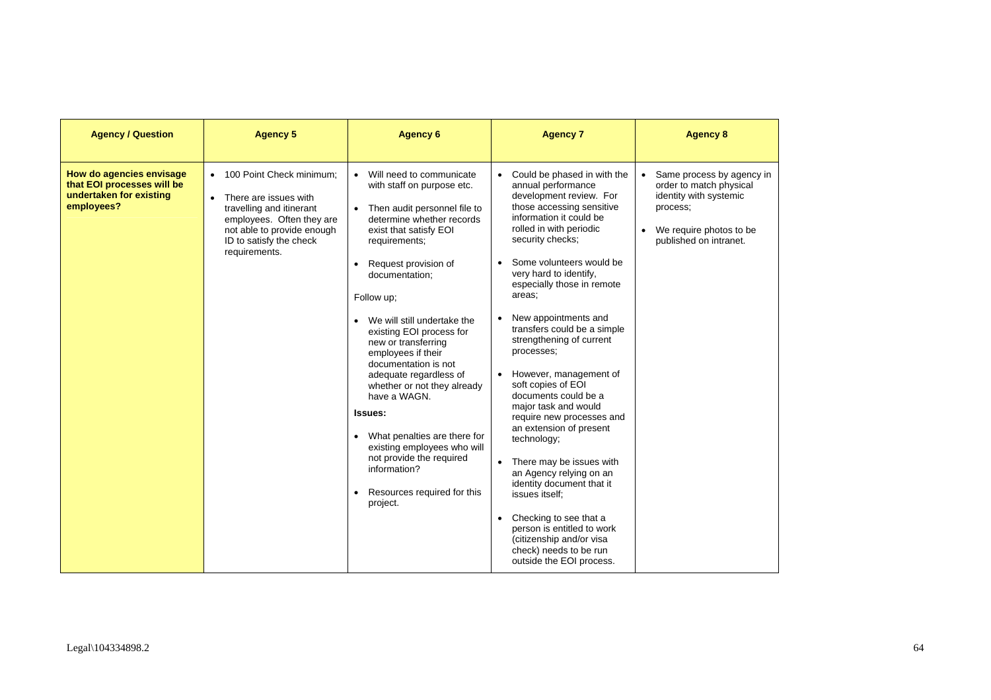| <b>Agency / Question</b>                                                                        | <b>Agency 5</b>                                                                                                                                                                        | <b>Agency 6</b>                                                                                                                                                                                                                                                                                                                                                                                                                                                                                                                                                                                                      | <b>Agency 7</b>                                                                                                                                                                                                                                                                                                                                                                                                                                                                                                                                                                                                                                                                                                                                                                                                                   | <b>Agency 8</b>                                                                                                                                   |
|-------------------------------------------------------------------------------------------------|----------------------------------------------------------------------------------------------------------------------------------------------------------------------------------------|----------------------------------------------------------------------------------------------------------------------------------------------------------------------------------------------------------------------------------------------------------------------------------------------------------------------------------------------------------------------------------------------------------------------------------------------------------------------------------------------------------------------------------------------------------------------------------------------------------------------|-----------------------------------------------------------------------------------------------------------------------------------------------------------------------------------------------------------------------------------------------------------------------------------------------------------------------------------------------------------------------------------------------------------------------------------------------------------------------------------------------------------------------------------------------------------------------------------------------------------------------------------------------------------------------------------------------------------------------------------------------------------------------------------------------------------------------------------|---------------------------------------------------------------------------------------------------------------------------------------------------|
| How do agencies envisage<br>that EOI processes will be<br>undertaken for existing<br>employees? | • 100 Point Check minimum;<br>There are issues with<br>travelling and itinerant<br>employees. Often they are<br>not able to provide enough<br>ID to satisfy the check<br>requirements. | Will need to communicate<br>with staff on purpose etc.<br>Then audit personnel file to<br>determine whether records<br>exist that satisfy EOI<br>requirements;<br>Request provision of<br>documentation;<br>Follow up;<br>We will still undertake the<br>existing EOI process for<br>new or transferring<br>employees if their<br>documentation is not<br>adequate regardless of<br>whether or not they already<br>have a WAGN.<br><b>Issues:</b><br>What penalties are there for<br>$\bullet$<br>existing employees who will<br>not provide the required<br>information?<br>Resources required for this<br>project. | • Could be phased in with the<br>annual performance<br>development review. For<br>those accessing sensitive<br>information it could be<br>rolled in with periodic<br>security checks;<br>Some volunteers would be<br>very hard to identify,<br>especially those in remote<br>areas:<br>New appointments and<br>٠<br>transfers could be a simple<br>strengthening of current<br>processes;<br>• However, management of<br>soft copies of EOI<br>documents could be a<br>major task and would<br>require new processes and<br>an extension of present<br>technology;<br>• There may be issues with<br>an Agency relying on an<br>identity document that it<br>issues itself:<br>Checking to see that a<br>$\bullet$<br>person is entitled to work<br>(citizenship and/or visa<br>check) needs to be run<br>outside the EOI process. | • Same process by agency in<br>order to match physical<br>identity with systemic<br>process;<br>We require photos to be<br>published on intranet. |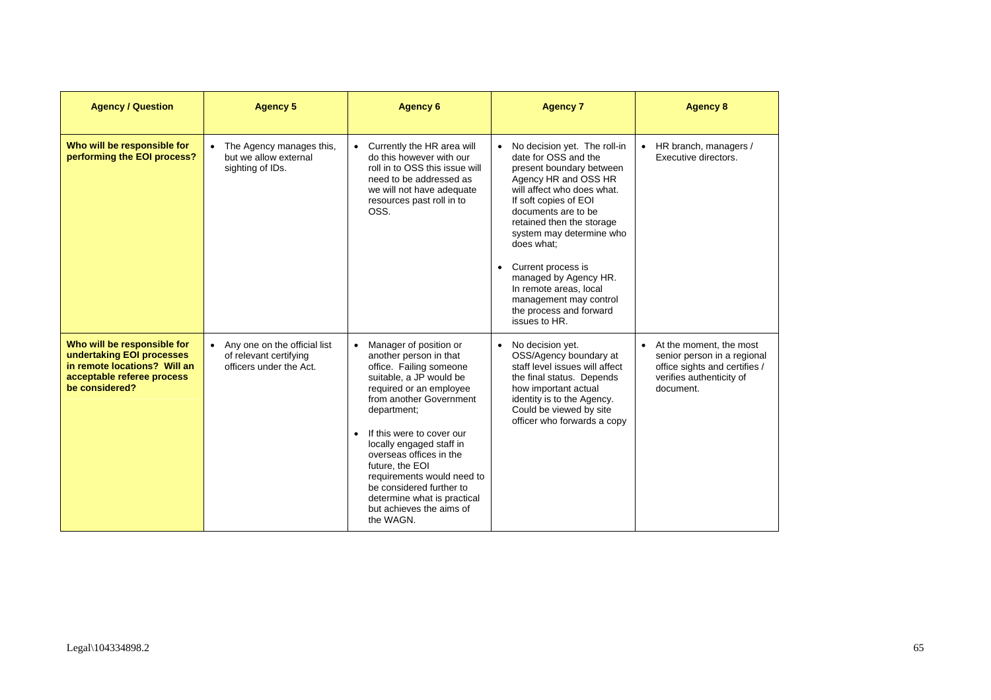| <b>Agency / Question</b>                                                                                                                 | <b>Agency 5</b>                                                                     | <b>Agency 6</b>                                                                                                                                                                                                                                                                                                                                                                                                      | <b>Agency 7</b>                                                                                                                                                                                                                                                                                                                                                                                                           | <b>Agency 8</b>                                                                                                                    |
|------------------------------------------------------------------------------------------------------------------------------------------|-------------------------------------------------------------------------------------|----------------------------------------------------------------------------------------------------------------------------------------------------------------------------------------------------------------------------------------------------------------------------------------------------------------------------------------------------------------------------------------------------------------------|---------------------------------------------------------------------------------------------------------------------------------------------------------------------------------------------------------------------------------------------------------------------------------------------------------------------------------------------------------------------------------------------------------------------------|------------------------------------------------------------------------------------------------------------------------------------|
| Who will be responsible for<br>performing the EOI process?                                                                               | The Agency manages this,<br>but we allow external<br>sighting of IDs.               | Currently the HR area will<br>do this however with our<br>roll in to OSS this issue will<br>need to be addressed as<br>we will not have adequate<br>resources past roll in to<br>OSS.                                                                                                                                                                                                                                | No decision yet. The roll-in<br>date for OSS and the<br>present boundary between<br>Agency HR and OSS HR<br>will affect who does what.<br>If soft copies of EOI<br>documents are to be<br>retained then the storage<br>system may determine who<br>does what:<br>Current process is<br>$\bullet$<br>managed by Agency HR.<br>In remote areas, local<br>management may control<br>the process and forward<br>issues to HR. | • HR branch, managers /<br>Executive directors.                                                                                    |
| Who will be responsible for<br>undertaking EOI processes<br>in remote locations? Will an<br>acceptable referee process<br>be considered? | • Any one on the official list<br>of relevant certifying<br>officers under the Act. | Manager of position or<br>another person in that<br>office. Failing someone<br>suitable, a JP would be<br>required or an employee<br>from another Government<br>department;<br>If this were to cover our<br>locally engaged staff in<br>overseas offices in the<br>future, the EOI<br>requirements would need to<br>be considered further to<br>determine what is practical<br>but achieves the aims of<br>the WAGN. | • No decision yet.<br>OSS/Agency boundary at<br>staff level issues will affect<br>the final status. Depends<br>how important actual<br>identity is to the Agency.<br>Could be viewed by site<br>officer who forwards a copy                                                                                                                                                                                               | • At the moment, the most<br>senior person in a regional<br>office sights and certifies /<br>verifies authenticity of<br>document. |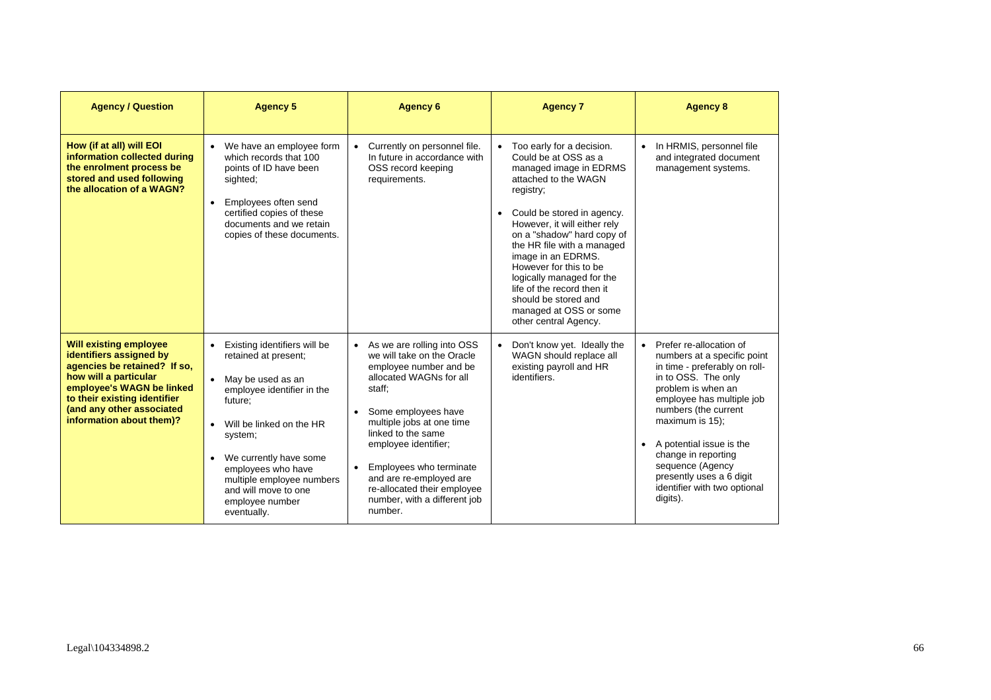| <b>Agency / Question</b>                                                                                                                                                                                                                | <b>Agency 5</b>                                                                                                                                                                                                                                                                                                              | <b>Agency 6</b>                                                                                                                                                                                                                                                                                                                                                          | <b>Agency 7</b>                                                                                                                                                                                                                                                                                                                                                                                                                      | <b>Agency 8</b>                                                                                                                                                                                                                                                                                                                                               |
|-----------------------------------------------------------------------------------------------------------------------------------------------------------------------------------------------------------------------------------------|------------------------------------------------------------------------------------------------------------------------------------------------------------------------------------------------------------------------------------------------------------------------------------------------------------------------------|--------------------------------------------------------------------------------------------------------------------------------------------------------------------------------------------------------------------------------------------------------------------------------------------------------------------------------------------------------------------------|--------------------------------------------------------------------------------------------------------------------------------------------------------------------------------------------------------------------------------------------------------------------------------------------------------------------------------------------------------------------------------------------------------------------------------------|---------------------------------------------------------------------------------------------------------------------------------------------------------------------------------------------------------------------------------------------------------------------------------------------------------------------------------------------------------------|
| How (if at all) will EOI<br>information collected during<br>the enrolment process be<br>stored and used following<br>the allocation of a WAGN?                                                                                          | • We have an employee form<br>which records that 100<br>points of ID have been<br>sighted;<br>• Employees often send<br>certified copies of these<br>documents and we retain<br>copies of these documents.                                                                                                                   | • Currently on personnel file.<br>In future in accordance with<br>OSS record keeping<br>requirements.                                                                                                                                                                                                                                                                    | • Too early for a decision.<br>Could be at OSS as a<br>managed image in EDRMS<br>attached to the WAGN<br>registry;<br>• Could be stored in agency.<br>However, it will either rely<br>on a "shadow" hard copy of<br>the HR file with a managed<br>image in an EDRMS.<br>However for this to be<br>logically managed for the<br>life of the record then it<br>should be stored and<br>managed at OSS or some<br>other central Agency. | In HRMIS, personnel file<br>and integrated document<br>management systems.                                                                                                                                                                                                                                                                                    |
| <b>Will existing employee</b><br>identifiers assigned by<br>agencies be retained? If so,<br>how will a particular<br>employee's WAGN be linked<br>to their existing identifier<br>(and any other associated<br>information about them)? | Existing identifiers will be<br>$\bullet$<br>retained at present;<br>• May be used as an<br>employee identifier in the<br>future:<br>Will be linked on the HR<br>system;<br>We currently have some<br>$\bullet$<br>employees who have<br>multiple employee numbers<br>and will move to one<br>employee number<br>eventually. | • As we are rolling into OSS<br>we will take on the Oracle<br>employee number and be<br>allocated WAGNs for all<br>staff;<br>Some employees have<br>multiple jobs at one time<br>linked to the same<br>employee identifier;<br>Employees who terminate<br>$\bullet$<br>and are re-employed are<br>re-allocated their employee<br>number, with a different job<br>number. | • Don't know yet. Ideally the<br>WAGN should replace all<br>existing payroll and HR<br>identifiers.                                                                                                                                                                                                                                                                                                                                  | • Prefer re-allocation of<br>numbers at a specific point<br>in time - preferably on roll-<br>in to OSS. The only<br>problem is when an<br>employee has multiple job<br>numbers (the current<br>maximum is 15);<br>A potential issue is the<br>change in reporting<br>sequence (Agency<br>presently uses a 6 digit<br>identifier with two optional<br>digits). |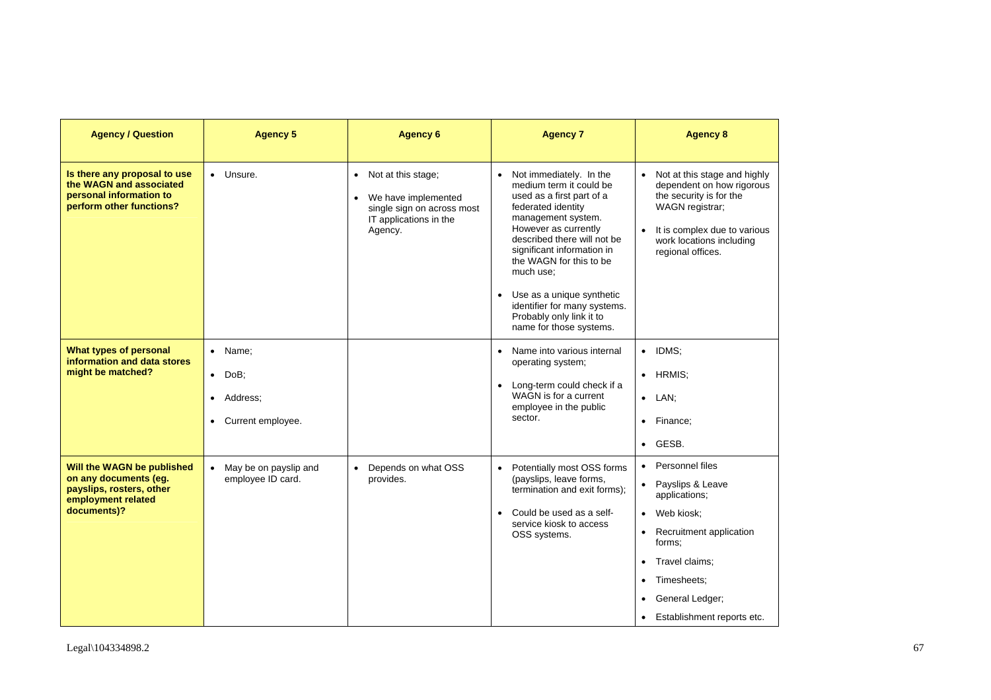| <b>Agency / Question</b>                                                                                             | <b>Agency 5</b>                                                              | <b>Agency 6</b>                                                                                                | <b>Agency 7</b>                                                                                                                                                                                                                                                                                                                                                                                        | <b>Agency 8</b>                                                                                                                                                                                                                                                              |
|----------------------------------------------------------------------------------------------------------------------|------------------------------------------------------------------------------|----------------------------------------------------------------------------------------------------------------|--------------------------------------------------------------------------------------------------------------------------------------------------------------------------------------------------------------------------------------------------------------------------------------------------------------------------------------------------------------------------------------------------------|------------------------------------------------------------------------------------------------------------------------------------------------------------------------------------------------------------------------------------------------------------------------------|
| Is there any proposal to use<br>the WAGN and associated<br>personal information to<br>perform other functions?       | • Unsure.                                                                    | • Not at this stage;<br>We have implemented<br>single sign on across most<br>IT applications in the<br>Agency. | Not immediately. In the<br>$\bullet$<br>medium term it could be<br>used as a first part of a<br>federated identity<br>management system.<br>However as currently<br>described there will not be<br>significant information in<br>the WAGN for this to be<br>much use:<br>Use as a unique synthetic<br>$\bullet$<br>identifier for many systems.<br>Probably only link it to<br>name for those systems. | Not at this stage and highly<br>$\bullet$<br>dependent on how rigorous<br>the security is for the<br>WAGN registrar;<br>It is complex due to various<br>$\bullet$<br>work locations including<br>regional offices.                                                           |
| What types of personal<br>information and data stores<br>might be matched?                                           | • Name;<br>DoB;<br>$\bullet$<br>Address;<br>$\bullet$<br>• Current employee. |                                                                                                                | Name into various internal<br>$\bullet$<br>operating system;<br>Long-term could check if a<br>$\bullet$<br>WAGN is for a current<br>employee in the public<br>sector.                                                                                                                                                                                                                                  | IDMS:<br>$\bullet$<br>HRMIS:<br>$\bullet$<br>$\bullet$ LAN;<br>Finance;<br>$\bullet$<br>• GESB.                                                                                                                                                                              |
| Will the WAGN be published<br>on any documents (eg.<br>payslips, rosters, other<br>employment related<br>documents)? | • May be on payslip and<br>employee ID card.                                 | Depends on what OSS<br>$\bullet$<br>provides.                                                                  | Potentially most OSS forms<br>$\bullet$<br>(payslips, leave forms,<br>termination and exit forms);<br>Could be used as a self-<br>$\bullet$<br>service kiosk to access<br>OSS systems.                                                                                                                                                                                                                 | Personnel files<br>$\bullet$<br>Payslips & Leave<br>$\bullet$<br>applications;<br>Web kiosk;<br>$\bullet$<br>Recruitment application<br>$\bullet$<br>forms:<br>Travel claims:<br>$\bullet$<br>Timesheets:<br>٠<br>General Ledger;<br>Establishment reports etc.<br>$\bullet$ |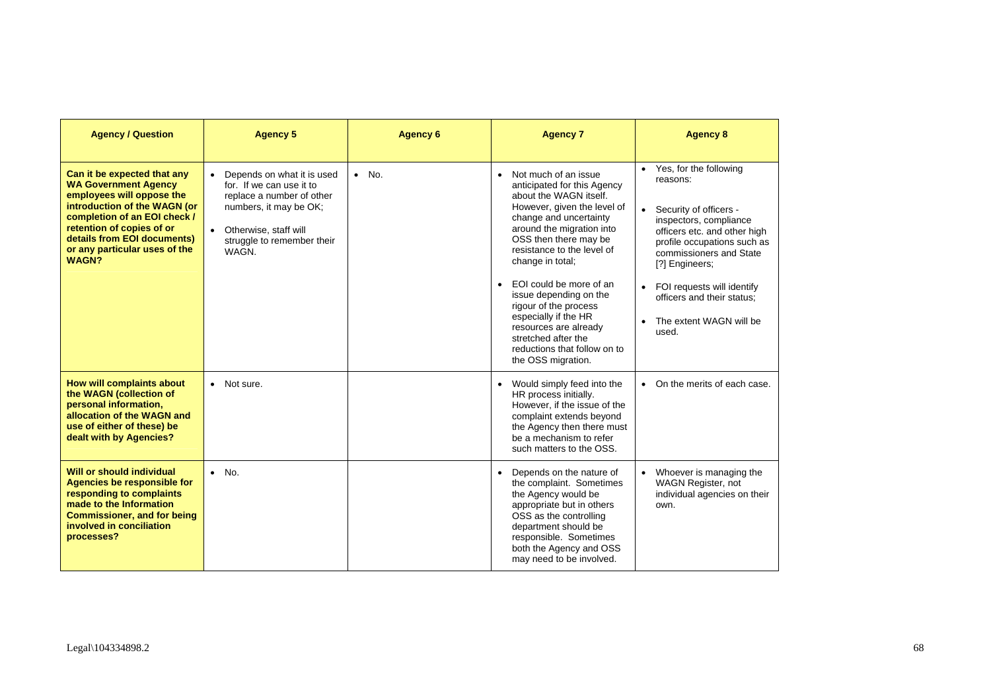| <b>Agency / Question</b>                                                                                                                                                                                                                                             | <b>Agency 5</b>                                                                                                                                                                              | <b>Agency 6</b> | <b>Agency 7</b>                                                                                                                                                                                                                                                                                                                                                                                                                                                                      | <b>Agency 8</b>                                                                                                                                                                                                                                                                                                                  |
|----------------------------------------------------------------------------------------------------------------------------------------------------------------------------------------------------------------------------------------------------------------------|----------------------------------------------------------------------------------------------------------------------------------------------------------------------------------------------|-----------------|--------------------------------------------------------------------------------------------------------------------------------------------------------------------------------------------------------------------------------------------------------------------------------------------------------------------------------------------------------------------------------------------------------------------------------------------------------------------------------------|----------------------------------------------------------------------------------------------------------------------------------------------------------------------------------------------------------------------------------------------------------------------------------------------------------------------------------|
| Can it be expected that any<br><b>WA Government Agency</b><br>employees will oppose the<br>introduction of the WAGN (or<br>completion of an EOI check /<br>retention of copies of or<br>details from EOI documents)<br>or any particular uses of the<br><b>WAGN?</b> | • Depends on what it is used<br>for. If we can use it to<br>replace a number of other<br>numbers, it may be OK;<br>Otherwise, staff will<br>$\bullet$<br>struggle to remember their<br>WAGN. | $\bullet$ No.   | Not much of an issue<br>$\bullet$<br>anticipated for this Agency<br>about the WAGN itself.<br>However, given the level of<br>change and uncertainty<br>around the migration into<br>OSS then there may be<br>resistance to the level of<br>change in total;<br>EOI could be more of an<br>$\bullet$<br>issue depending on the<br>rigour of the process<br>especially if the HR<br>resources are already<br>stretched after the<br>reductions that follow on to<br>the OSS migration. | • Yes, for the following<br>reasons:<br>Security of officers -<br>$\bullet$<br>inspectors, compliance<br>officers etc. and other high<br>profile occupations such as<br>commissioners and State<br>[?] Engineers;<br>• FOI requests will identify<br>officers and their status:<br>The extent WAGN will be<br>$\bullet$<br>used. |
| How will complaints about<br>the WAGN (collection of<br>personal information,<br>allocation of the WAGN and<br>use of either of these) be<br>dealt with by Agencies?                                                                                                 | • Not sure.                                                                                                                                                                                  |                 | Would simply feed into the<br>$\bullet$<br>HR process initially.<br>However, if the issue of the<br>complaint extends beyond<br>the Agency then there must<br>be a mechanism to refer<br>such matters to the OSS.                                                                                                                                                                                                                                                                    | On the merits of each case.                                                                                                                                                                                                                                                                                                      |
| Will or should individual<br>Agencies be responsible for<br>responding to complaints<br>made to the Information<br><b>Commissioner, and for being</b><br>involved in conciliation<br>processes?                                                                      | $\bullet$ No.                                                                                                                                                                                |                 | Depends on the nature of<br>$\bullet$<br>the complaint. Sometimes<br>the Agency would be<br>appropriate but in others<br>OSS as the controlling<br>department should be<br>responsible. Sometimes<br>both the Agency and OSS<br>may need to be involved.                                                                                                                                                                                                                             | Whoever is managing the<br>WAGN Register, not<br>individual agencies on their<br>own.                                                                                                                                                                                                                                            |